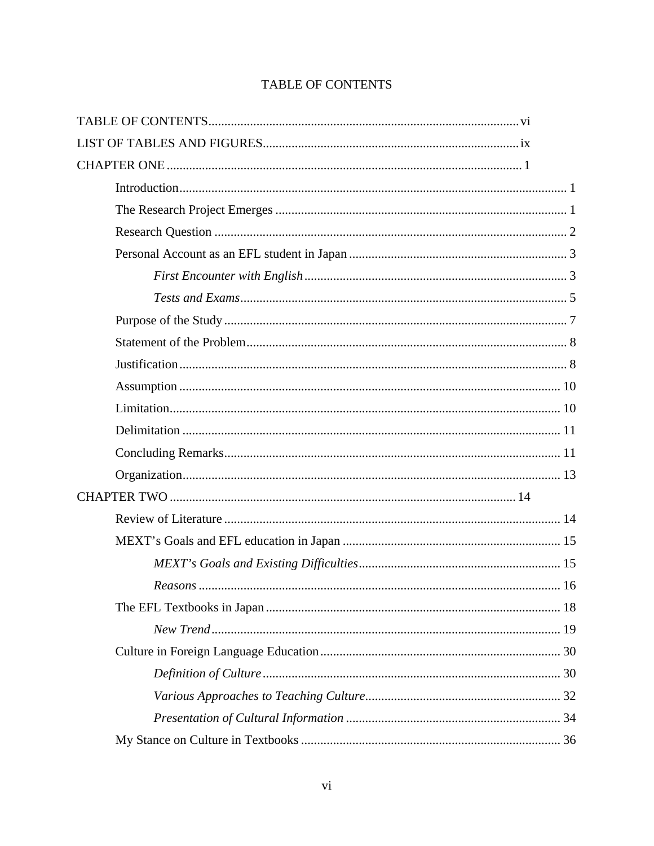# TABLE OF CONTENTS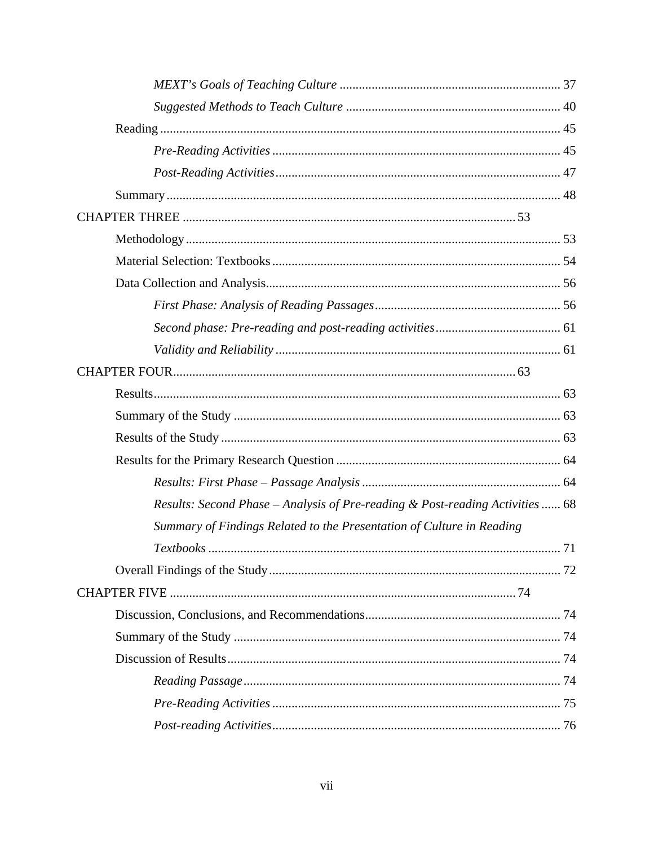| Results: Second Phase - Analysis of Pre-reading & Post-reading Activities  68 |  |
|-------------------------------------------------------------------------------|--|
| Summary of Findings Related to the Presentation of Culture in Reading         |  |
|                                                                               |  |
|                                                                               |  |
|                                                                               |  |
|                                                                               |  |
|                                                                               |  |
|                                                                               |  |
|                                                                               |  |
|                                                                               |  |
|                                                                               |  |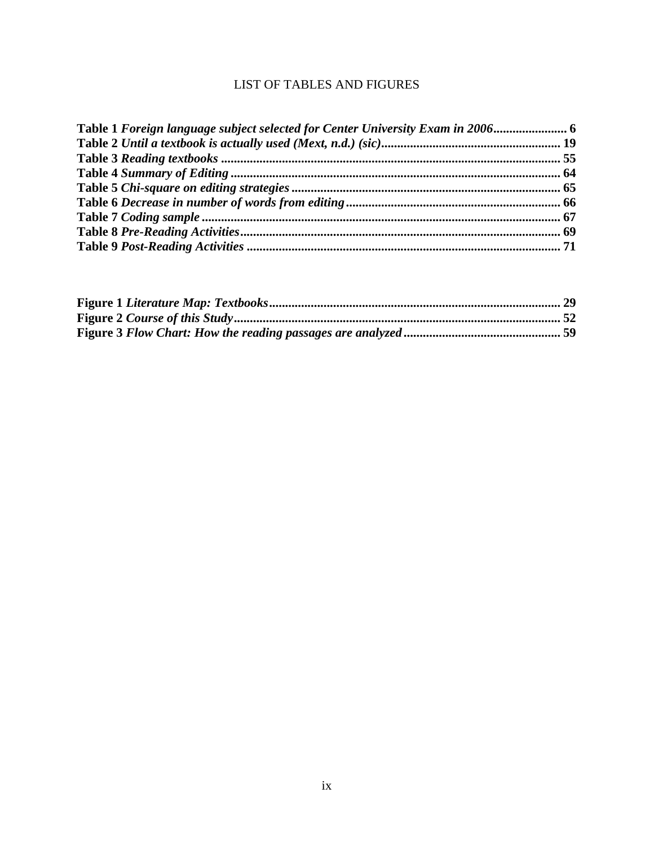## LIST OF TABLES AND FIGURES

| Table 1 Foreign language subject selected for Center University Exam in 2006 6 |  |
|--------------------------------------------------------------------------------|--|
|                                                                                |  |
|                                                                                |  |
|                                                                                |  |
|                                                                                |  |
|                                                                                |  |
|                                                                                |  |
|                                                                                |  |
|                                                                                |  |
|                                                                                |  |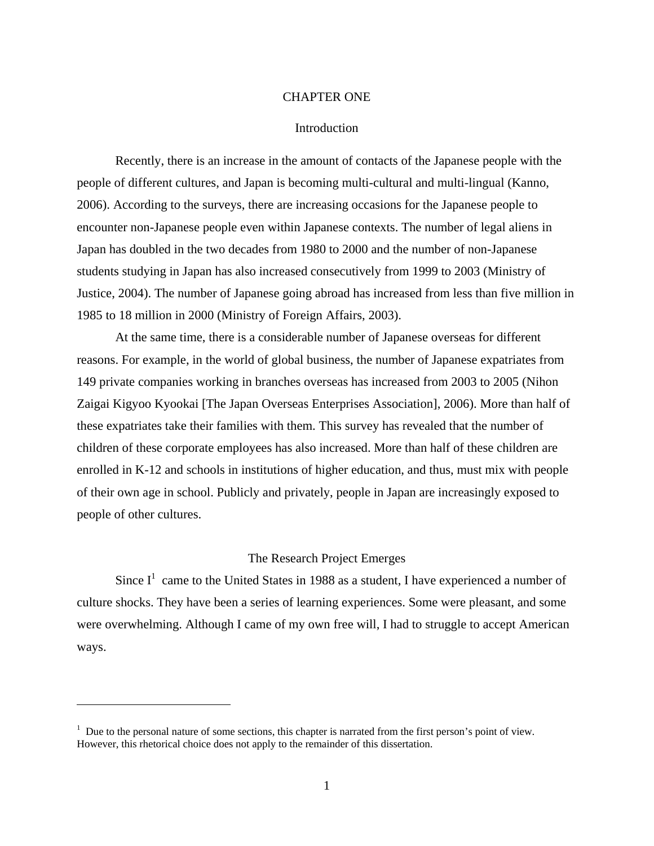#### CHAPTER ONE

#### **Introduction**

Recently, there is an increase in the amount of contacts of the Japanese people with the people of different cultures, and Japan is becoming multi-cultural and multi-lingual (Kanno, 2006). According to the surveys, there are increasing occasions for the Japanese people to encounter non-Japanese people even within Japanese contexts. The number of legal aliens in Japan has doubled in the two decades from 1980 to 2000 and the number of non-Japanese students studying in Japan has also increased consecutively from 1999 to 2003 (Ministry of Justice, 2004). The number of Japanese going abroad has increased from less than five million in 1985 to 18 million in 2000 (Ministry of Foreign Affairs, 2003).

At the same time, there is a considerable number of Japanese overseas for different reasons. For example, in the world of global business, the number of Japanese expatriates from 149 private companies working in branches overseas has increased from 2003 to 2005 (Nihon Zaigai Kigyoo Kyookai [The Japan Overseas Enterprises Association], 2006). More than half of these expatriates take their families with them. This survey has revealed that the number of children of these corporate employees has also increased. More than half of these children are enrolled in K-12 and schools in institutions of higher education, and thus, must mix with people of their own age in school. Publicly and privately, people in Japan are increasingly exposed to people of other cultures.

## The Research Project Emerges

Since  $I^1$  came to the United States in 1988 as a student, I have experienced a number of culture shocks. They have been a series of learning experiences. Some were pleasant, and some were overwhelming. Although I came of my own free will, I had to struggle to accept American ways.

 $\overline{a}$ 

<sup>&</sup>lt;sup>1</sup> Due to the personal nature of some sections, this chapter is narrated from the first person's point of view. However, this rhetorical choice does not apply to the remainder of this dissertation.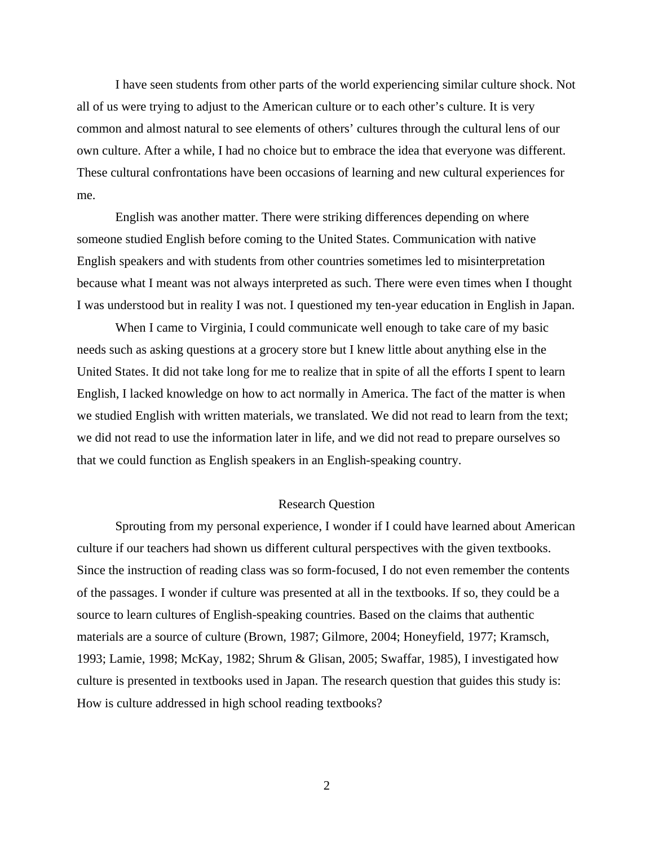I have seen students from other parts of the world experiencing similar culture shock. Not all of us were trying to adjust to the American culture or to each other's culture. It is very common and almost natural to see elements of others' cultures through the cultural lens of our own culture. After a while, I had no choice but to embrace the idea that everyone was different. These cultural confrontations have been occasions of learning and new cultural experiences for me.

English was another matter. There were striking differences depending on where someone studied English before coming to the United States. Communication with native English speakers and with students from other countries sometimes led to misinterpretation because what I meant was not always interpreted as such. There were even times when I thought I was understood but in reality I was not. I questioned my ten-year education in English in Japan.

When I came to Virginia, I could communicate well enough to take care of my basic needs such as asking questions at a grocery store but I knew little about anything else in the United States. It did not take long for me to realize that in spite of all the efforts I spent to learn English, I lacked knowledge on how to act normally in America. The fact of the matter is when we studied English with written materials, we translated. We did not read to learn from the text; we did not read to use the information later in life, and we did not read to prepare ourselves so that we could function as English speakers in an English-speaking country.

#### Research Question

Sprouting from my personal experience, I wonder if I could have learned about American culture if our teachers had shown us different cultural perspectives with the given textbooks. Since the instruction of reading class was so form-focused, I do not even remember the contents of the passages. I wonder if culture was presented at all in the textbooks. If so, they could be a source to learn cultures of English-speaking countries. Based on the claims that authentic materials are a source of culture (Brown, 1987; Gilmore, 2004; Honeyfield, 1977; Kramsch, 1993; Lamie, 1998; McKay, 1982; Shrum & Glisan, 2005; Swaffar, 1985), I investigated how culture is presented in textbooks used in Japan. The research question that guides this study is: How is culture addressed in high school reading textbooks?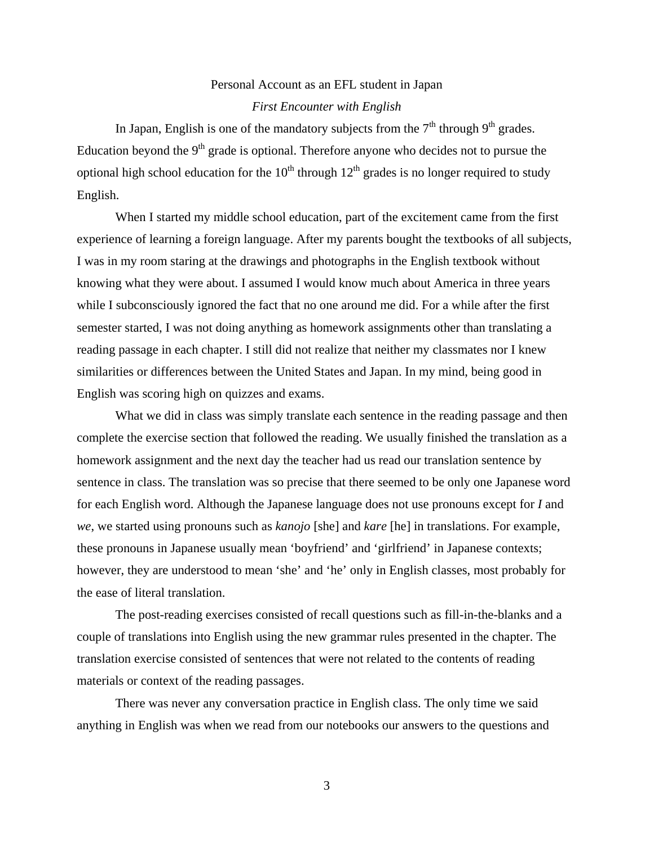# Personal Account as an EFL student in Japan *First Encounter with English*

In Japan, English is one of the mandatory subjects from the  $7<sup>th</sup>$  through  $9<sup>th</sup>$  grades. Education beyond the  $9<sup>th</sup>$  grade is optional. Therefore anyone who decides not to pursue the optional high school education for the  $10<sup>th</sup>$  through  $12<sup>th</sup>$  grades is no longer required to study English.

When I started my middle school education, part of the excitement came from the first experience of learning a foreign language. After my parents bought the textbooks of all subjects, I was in my room staring at the drawings and photographs in the English textbook without knowing what they were about. I assumed I would know much about America in three years while I subconsciously ignored the fact that no one around me did. For a while after the first semester started, I was not doing anything as homework assignments other than translating a reading passage in each chapter. I still did not realize that neither my classmates nor I knew similarities or differences between the United States and Japan. In my mind, being good in English was scoring high on quizzes and exams.

What we did in class was simply translate each sentence in the reading passage and then complete the exercise section that followed the reading. We usually finished the translation as a homework assignment and the next day the teacher had us read our translation sentence by sentence in class. The translation was so precise that there seemed to be only one Japanese word for each English word. Although the Japanese language does not use pronouns except for *I* and *we*, we started using pronouns such as *kanojo* [she] and *kare* [he] in translations. For example, these pronouns in Japanese usually mean 'boyfriend' and 'girlfriend' in Japanese contexts; however, they are understood to mean 'she' and 'he' only in English classes, most probably for the ease of literal translation.

The post-reading exercises consisted of recall questions such as fill-in-the-blanks and a couple of translations into English using the new grammar rules presented in the chapter. The translation exercise consisted of sentences that were not related to the contents of reading materials or context of the reading passages.

There was never any conversation practice in English class. The only time we said anything in English was when we read from our notebooks our answers to the questions and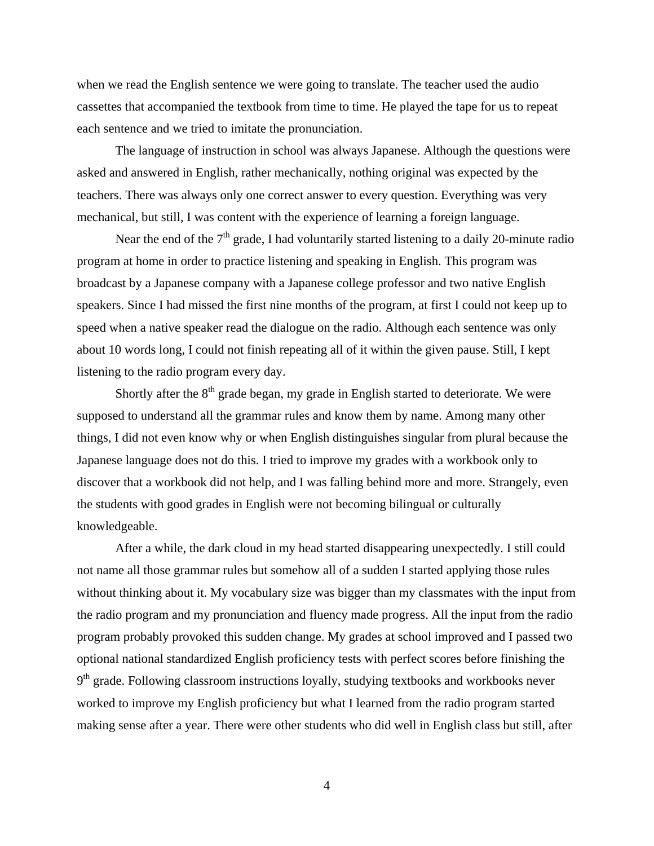when we read the English sentence we were going to translate. The teacher used the audio cassettes that accompanied the textbook from time to time. He played the tape for us to repeat each sentence and we tried to imitate the pronunciation.

The language of instruction in school was always Japanese. Although the questions were asked and answered in English, rather mechanically, nothing original was expected by the teachers. There was always only one correct answer to every question. Everything was very mechanical, but still, I was content with the experience of learning a foreign language.

Near the end of the  $7<sup>th</sup>$  grade, I had voluntarily started listening to a daily 20-minute radio program at home in order to practice listening and speaking in English. This program was broadcast by a Japanese company with a Japanese college professor and two native English speakers. Since I had missed the first nine months of the program, at first I could not keep up to speed when a native speaker read the dialogue on the radio. Although each sentence was only about 10 words long, I could not finish repeating all of it within the given pause. Still, I kept listening to the radio program every day.

Shortly after the  $8<sup>th</sup>$  grade began, my grade in English started to deteriorate. We were supposed to understand all the grammar rules and know them by name. Among many other things, I did not even know why or when English distinguishes singular from plural because the Japanese language does not do this. I tried to improve my grades with a workbook only to discover that a workbook did not help, and I was falling behind more and more. Strangely, even the students with good grades in English were not becoming bilingual or culturally knowledgeable.

After a while, the dark cloud in my head started disappearing unexpectedly. I still could not name all those grammar rules but somehow all of a sudden I started applying those rules without thinking about it. My vocabulary size was bigger than my classmates with the input from the radio program and my pronunciation and fluency made progress. All the input from the radio program probably provoked this sudden change. My grades at school improved and I passed two optional national standardized English proficiency tests with perfect scores before finishing the  $9<sup>th</sup>$  grade. Following classroom instructions loyally, studying textbooks and workbooks never worked to improve my English proficiency but what I learned from the radio program started making sense after a year. There were other students who did well in English class but still, after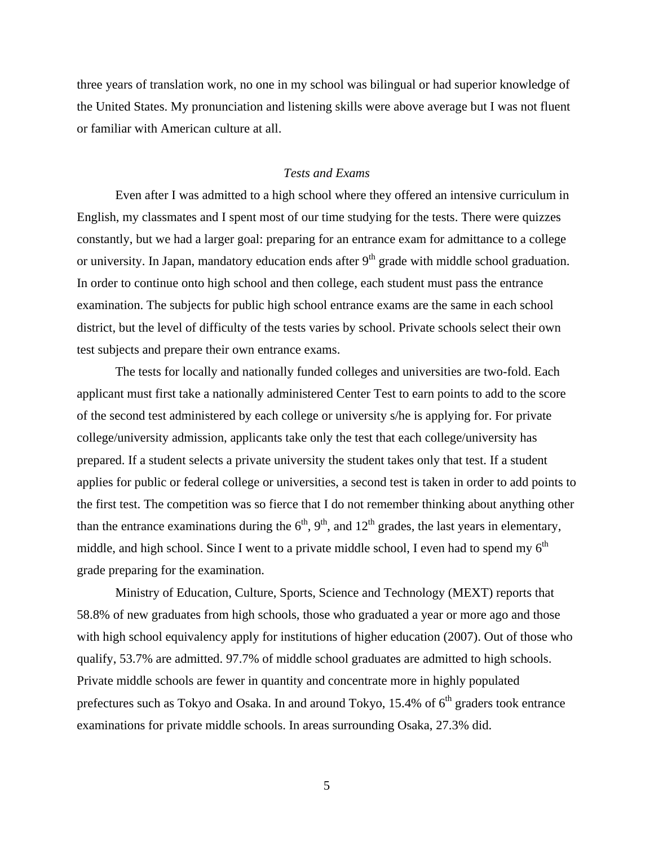three years of translation work, no one in my school was bilingual or had superior knowledge of the United States. My pronunciation and listening skills were above average but I was not fluent or familiar with American culture at all.

## *Tests and Exams*

Even after I was admitted to a high school where they offered an intensive curriculum in English, my classmates and I spent most of our time studying for the tests. There were quizzes constantly, but we had a larger goal: preparing for an entrance exam for admittance to a college or university. In Japan, mandatory education ends after  $9<sup>th</sup>$  grade with middle school graduation. In order to continue onto high school and then college, each student must pass the entrance examination. The subjects for public high school entrance exams are the same in each school district, but the level of difficulty of the tests varies by school. Private schools select their own test subjects and prepare their own entrance exams.

The tests for locally and nationally funded colleges and universities are two-fold. Each applicant must first take a nationally administered Center Test to earn points to add to the score of the second test administered by each college or university s/he is applying for. For private college/university admission, applicants take only the test that each college/university has prepared. If a student selects a private university the student takes only that test. If a student applies for public or federal college or universities, a second test is taken in order to add points to the first test. The competition was so fierce that I do not remember thinking about anything other than the entrance examinations during the  $6<sup>th</sup>$ ,  $9<sup>th</sup>$ , and  $12<sup>th</sup>$  grades, the last years in elementary, middle, and high school. Since I went to a private middle school, I even had to spend my  $6<sup>th</sup>$ grade preparing for the examination.

Ministry of Education, Culture, Sports, Science and Technology (MEXT) reports that 58.8% of new graduates from high schools, those who graduated a year or more ago and those with high school equivalency apply for institutions of higher education (2007). Out of those who qualify, 53.7% are admitted. 97.7% of middle school graduates are admitted to high schools. Private middle schools are fewer in quantity and concentrate more in highly populated prefectures such as Tokyo and Osaka. In and around Tokyo,  $15.4\%$  of  $6<sup>th</sup>$  graders took entrance examinations for private middle schools. In areas surrounding Osaka, 27.3% did.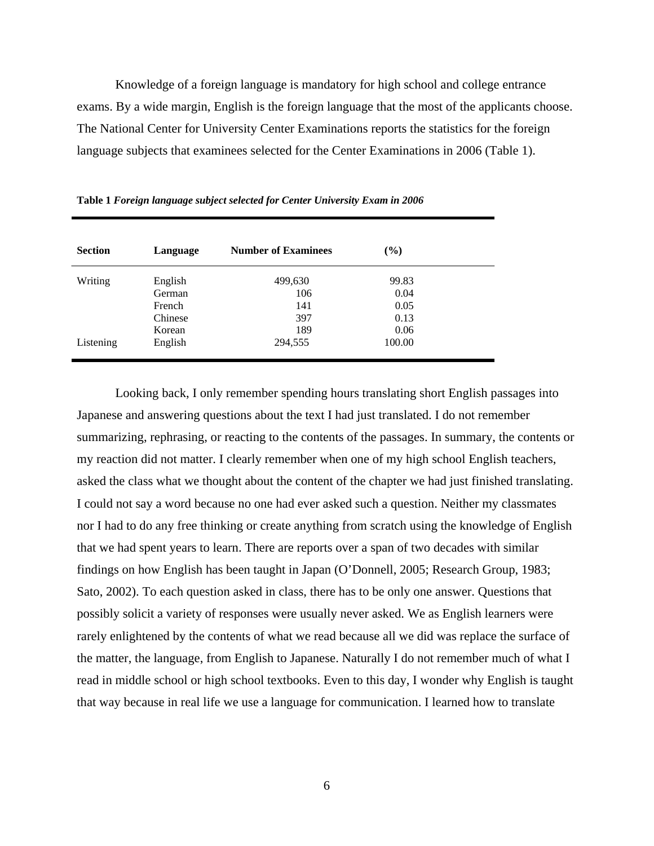Knowledge of a foreign language is mandatory for high school and college entrance exams. By a wide margin, English is the foreign language that the most of the applicants choose. The National Center for University Center Examinations reports the statistics for the foreign language subjects that examinees selected for the Center Examinations in 2006 (Table 1).

| <b>Section</b> | Language | <b>Number of Examinees</b> | $(\%)$ |  |
|----------------|----------|----------------------------|--------|--|
| Writing        | English  | 499,630                    | 99.83  |  |
|                | German   | 106                        | 0.04   |  |
|                | French   | 141                        | 0.05   |  |
|                | Chinese  | 397                        | 0.13   |  |
|                | Korean   | 189                        | 0.06   |  |
| Listening      | English  | 294,555                    | 100.00 |  |

**Table 1** *Foreign language subject selected for Center University Exam in 2006*

Looking back, I only remember spending hours translating short English passages into Japanese and answering questions about the text I had just translated. I do not remember summarizing, rephrasing, or reacting to the contents of the passages. In summary, the contents or my reaction did not matter. I clearly remember when one of my high school English teachers, asked the class what we thought about the content of the chapter we had just finished translating. I could not say a word because no one had ever asked such a question. Neither my classmates nor I had to do any free thinking or create anything from scratch using the knowledge of English that we had spent years to learn. There are reports over a span of two decades with similar findings on how English has been taught in Japan (O'Donnell, 2005; Research Group, 1983; Sato, 2002). To each question asked in class, there has to be only one answer. Questions that possibly solicit a variety of responses were usually never asked. We as English learners were rarely enlightened by the contents of what we read because all we did was replace the surface of the matter, the language, from English to Japanese. Naturally I do not remember much of what I read in middle school or high school textbooks. Even to this day, I wonder why English is taught that way because in real life we use a language for communication. I learned how to translate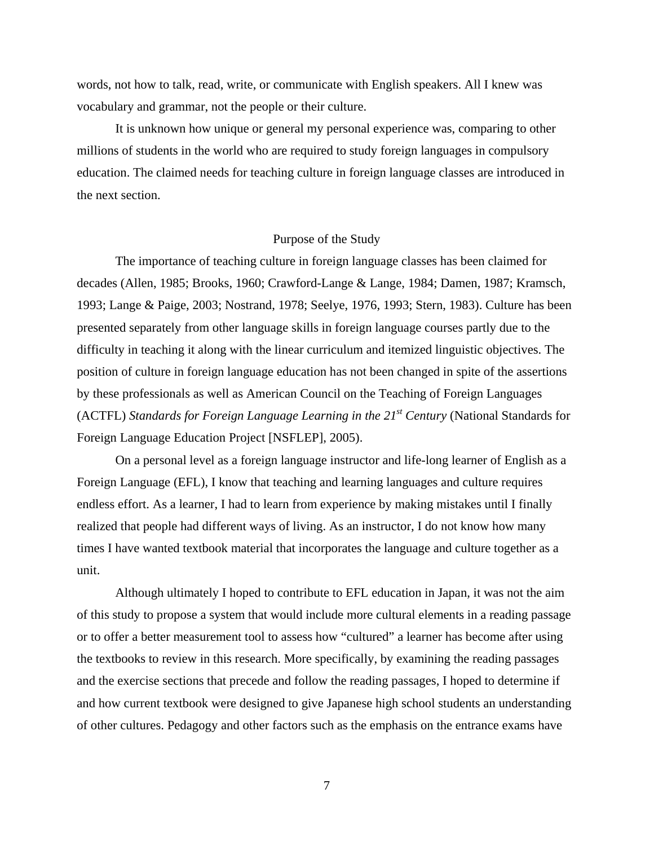words, not how to talk, read, write, or communicate with English speakers. All I knew was vocabulary and grammar, not the people or their culture.

It is unknown how unique or general my personal experience was, comparing to other millions of students in the world who are required to study foreign languages in compulsory education. The claimed needs for teaching culture in foreign language classes are introduced in the next section.

## Purpose of the Study

The importance of teaching culture in foreign language classes has been claimed for decades (Allen, 1985; Brooks, 1960; Crawford-Lange & Lange, 1984; Damen, 1987; Kramsch, 1993; Lange & Paige, 2003; Nostrand, 1978; Seelye, 1976, 1993; Stern, 1983). Culture has been presented separately from other language skills in foreign language courses partly due to the difficulty in teaching it along with the linear curriculum and itemized linguistic objectives. The position of culture in foreign language education has not been changed in spite of the assertions by these professionals as well as American Council on the Teaching of Foreign Languages (ACTFL) *Standards for Foreign Language Learning in the 21st Century* (National Standards for Foreign Language Education Project [NSFLEP], 2005).

On a personal level as a foreign language instructor and life-long learner of English as a Foreign Language (EFL), I know that teaching and learning languages and culture requires endless effort. As a learner, I had to learn from experience by making mistakes until I finally realized that people had different ways of living. As an instructor, I do not know how many times I have wanted textbook material that incorporates the language and culture together as a unit.

Although ultimately I hoped to contribute to EFL education in Japan, it was not the aim of this study to propose a system that would include more cultural elements in a reading passage or to offer a better measurement tool to assess how "cultured" a learner has become after using the textbooks to review in this research. More specifically, by examining the reading passages and the exercise sections that precede and follow the reading passages, I hoped to determine if and how current textbook were designed to give Japanese high school students an understanding of other cultures. Pedagogy and other factors such as the emphasis on the entrance exams have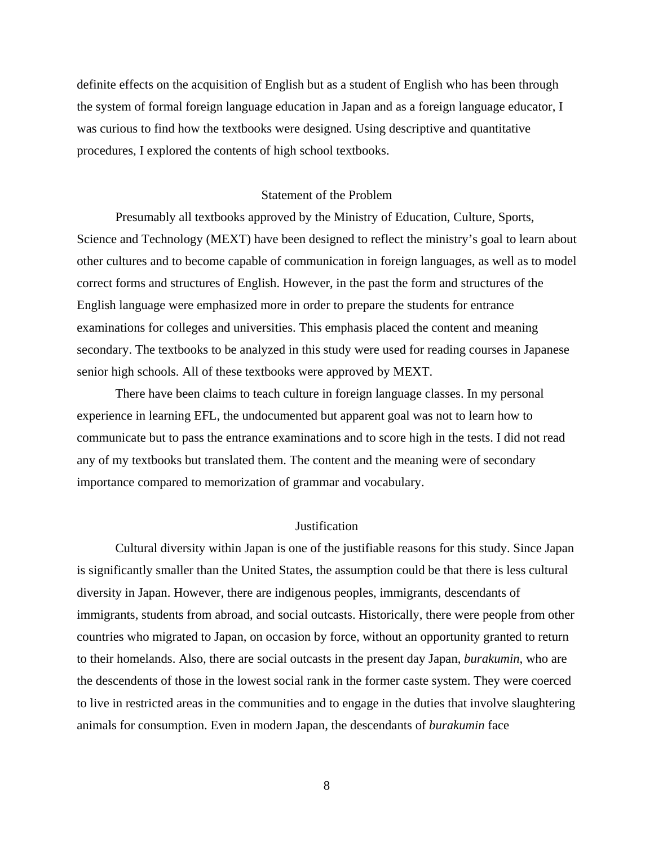definite effects on the acquisition of English but as a student of English who has been through the system of formal foreign language education in Japan and as a foreign language educator, I was curious to find how the textbooks were designed. Using descriptive and quantitative procedures, I explored the contents of high school textbooks.

#### Statement of the Problem

Presumably all textbooks approved by the Ministry of Education, Culture, Sports, Science and Technology (MEXT) have been designed to reflect the ministry's goal to learn about other cultures and to become capable of communication in foreign languages, as well as to model correct forms and structures of English. However, in the past the form and structures of the English language were emphasized more in order to prepare the students for entrance examinations for colleges and universities. This emphasis placed the content and meaning secondary. The textbooks to be analyzed in this study were used for reading courses in Japanese senior high schools. All of these textbooks were approved by MEXT.

There have been claims to teach culture in foreign language classes. In my personal experience in learning EFL, the undocumented but apparent goal was not to learn how to communicate but to pass the entrance examinations and to score high in the tests. I did not read any of my textbooks but translated them. The content and the meaning were of secondary importance compared to memorization of grammar and vocabulary.

## **Justification**

Cultural diversity within Japan is one of the justifiable reasons for this study. Since Japan is significantly smaller than the United States, the assumption could be that there is less cultural diversity in Japan. However, there are indigenous peoples, immigrants, descendants of immigrants, students from abroad, and social outcasts. Historically, there were people from other countries who migrated to Japan, on occasion by force, without an opportunity granted to return to their homelands. Also, there are social outcasts in the present day Japan, *burakumin*, who are the descendents of those in the lowest social rank in the former caste system. They were coerced to live in restricted areas in the communities and to engage in the duties that involve slaughtering animals for consumption. Even in modern Japan, the descendants of *burakumin* face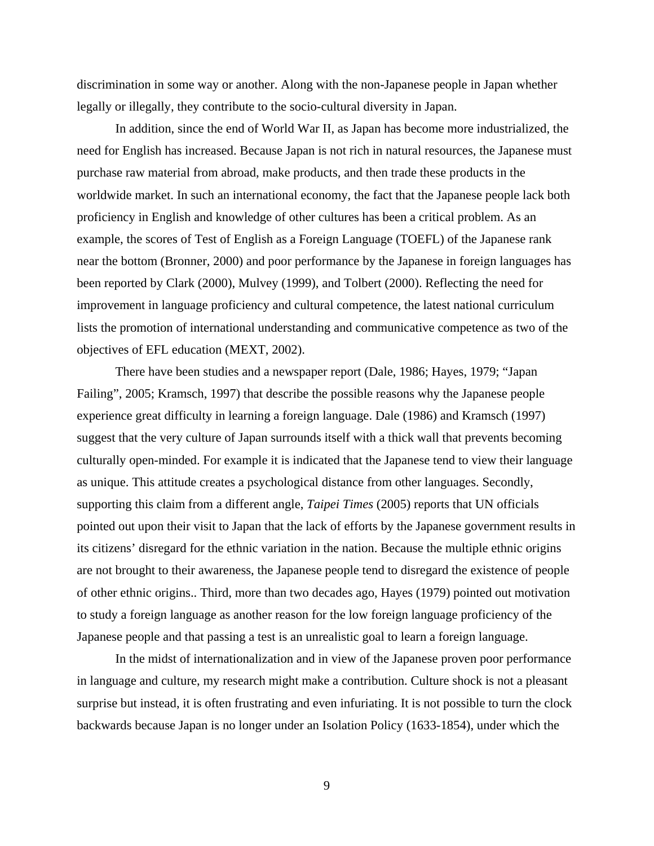discrimination in some way or another. Along with the non-Japanese people in Japan whether legally or illegally, they contribute to the socio-cultural diversity in Japan.

In addition, since the end of World War II, as Japan has become more industrialized, the need for English has increased. Because Japan is not rich in natural resources, the Japanese must purchase raw material from abroad, make products, and then trade these products in the worldwide market. In such an international economy, the fact that the Japanese people lack both proficiency in English and knowledge of other cultures has been a critical problem. As an example, the scores of Test of English as a Foreign Language (TOEFL) of the Japanese rank near the bottom (Bronner, 2000) and poor performance by the Japanese in foreign languages has been reported by Clark (2000), Mulvey (1999), and Tolbert (2000). Reflecting the need for improvement in language proficiency and cultural competence, the latest national curriculum lists the promotion of international understanding and communicative competence as two of the objectives of EFL education (MEXT, 2002).

There have been studies and a newspaper report (Dale, 1986; Hayes, 1979; "Japan Failing", 2005; Kramsch, 1997) that describe the possible reasons why the Japanese people experience great difficulty in learning a foreign language. Dale (1986) and Kramsch (1997) suggest that the very culture of Japan surrounds itself with a thick wall that prevents becoming culturally open-minded. For example it is indicated that the Japanese tend to view their language as unique. This attitude creates a psychological distance from other languages. Secondly, supporting this claim from a different angle, *Taipei Times* (2005) reports that UN officials pointed out upon their visit to Japan that the lack of efforts by the Japanese government results in its citizens' disregard for the ethnic variation in the nation. Because the multiple ethnic origins are not brought to their awareness, the Japanese people tend to disregard the existence of people of other ethnic origins.. Third, more than two decades ago, Hayes (1979) pointed out motivation to study a foreign language as another reason for the low foreign language proficiency of the Japanese people and that passing a test is an unrealistic goal to learn a foreign language.

In the midst of internationalization and in view of the Japanese proven poor performance in language and culture, my research might make a contribution. Culture shock is not a pleasant surprise but instead, it is often frustrating and even infuriating. It is not possible to turn the clock backwards because Japan is no longer under an Isolation Policy (1633-1854), under which the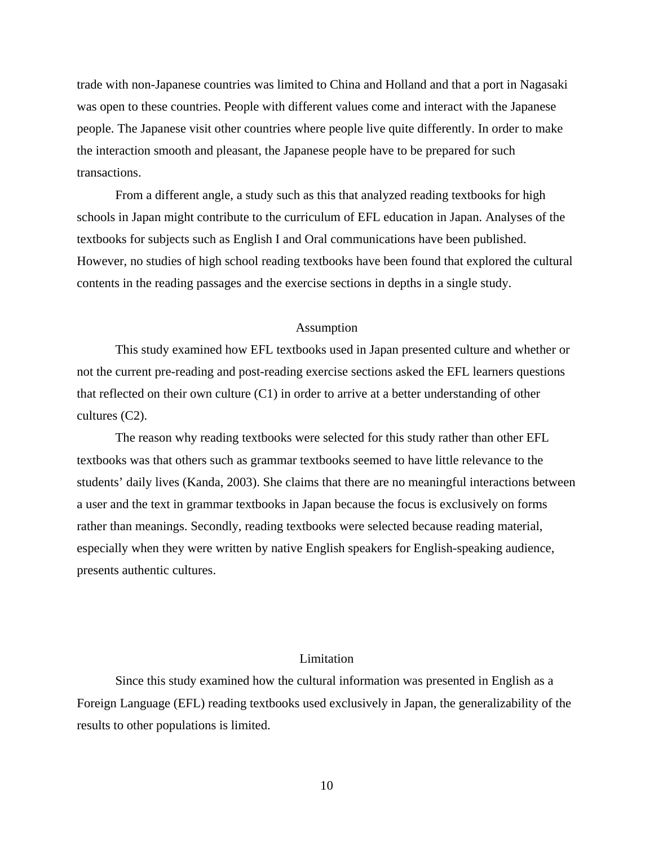trade with non-Japanese countries was limited to China and Holland and that a port in Nagasaki was open to these countries. People with different values come and interact with the Japanese people. The Japanese visit other countries where people live quite differently. In order to make the interaction smooth and pleasant, the Japanese people have to be prepared for such transactions.

From a different angle, a study such as this that analyzed reading textbooks for high schools in Japan might contribute to the curriculum of EFL education in Japan. Analyses of the textbooks for subjects such as English I and Oral communications have been published. However, no studies of high school reading textbooks have been found that explored the cultural contents in the reading passages and the exercise sections in depths in a single study.

#### Assumption

This study examined how EFL textbooks used in Japan presented culture and whether or not the current pre-reading and post-reading exercise sections asked the EFL learners questions that reflected on their own culture (C1) in order to arrive at a better understanding of other cultures (C2).

The reason why reading textbooks were selected for this study rather than other EFL textbooks was that others such as grammar textbooks seemed to have little relevance to the students' daily lives (Kanda, 2003). She claims that there are no meaningful interactions between a user and the text in grammar textbooks in Japan because the focus is exclusively on forms rather than meanings. Secondly, reading textbooks were selected because reading material, especially when they were written by native English speakers for English-speaking audience, presents authentic cultures.

## Limitation

Since this study examined how the cultural information was presented in English as a Foreign Language (EFL) reading textbooks used exclusively in Japan, the generalizability of the results to other populations is limited.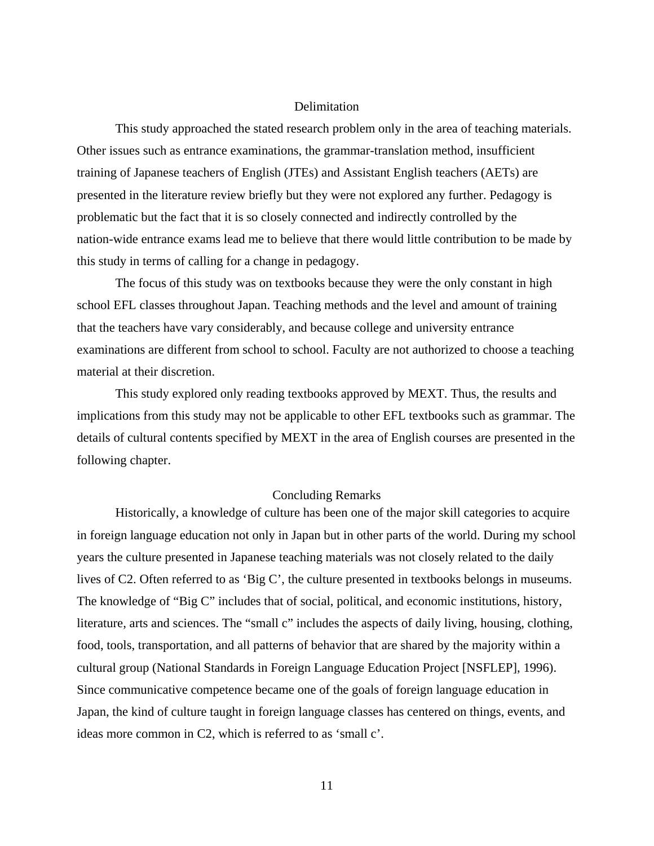#### **Delimitation**

This study approached the stated research problem only in the area of teaching materials. Other issues such as entrance examinations, the grammar-translation method, insufficient training of Japanese teachers of English (JTEs) and Assistant English teachers (AETs) are presented in the literature review briefly but they were not explored any further. Pedagogy is problematic but the fact that it is so closely connected and indirectly controlled by the nation-wide entrance exams lead me to believe that there would little contribution to be made by this study in terms of calling for a change in pedagogy.

The focus of this study was on textbooks because they were the only constant in high school EFL classes throughout Japan. Teaching methods and the level and amount of training that the teachers have vary considerably, and because college and university entrance examinations are different from school to school. Faculty are not authorized to choose a teaching material at their discretion.

This study explored only reading textbooks approved by MEXT. Thus, the results and implications from this study may not be applicable to other EFL textbooks such as grammar. The details of cultural contents specified by MEXT in the area of English courses are presented in the following chapter.

## Concluding Remarks

Historically, a knowledge of culture has been one of the major skill categories to acquire in foreign language education not only in Japan but in other parts of the world. During my school years the culture presented in Japanese teaching materials was not closely related to the daily lives of C2. Often referred to as 'Big C', the culture presented in textbooks belongs in museums. The knowledge of "Big C" includes that of social, political, and economic institutions, history, literature, arts and sciences. The "small c" includes the aspects of daily living, housing, clothing, food, tools, transportation, and all patterns of behavior that are shared by the majority within a cultural group (National Standards in Foreign Language Education Project [NSFLEP], 1996). Since communicative competence became one of the goals of foreign language education in Japan, the kind of culture taught in foreign language classes has centered on things, events, and ideas more common in C2, which is referred to as 'small c'.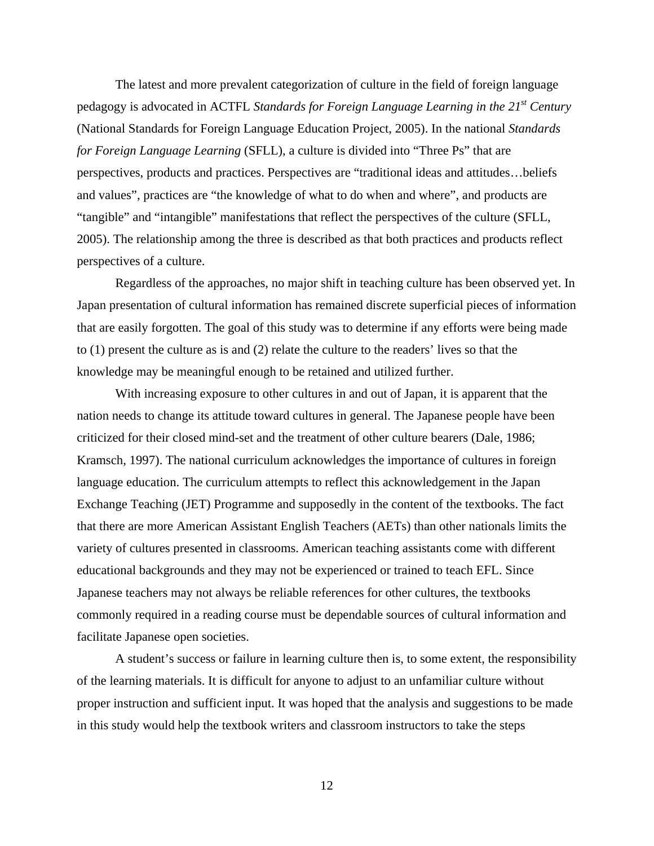The latest and more prevalent categorization of culture in the field of foreign language pedagogy is advocated in ACTFL *Standards for Foreign Language Learning in the 21st Century* (National Standards for Foreign Language Education Project, 2005). In the national *Standards for Foreign Language Learning* (SFLL), a culture is divided into "Three Ps" that are perspectives, products and practices. Perspectives are "traditional ideas and attitudes…beliefs and values", practices are "the knowledge of what to do when and where", and products are "tangible" and "intangible" manifestations that reflect the perspectives of the culture (SFLL, 2005). The relationship among the three is described as that both practices and products reflect perspectives of a culture.

Regardless of the approaches, no major shift in teaching culture has been observed yet. In Japan presentation of cultural information has remained discrete superficial pieces of information that are easily forgotten. The goal of this study was to determine if any efforts were being made to (1) present the culture as is and (2) relate the culture to the readers' lives so that the knowledge may be meaningful enough to be retained and utilized further.

With increasing exposure to other cultures in and out of Japan, it is apparent that the nation needs to change its attitude toward cultures in general. The Japanese people have been criticized for their closed mind-set and the treatment of other culture bearers (Dale, 1986; Kramsch, 1997). The national curriculum acknowledges the importance of cultures in foreign language education. The curriculum attempts to reflect this acknowledgement in the Japan Exchange Teaching (JET) Programme and supposedly in the content of the textbooks. The fact that there are more American Assistant English Teachers (AETs) than other nationals limits the variety of cultures presented in classrooms. American teaching assistants come with different educational backgrounds and they may not be experienced or trained to teach EFL. Since Japanese teachers may not always be reliable references for other cultures, the textbooks commonly required in a reading course must be dependable sources of cultural information and facilitate Japanese open societies.

A student's success or failure in learning culture then is, to some extent, the responsibility of the learning materials. It is difficult for anyone to adjust to an unfamiliar culture without proper instruction and sufficient input. It was hoped that the analysis and suggestions to be made in this study would help the textbook writers and classroom instructors to take the steps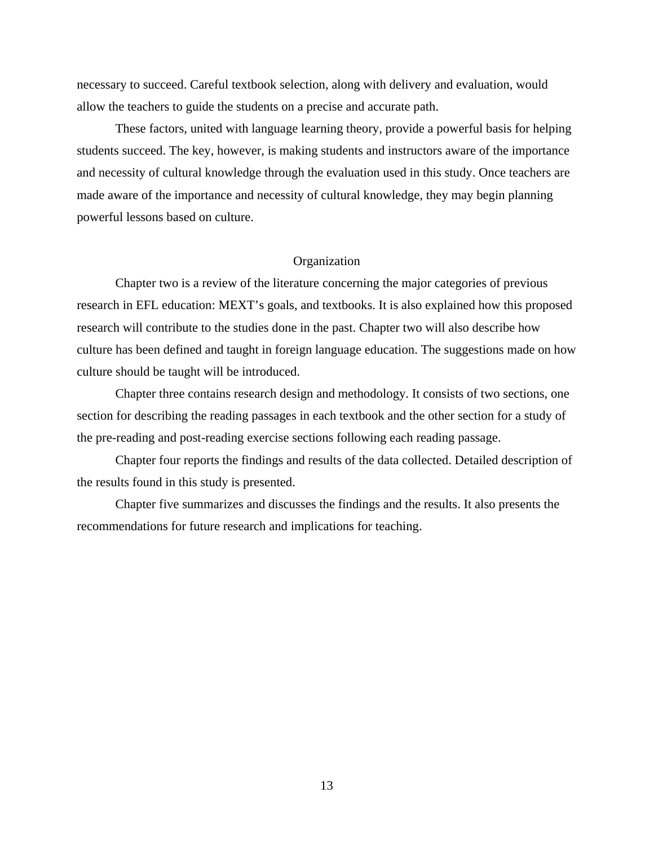necessary to succeed. Careful textbook selection, along with delivery and evaluation, would allow the teachers to guide the students on a precise and accurate path.

 These factors, united with language learning theory, provide a powerful basis for helping students succeed. The key, however, is making students and instructors aware of the importance and necessity of cultural knowledge through the evaluation used in this study. Once teachers are made aware of the importance and necessity of cultural knowledge, they may begin planning powerful lessons based on culture.

#### Organization

Chapter two is a review of the literature concerning the major categories of previous research in EFL education: MEXT's goals, and textbooks. It is also explained how this proposed research will contribute to the studies done in the past. Chapter two will also describe how culture has been defined and taught in foreign language education. The suggestions made on how culture should be taught will be introduced.

Chapter three contains research design and methodology. It consists of two sections, one section for describing the reading passages in each textbook and the other section for a study of the pre-reading and post-reading exercise sections following each reading passage.

Chapter four reports the findings and results of the data collected. Detailed description of the results found in this study is presented.

Chapter five summarizes and discusses the findings and the results. It also presents the recommendations for future research and implications for teaching.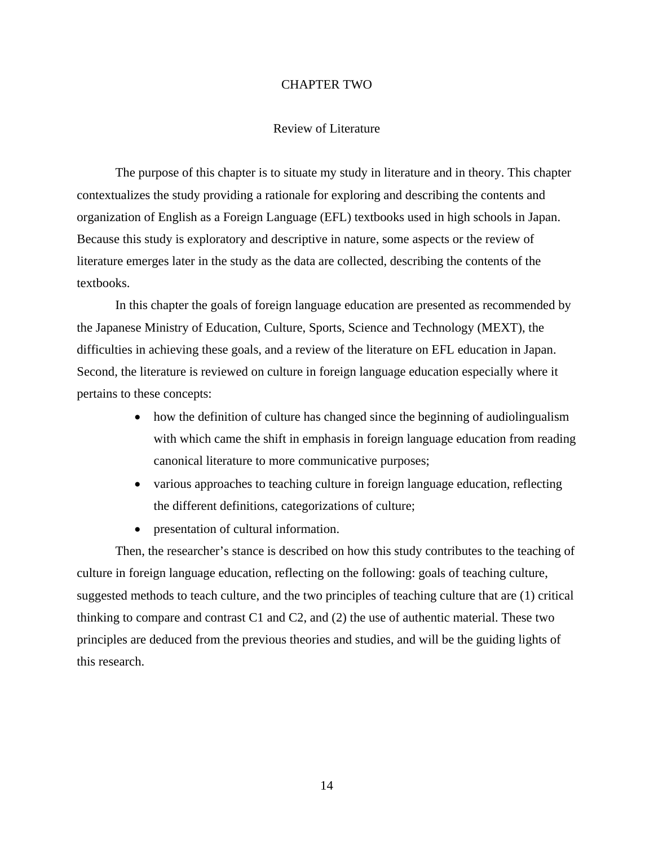#### CHAPTER TWO

#### Review of Literature

The purpose of this chapter is to situate my study in literature and in theory. This chapter contextualizes the study providing a rationale for exploring and describing the contents and organization of English as a Foreign Language (EFL) textbooks used in high schools in Japan. Because this study is exploratory and descriptive in nature, some aspects or the review of literature emerges later in the study as the data are collected, describing the contents of the textbooks.

In this chapter the goals of foreign language education are presented as recommended by the Japanese Ministry of Education, Culture, Sports, Science and Technology (MEXT), the difficulties in achieving these goals, and a review of the literature on EFL education in Japan. Second, the literature is reviewed on culture in foreign language education especially where it pertains to these concepts:

- how the definition of culture has changed since the beginning of audiolingualism with which came the shift in emphasis in foreign language education from reading canonical literature to more communicative purposes;
- various approaches to teaching culture in foreign language education, reflecting the different definitions, categorizations of culture;
- presentation of cultural information.

Then, the researcher's stance is described on how this study contributes to the teaching of culture in foreign language education, reflecting on the following: goals of teaching culture, suggested methods to teach culture, and the two principles of teaching culture that are (1) critical thinking to compare and contrast C1 and C2, and (2) the use of authentic material. These two principles are deduced from the previous theories and studies, and will be the guiding lights of this research.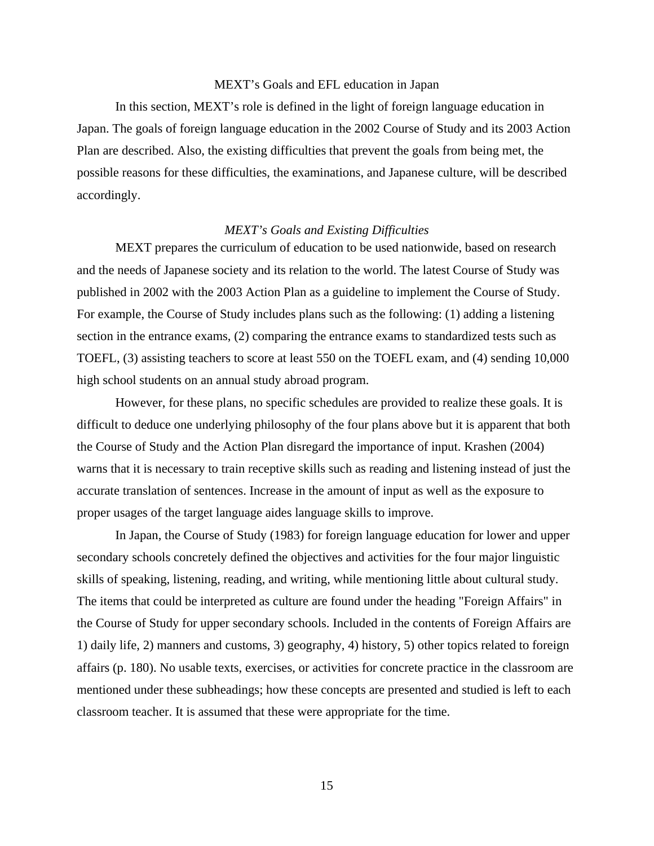#### MEXT's Goals and EFL education in Japan

In this section, MEXT's role is defined in the light of foreign language education in Japan. The goals of foreign language education in the 2002 Course of Study and its 2003 Action Plan are described. Also, the existing difficulties that prevent the goals from being met, the possible reasons for these difficulties, the examinations, and Japanese culture, will be described accordingly.

## *MEXT's Goals and Existing Difficulties*

MEXT prepares the curriculum of education to be used nationwide, based on research and the needs of Japanese society and its relation to the world. The latest Course of Study was published in 2002 with the 2003 Action Plan as a guideline to implement the Course of Study. For example, the Course of Study includes plans such as the following: (1) adding a listening section in the entrance exams, (2) comparing the entrance exams to standardized tests such as TOEFL, (3) assisting teachers to score at least 550 on the TOEFL exam, and (4) sending 10,000 high school students on an annual study abroad program.

However, for these plans, no specific schedules are provided to realize these goals. It is difficult to deduce one underlying philosophy of the four plans above but it is apparent that both the Course of Study and the Action Plan disregard the importance of input. Krashen (2004) warns that it is necessary to train receptive skills such as reading and listening instead of just the accurate translation of sentences. Increase in the amount of input as well as the exposure to proper usages of the target language aides language skills to improve.

In Japan, the Course of Study (1983) for foreign language education for lower and upper secondary schools concretely defined the objectives and activities for the four major linguistic skills of speaking, listening, reading, and writing, while mentioning little about cultural study. The items that could be interpreted as culture are found under the heading "Foreign Affairs" in the Course of Study for upper secondary schools. Included in the contents of Foreign Affairs are 1) daily life, 2) manners and customs, 3) geography, 4) history, 5) other topics related to foreign affairs (p. 180). No usable texts, exercises, or activities for concrete practice in the classroom are mentioned under these subheadings; how these concepts are presented and studied is left to each classroom teacher. It is assumed that these were appropriate for the time.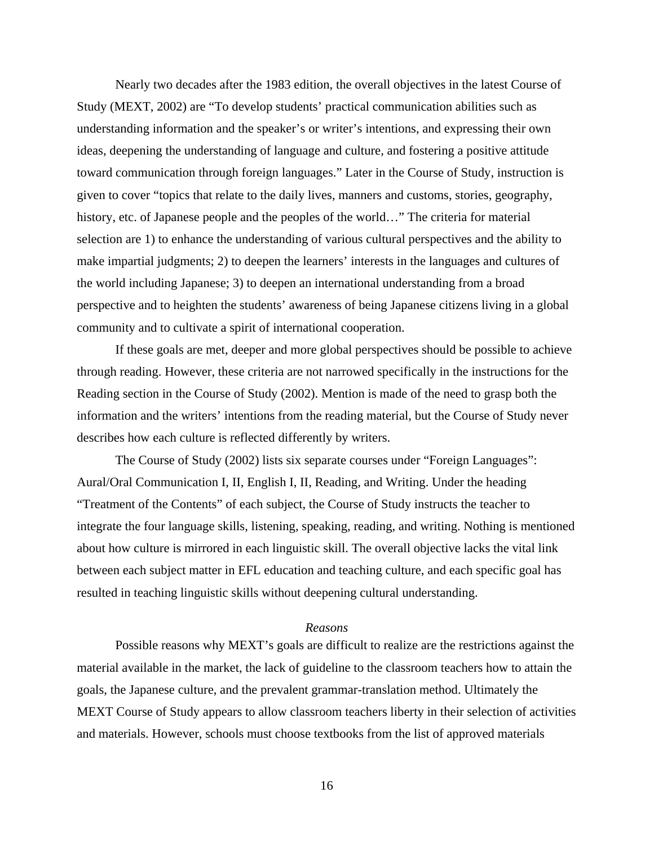Nearly two decades after the 1983 edition, the overall objectives in the latest Course of Study (MEXT, 2002) are "To develop students' practical communication abilities such as understanding information and the speaker's or writer's intentions, and expressing their own ideas, deepening the understanding of language and culture, and fostering a positive attitude toward communication through foreign languages." Later in the Course of Study, instruction is given to cover "topics that relate to the daily lives, manners and customs, stories, geography, history, etc. of Japanese people and the peoples of the world…" The criteria for material selection are 1) to enhance the understanding of various cultural perspectives and the ability to make impartial judgments; 2) to deepen the learners' interests in the languages and cultures of the world including Japanese; 3) to deepen an international understanding from a broad perspective and to heighten the students' awareness of being Japanese citizens living in a global community and to cultivate a spirit of international cooperation.

If these goals are met, deeper and more global perspectives should be possible to achieve through reading. However, these criteria are not narrowed specifically in the instructions for the Reading section in the Course of Study (2002). Mention is made of the need to grasp both the information and the writers' intentions from the reading material, but the Course of Study never describes how each culture is reflected differently by writers.

The Course of Study (2002) lists six separate courses under "Foreign Languages": Aural/Oral Communication I, II, English I, II, Reading, and Writing. Under the heading "Treatment of the Contents" of each subject, the Course of Study instructs the teacher to integrate the four language skills, listening, speaking, reading, and writing. Nothing is mentioned about how culture is mirrored in each linguistic skill. The overall objective lacks the vital link between each subject matter in EFL education and teaching culture, and each specific goal has resulted in teaching linguistic skills without deepening cultural understanding.

## *Reasons*

Possible reasons why MEXT's goals are difficult to realize are the restrictions against the material available in the market, the lack of guideline to the classroom teachers how to attain the goals, the Japanese culture, and the prevalent grammar-translation method. Ultimately the MEXT Course of Study appears to allow classroom teachers liberty in their selection of activities and materials. However, schools must choose textbooks from the list of approved materials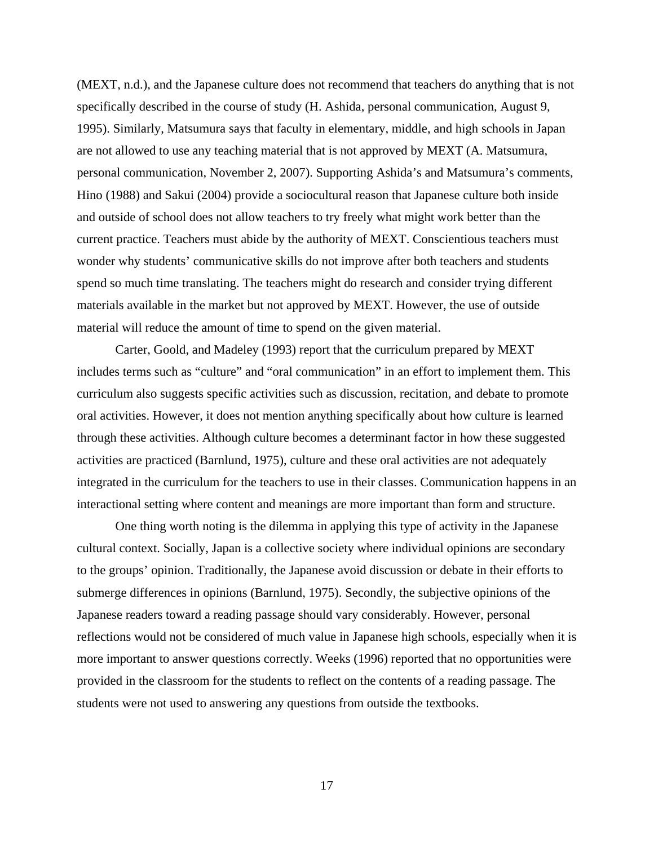(MEXT, n.d.), and the Japanese culture does not recommend that teachers do anything that is not specifically described in the course of study (H. Ashida, personal communication, August 9, 1995). Similarly, Matsumura says that faculty in elementary, middle, and high schools in Japan are not allowed to use any teaching material that is not approved by MEXT (A. Matsumura, personal communication, November 2, 2007). Supporting Ashida's and Matsumura's comments, Hino (1988) and Sakui (2004) provide a sociocultural reason that Japanese culture both inside and outside of school does not allow teachers to try freely what might work better than the current practice. Teachers must abide by the authority of MEXT. Conscientious teachers must wonder why students' communicative skills do not improve after both teachers and students spend so much time translating. The teachers might do research and consider trying different materials available in the market but not approved by MEXT. However, the use of outside material will reduce the amount of time to spend on the given material.

Carter, Goold, and Madeley (1993) report that the curriculum prepared by MEXT includes terms such as "culture" and "oral communication" in an effort to implement them. This curriculum also suggests specific activities such as discussion, recitation, and debate to promote oral activities. However, it does not mention anything specifically about how culture is learned through these activities. Although culture becomes a determinant factor in how these suggested activities are practiced (Barnlund, 1975), culture and these oral activities are not adequately integrated in the curriculum for the teachers to use in their classes. Communication happens in an interactional setting where content and meanings are more important than form and structure.

One thing worth noting is the dilemma in applying this type of activity in the Japanese cultural context. Socially, Japan is a collective society where individual opinions are secondary to the groups' opinion. Traditionally, the Japanese avoid discussion or debate in their efforts to submerge differences in opinions (Barnlund, 1975). Secondly, the subjective opinions of the Japanese readers toward a reading passage should vary considerably. However, personal reflections would not be considered of much value in Japanese high schools, especially when it is more important to answer questions correctly. Weeks (1996) reported that no opportunities were provided in the classroom for the students to reflect on the contents of a reading passage. The students were not used to answering any questions from outside the textbooks.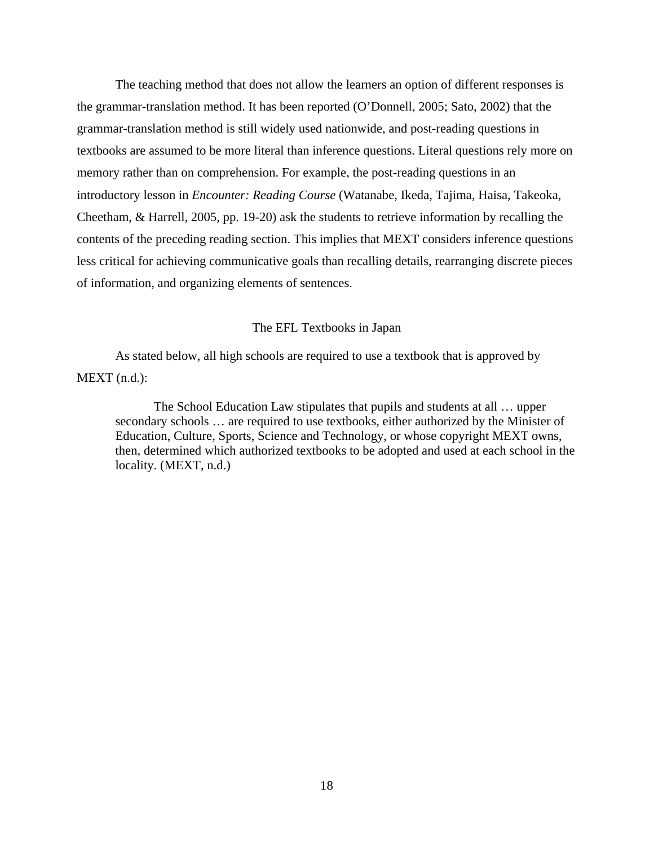The teaching method that does not allow the learners an option of different responses is the grammar-translation method. It has been reported (O'Donnell, 2005; Sato, 2002) that the grammar-translation method is still widely used nationwide, and post-reading questions in textbooks are assumed to be more literal than inference questions. Literal questions rely more on memory rather than on comprehension. For example, the post-reading questions in an introductory lesson in *Encounter: Reading Course* (Watanabe, Ikeda, Tajima, Haisa, Takeoka, Cheetham, & Harrell, 2005, pp. 19-20) ask the students to retrieve information by recalling the contents of the preceding reading section. This implies that MEXT considers inference questions less critical for achieving communicative goals than recalling details, rearranging discrete pieces of information, and organizing elements of sentences.

#### The EFL Textbooks in Japan

 As stated below, all high schools are required to use a textbook that is approved by MEXT (n.d.):

The School Education Law stipulates that pupils and students at all … upper secondary schools … are required to use textbooks, either authorized by the Minister of Education, Culture, Sports, Science and Technology, or whose copyright MEXT owns, then, determined which authorized textbooks to be adopted and used at each school in the locality. (MEXT, n.d.)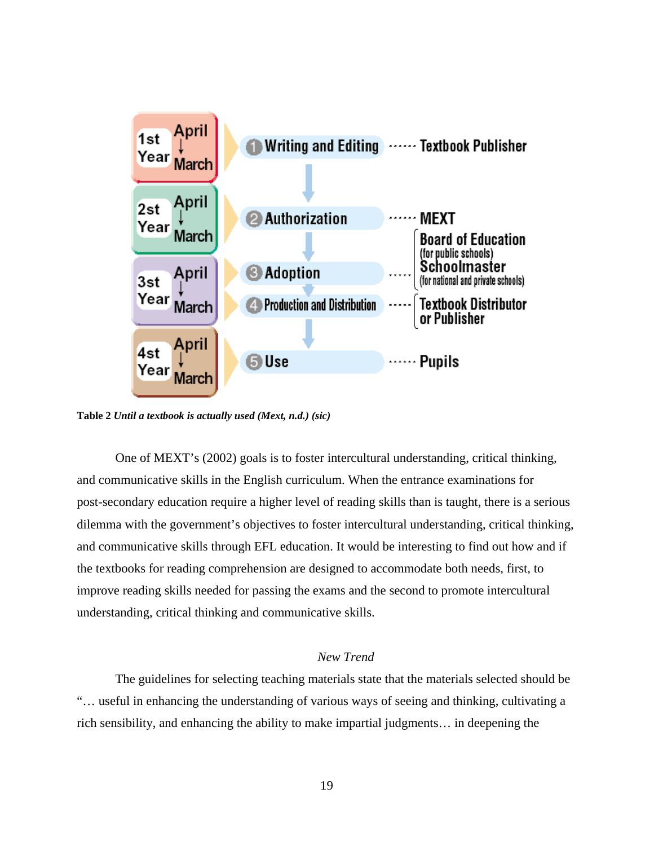

**Table 2** *Until a textbook is actually used (Mext, n.d.) (sic)* 

One of MEXT's (2002) goals is to foster intercultural understanding, critical thinking, and communicative skills in the English curriculum. When the entrance examinations for post-secondary education require a higher level of reading skills than is taught, there is a serious dilemma with the government's objectives to foster intercultural understanding, critical thinking, and communicative skills through EFL education. It would be interesting to find out how and if the textbooks for reading comprehension are designed to accommodate both needs, first, to improve reading skills needed for passing the exams and the second to promote intercultural understanding, critical thinking and communicative skills.

## *New Trend*

The guidelines for selecting teaching materials state that the materials selected should be "… useful in enhancing the understanding of various ways of seeing and thinking, cultivating a rich sensibility, and enhancing the ability to make impartial judgments… in deepening the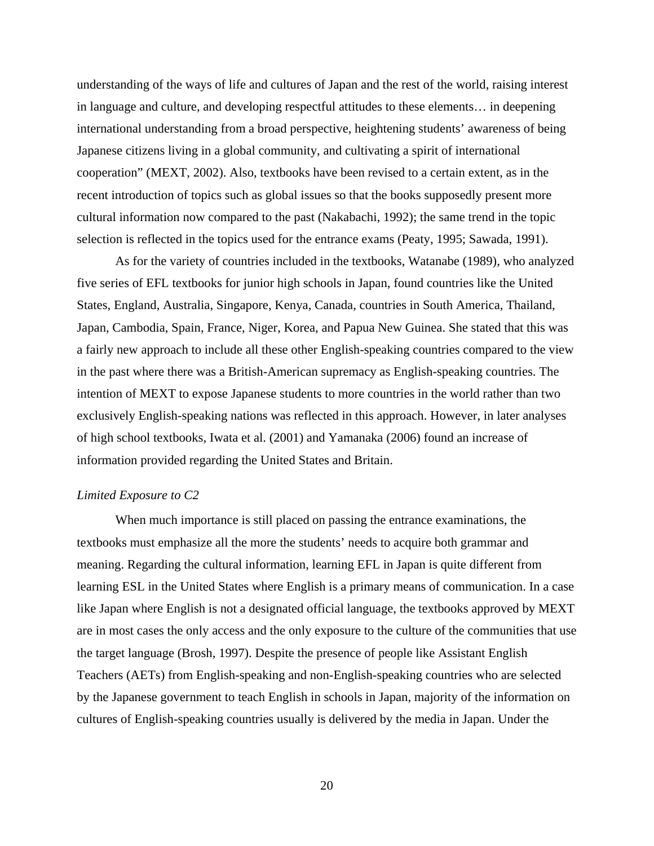understanding of the ways of life and cultures of Japan and the rest of the world, raising interest in language and culture, and developing respectful attitudes to these elements… in deepening international understanding from a broad perspective, heightening students' awareness of being Japanese citizens living in a global community, and cultivating a spirit of international cooperation" (MEXT, 2002). Also, textbooks have been revised to a certain extent, as in the recent introduction of topics such as global issues so that the books supposedly present more cultural information now compared to the past (Nakabachi, 1992); the same trend in the topic selection is reflected in the topics used for the entrance exams (Peaty, 1995; Sawada, 1991).

As for the variety of countries included in the textbooks, Watanabe (1989), who analyzed five series of EFL textbooks for junior high schools in Japan, found countries like the United States, England, Australia, Singapore, Kenya, Canada, countries in South America, Thailand, Japan, Cambodia, Spain, France, Niger, Korea, and Papua New Guinea. She stated that this was a fairly new approach to include all these other English-speaking countries compared to the view in the past where there was a British-American supremacy as English-speaking countries. The intention of MEXT to expose Japanese students to more countries in the world rather than two exclusively English-speaking nations was reflected in this approach. However, in later analyses of high school textbooks, Iwata et al. (2001) and Yamanaka (2006) found an increase of information provided regarding the United States and Britain.

## *Limited Exposure to C2*

When much importance is still placed on passing the entrance examinations, the textbooks must emphasize all the more the students' needs to acquire both grammar and meaning. Regarding the cultural information, learning EFL in Japan is quite different from learning ESL in the United States where English is a primary means of communication. In a case like Japan where English is not a designated official language, the textbooks approved by MEXT are in most cases the only access and the only exposure to the culture of the communities that use the target language (Brosh, 1997). Despite the presence of people like Assistant English Teachers (AETs) from English-speaking and non-English-speaking countries who are selected by the Japanese government to teach English in schools in Japan, majority of the information on cultures of English-speaking countries usually is delivered by the media in Japan. Under the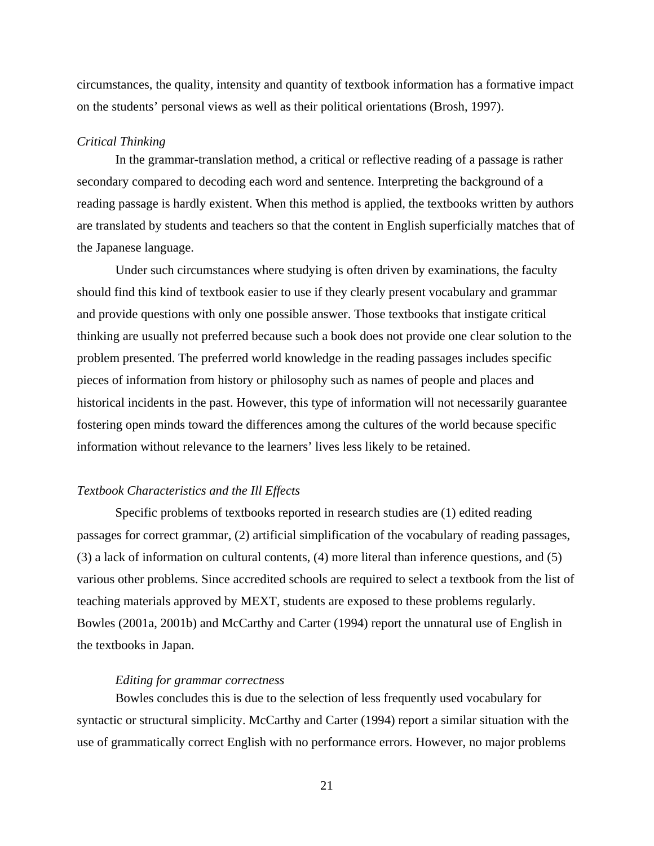circumstances, the quality, intensity and quantity of textbook information has a formative impact on the students' personal views as well as their political orientations (Brosh, 1997).

#### *Critical Thinking*

In the grammar-translation method, a critical or reflective reading of a passage is rather secondary compared to decoding each word and sentence. Interpreting the background of a reading passage is hardly existent. When this method is applied, the textbooks written by authors are translated by students and teachers so that the content in English superficially matches that of the Japanese language.

Under such circumstances where studying is often driven by examinations, the faculty should find this kind of textbook easier to use if they clearly present vocabulary and grammar and provide questions with only one possible answer. Those textbooks that instigate critical thinking are usually not preferred because such a book does not provide one clear solution to the problem presented. The preferred world knowledge in the reading passages includes specific pieces of information from history or philosophy such as names of people and places and historical incidents in the past. However, this type of information will not necessarily guarantee fostering open minds toward the differences among the cultures of the world because specific information without relevance to the learners' lives less likely to be retained.

#### *Textbook Characteristics and the Ill Effects*

Specific problems of textbooks reported in research studies are (1) edited reading passages for correct grammar, (2) artificial simplification of the vocabulary of reading passages, (3) a lack of information on cultural contents, (4) more literal than inference questions, and (5) various other problems. Since accredited schools are required to select a textbook from the list of teaching materials approved by MEXT, students are exposed to these problems regularly. Bowles (2001a, 2001b) and McCarthy and Carter (1994) report the unnatural use of English in the textbooks in Japan.

## *Editing for grammar correctness*

Bowles concludes this is due to the selection of less frequently used vocabulary for syntactic or structural simplicity. McCarthy and Carter (1994) report a similar situation with the use of grammatically correct English with no performance errors. However, no major problems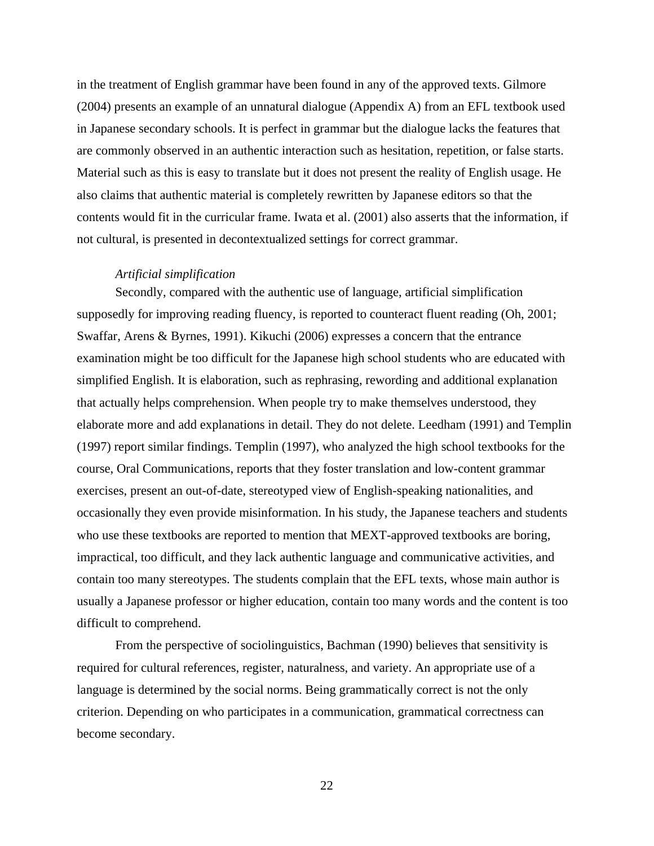in the treatment of English grammar have been found in any of the approved texts. Gilmore (2004) presents an example of an unnatural dialogue (Appendix A) from an EFL textbook used in Japanese secondary schools. It is perfect in grammar but the dialogue lacks the features that are commonly observed in an authentic interaction such as hesitation, repetition, or false starts. Material such as this is easy to translate but it does not present the reality of English usage. He also claims that authentic material is completely rewritten by Japanese editors so that the contents would fit in the curricular frame. Iwata et al. (2001) also asserts that the information, if not cultural, is presented in decontextualized settings for correct grammar.

#### *Artificial simplification*

Secondly, compared with the authentic use of language, artificial simplification supposedly for improving reading fluency, is reported to counteract fluent reading (Oh, 2001; Swaffar, Arens & Byrnes, 1991). Kikuchi (2006) expresses a concern that the entrance examination might be too difficult for the Japanese high school students who are educated with simplified English. It is elaboration, such as rephrasing, rewording and additional explanation that actually helps comprehension. When people try to make themselves understood, they elaborate more and add explanations in detail. They do not delete. Leedham (1991) and Templin (1997) report similar findings. Templin (1997), who analyzed the high school textbooks for the course, Oral Communications, reports that they foster translation and low-content grammar exercises, present an out-of-date, stereotyped view of English-speaking nationalities, and occasionally they even provide misinformation. In his study, the Japanese teachers and students who use these textbooks are reported to mention that MEXT-approved textbooks are boring, impractical, too difficult, and they lack authentic language and communicative activities, and contain too many stereotypes. The students complain that the EFL texts, whose main author is usually a Japanese professor or higher education, contain too many words and the content is too difficult to comprehend.

From the perspective of sociolinguistics, Bachman (1990) believes that sensitivity is required for cultural references, register, naturalness, and variety. An appropriate use of a language is determined by the social norms. Being grammatically correct is not the only criterion. Depending on who participates in a communication, grammatical correctness can become secondary.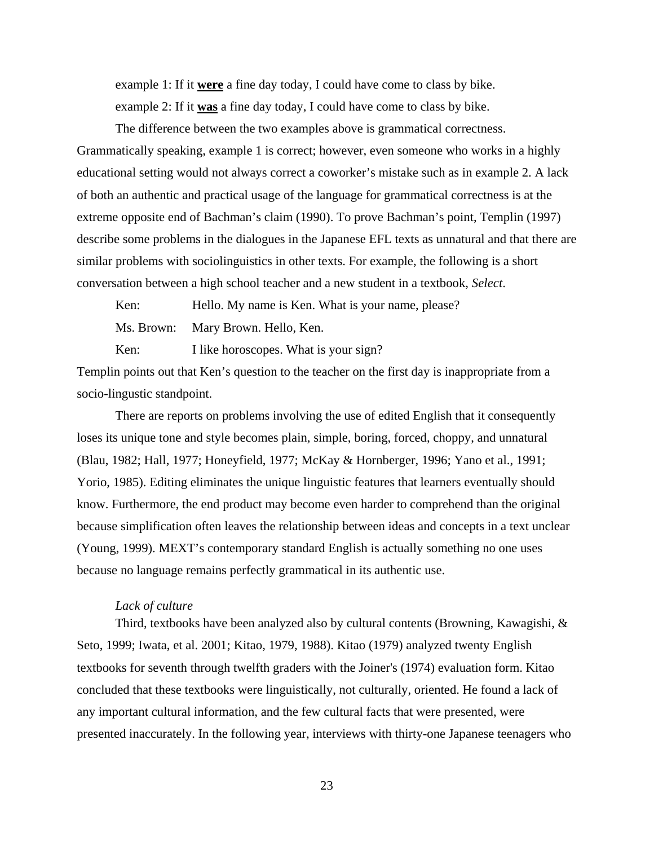example 1: If it **were** a fine day today, I could have come to class by bike.

example 2: If it **was** a fine day today, I could have come to class by bike.

The difference between the two examples above is grammatical correctness. Grammatically speaking, example 1 is correct; however, even someone who works in a highly educational setting would not always correct a coworker's mistake such as in example 2. A lack of both an authentic and practical usage of the language for grammatical correctness is at the extreme opposite end of Bachman's claim (1990). To prove Bachman's point, Templin (1997) describe some problems in the dialogues in the Japanese EFL texts as unnatural and that there are similar problems with sociolinguistics in other texts. For example, the following is a short conversation between a high school teacher and a new student in a textbook, *Select*.

Ken: Hello. My name is Ken. What is your name, please? Ms. Brown: Mary Brown. Hello, Ken.

Ken: I like horoscopes. What is your sign?

Templin points out that Ken's question to the teacher on the first day is inappropriate from a socio-lingustic standpoint.

There are reports on problems involving the use of edited English that it consequently loses its unique tone and style becomes plain, simple, boring, forced, choppy, and unnatural (Blau, 1982; Hall, 1977; Honeyfield, 1977; McKay & Hornberger, 1996; Yano et al., 1991; Yorio, 1985). Editing eliminates the unique linguistic features that learners eventually should know. Furthermore, the end product may become even harder to comprehend than the original because simplification often leaves the relationship between ideas and concepts in a text unclear (Young, 1999). MEXT's contemporary standard English is actually something no one uses because no language remains perfectly grammatical in its authentic use.

## *Lack of culture*

Third, textbooks have been analyzed also by cultural contents (Browning, Kawagishi,  $\&$ Seto, 1999; Iwata, et al. 2001; Kitao, 1979, 1988). Kitao (1979) analyzed twenty English textbooks for seventh through twelfth graders with the Joiner's (1974) evaluation form. Kitao concluded that these textbooks were linguistically, not culturally, oriented. He found a lack of any important cultural information, and the few cultural facts that were presented, were presented inaccurately. In the following year, interviews with thirty-one Japanese teenagers who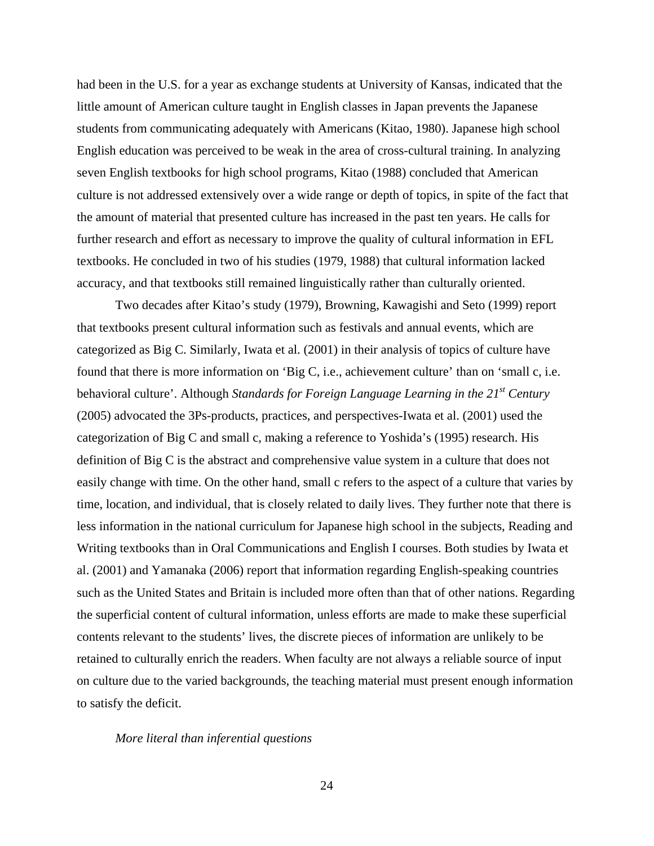had been in the U.S. for a year as exchange students at University of Kansas, indicated that the little amount of American culture taught in English classes in Japan prevents the Japanese students from communicating adequately with Americans (Kitao, 1980). Japanese high school English education was perceived to be weak in the area of cross-cultural training. In analyzing seven English textbooks for high school programs, Kitao (1988) concluded that American culture is not addressed extensively over a wide range or depth of topics, in spite of the fact that the amount of material that presented culture has increased in the past ten years. He calls for further research and effort as necessary to improve the quality of cultural information in EFL textbooks. He concluded in two of his studies (1979, 1988) that cultural information lacked accuracy, and that textbooks still remained linguistically rather than culturally oriented.

Two decades after Kitao's study (1979), Browning, Kawagishi and Seto (1999) report that textbooks present cultural information such as festivals and annual events, which are categorized as Big C. Similarly, Iwata et al. (2001) in their analysis of topics of culture have found that there is more information on 'Big C, i.e., achievement culture' than on 'small c, i.e. behavioral culture'. Although *Standards for Foreign Language Learning in the 21<sup>st</sup> Century* (2005) advocated the 3Ps-products, practices, and perspectives-Iwata et al. (2001) used the categorization of Big C and small c, making a reference to Yoshida's (1995) research. His definition of Big C is the abstract and comprehensive value system in a culture that does not easily change with time. On the other hand, small c refers to the aspect of a culture that varies by time, location, and individual, that is closely related to daily lives. They further note that there is less information in the national curriculum for Japanese high school in the subjects, Reading and Writing textbooks than in Oral Communications and English I courses. Both studies by Iwata et al. (2001) and Yamanaka (2006) report that information regarding English-speaking countries such as the United States and Britain is included more often than that of other nations. Regarding the superficial content of cultural information, unless efforts are made to make these superficial contents relevant to the students' lives, the discrete pieces of information are unlikely to be retained to culturally enrich the readers. When faculty are not always a reliable source of input on culture due to the varied backgrounds, the teaching material must present enough information to satisfy the deficit.

### *More literal than inferential questions*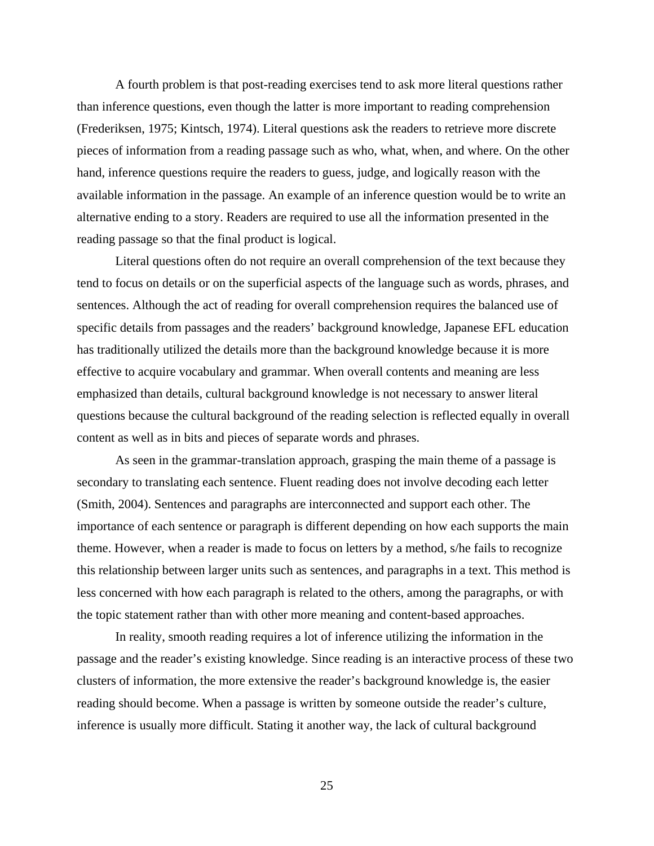A fourth problem is that post-reading exercises tend to ask more literal questions rather than inference questions, even though the latter is more important to reading comprehension (Frederiksen, 1975; Kintsch, 1974). Literal questions ask the readers to retrieve more discrete pieces of information from a reading passage such as who, what, when, and where. On the other hand, inference questions require the readers to guess, judge, and logically reason with the available information in the passage. An example of an inference question would be to write an alternative ending to a story. Readers are required to use all the information presented in the reading passage so that the final product is logical.

Literal questions often do not require an overall comprehension of the text because they tend to focus on details or on the superficial aspects of the language such as words, phrases, and sentences. Although the act of reading for overall comprehension requires the balanced use of specific details from passages and the readers' background knowledge, Japanese EFL education has traditionally utilized the details more than the background knowledge because it is more effective to acquire vocabulary and grammar. When overall contents and meaning are less emphasized than details, cultural background knowledge is not necessary to answer literal questions because the cultural background of the reading selection is reflected equally in overall content as well as in bits and pieces of separate words and phrases.

As seen in the grammar-translation approach, grasping the main theme of a passage is secondary to translating each sentence. Fluent reading does not involve decoding each letter (Smith, 2004). Sentences and paragraphs are interconnected and support each other. The importance of each sentence or paragraph is different depending on how each supports the main theme. However, when a reader is made to focus on letters by a method, s/he fails to recognize this relationship between larger units such as sentences, and paragraphs in a text. This method is less concerned with how each paragraph is related to the others, among the paragraphs, or with the topic statement rather than with other more meaning and content-based approaches.

In reality, smooth reading requires a lot of inference utilizing the information in the passage and the reader's existing knowledge. Since reading is an interactive process of these two clusters of information, the more extensive the reader's background knowledge is, the easier reading should become. When a passage is written by someone outside the reader's culture, inference is usually more difficult. Stating it another way, the lack of cultural background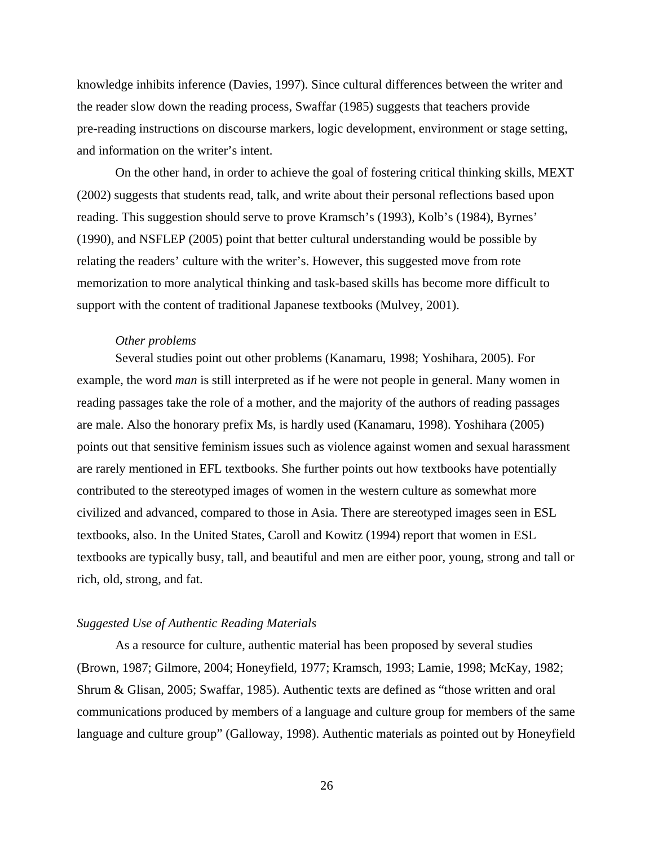knowledge inhibits inference (Davies, 1997). Since cultural differences between the writer and the reader slow down the reading process, Swaffar (1985) suggests that teachers provide pre-reading instructions on discourse markers, logic development, environment or stage setting, and information on the writer's intent.

On the other hand, in order to achieve the goal of fostering critical thinking skills, MEXT (2002) suggests that students read, talk, and write about their personal reflections based upon reading. This suggestion should serve to prove Kramsch's (1993), Kolb's (1984), Byrnes' (1990), and NSFLEP (2005) point that better cultural understanding would be possible by relating the readers' culture with the writer's. However, this suggested move from rote memorization to more analytical thinking and task-based skills has become more difficult to support with the content of traditional Japanese textbooks (Mulvey, 2001).

#### *Other problems*

Several studies point out other problems (Kanamaru, 1998; Yoshihara, 2005). For example, the word *man* is still interpreted as if he were not people in general. Many women in reading passages take the role of a mother, and the majority of the authors of reading passages are male. Also the honorary prefix Ms, is hardly used (Kanamaru, 1998). Yoshihara (2005) points out that sensitive feminism issues such as violence against women and sexual harassment are rarely mentioned in EFL textbooks. She further points out how textbooks have potentially contributed to the stereotyped images of women in the western culture as somewhat more civilized and advanced, compared to those in Asia. There are stereotyped images seen in ESL textbooks, also. In the United States, Caroll and Kowitz (1994) report that women in ESL textbooks are typically busy, tall, and beautiful and men are either poor, young, strong and tall or rich, old, strong, and fat.

## *Suggested Use of Authentic Reading Materials*

As a resource for culture, authentic material has been proposed by several studies (Brown, 1987; Gilmore, 2004; Honeyfield, 1977; Kramsch, 1993; Lamie, 1998; McKay, 1982; Shrum & Glisan, 2005; Swaffar, 1985). Authentic texts are defined as "those written and oral communications produced by members of a language and culture group for members of the same language and culture group" (Galloway, 1998). Authentic materials as pointed out by Honeyfield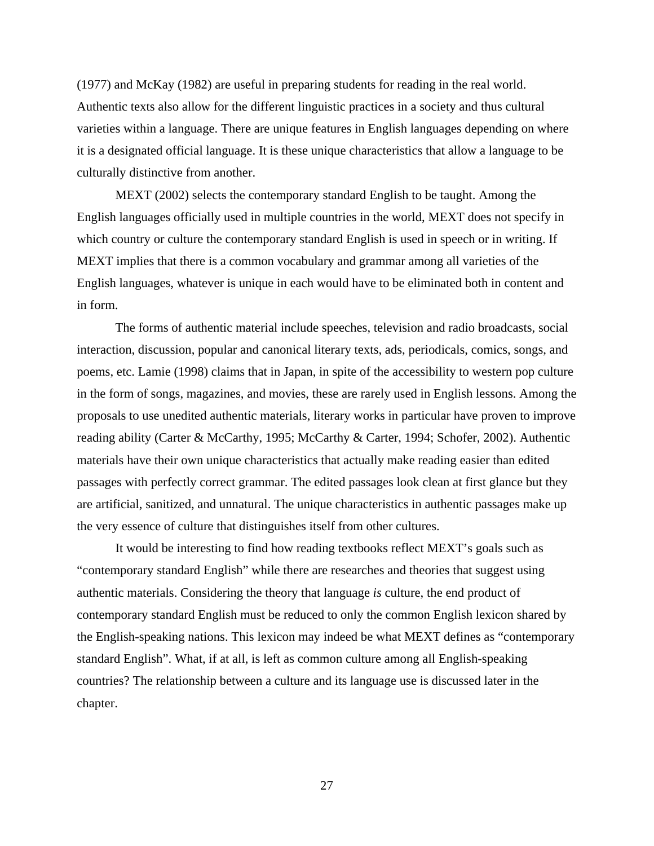(1977) and McKay (1982) are useful in preparing students for reading in the real world. Authentic texts also allow for the different linguistic practices in a society and thus cultural varieties within a language. There are unique features in English languages depending on where it is a designated official language. It is these unique characteristics that allow a language to be culturally distinctive from another.

MEXT (2002) selects the contemporary standard English to be taught. Among the English languages officially used in multiple countries in the world, MEXT does not specify in which country or culture the contemporary standard English is used in speech or in writing. If MEXT implies that there is a common vocabulary and grammar among all varieties of the English languages, whatever is unique in each would have to be eliminated both in content and in form.

The forms of authentic material include speeches, television and radio broadcasts, social interaction, discussion, popular and canonical literary texts, ads, periodicals, comics, songs, and poems, etc. Lamie (1998) claims that in Japan, in spite of the accessibility to western pop culture in the form of songs, magazines, and movies, these are rarely used in English lessons. Among the proposals to use unedited authentic materials, literary works in particular have proven to improve reading ability (Carter & McCarthy, 1995; McCarthy & Carter, 1994; Schofer, 2002). Authentic materials have their own unique characteristics that actually make reading easier than edited passages with perfectly correct grammar. The edited passages look clean at first glance but they are artificial, sanitized, and unnatural. The unique characteristics in authentic passages make up the very essence of culture that distinguishes itself from other cultures.

It would be interesting to find how reading textbooks reflect MEXT's goals such as "contemporary standard English" while there are researches and theories that suggest using authentic materials. Considering the theory that language *is* culture, the end product of contemporary standard English must be reduced to only the common English lexicon shared by the English-speaking nations. This lexicon may indeed be what MEXT defines as "contemporary standard English". What, if at all, is left as common culture among all English-speaking countries? The relationship between a culture and its language use is discussed later in the chapter.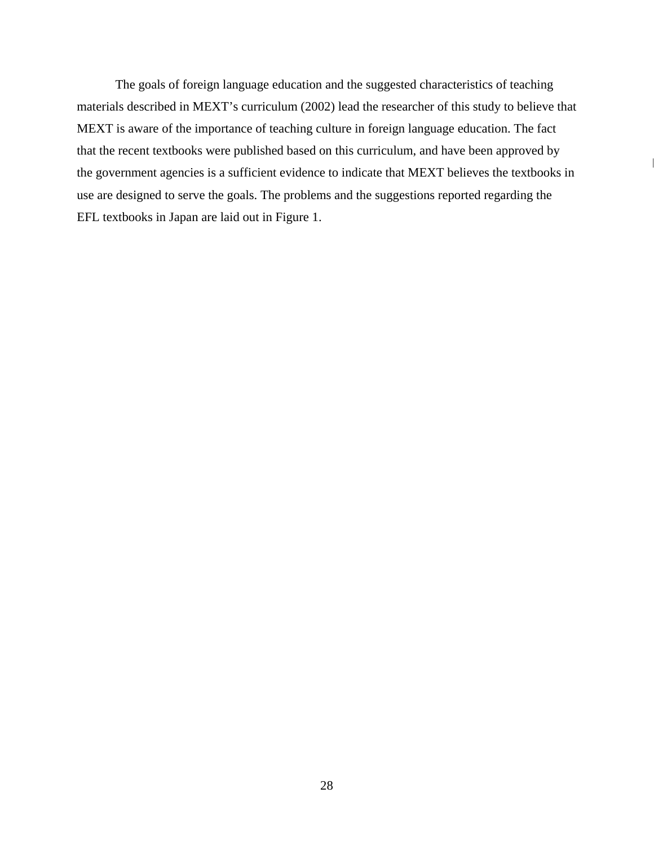The goals of foreign language education and the suggested characteristics of teaching materials described in MEXT's curriculum (2002) lead the researcher of this study to believe that MEXT is aware of the importance of teaching culture in foreign language education. The fact that the recent textbooks were published based on this curriculum, and have been approved by the government agencies is a sufficient evidence to indicate that MEXT believes the textbooks in use are designed to serve the goals. The problems and the suggestions reported regarding the EFL textbooks in Japan are laid out in Figure 1.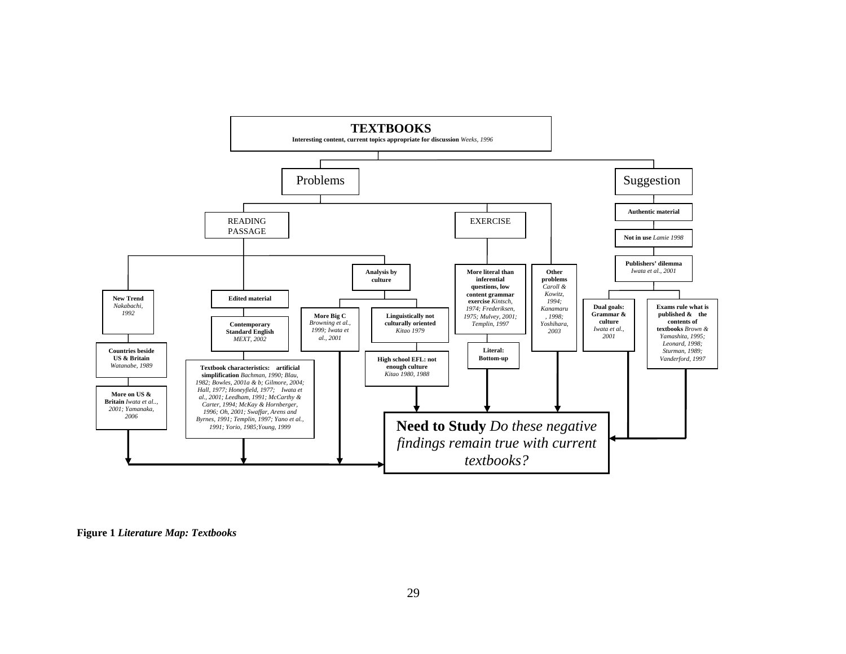

**Figure 1** *Literature Map: Textbooks*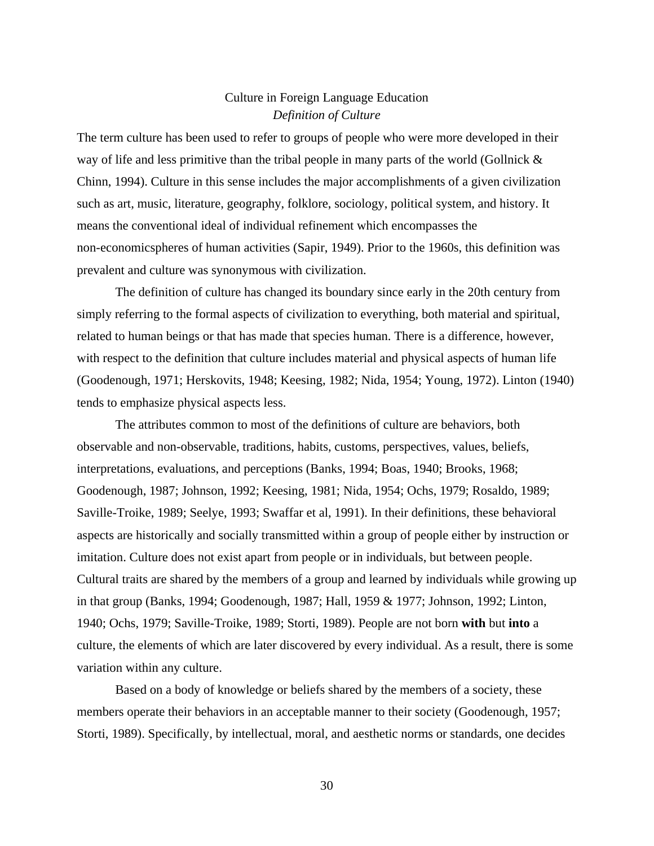## Culture in Foreign Language Education *Definition of Culture*

The term culture has been used to refer to groups of people who were more developed in their way of life and less primitive than the tribal people in many parts of the world (Gollnick  $\&$ Chinn, 1994). Culture in this sense includes the major accomplishments of a given civilization such as art, music, literature, geography, folklore, sociology, political system, and history. It means the conventional ideal of individual refinement which encompasses the non-economicspheres of human activities (Sapir, 1949). Prior to the 1960s, this definition was prevalent and culture was synonymous with civilization.

The definition of culture has changed its boundary since early in the 20th century from simply referring to the formal aspects of civilization to everything, both material and spiritual, related to human beings or that has made that species human. There is a difference, however, with respect to the definition that culture includes material and physical aspects of human life (Goodenough, 1971; Herskovits, 1948; Keesing, 1982; Nida, 1954; Young, 1972). Linton (1940) tends to emphasize physical aspects less.

 The attributes common to most of the definitions of culture are behaviors, both observable and non-observable, traditions, habits, customs, perspectives, values, beliefs, interpretations, evaluations, and perceptions (Banks, 1994; Boas, 1940; Brooks, 1968; Goodenough, 1987; Johnson, 1992; Keesing, 1981; Nida, 1954; Ochs, 1979; Rosaldo, 1989; Saville-Troike, 1989; Seelye, 1993; Swaffar et al, 1991). In their definitions, these behavioral aspects are historically and socially transmitted within a group of people either by instruction or imitation. Culture does not exist apart from people or in individuals, but between people. Cultural traits are shared by the members of a group and learned by individuals while growing up in that group (Banks, 1994; Goodenough, 1987; Hall, 1959 & 1977; Johnson, 1992; Linton, 1940; Ochs, 1979; Saville-Troike, 1989; Storti, 1989). People are not born **with** but **into** a culture, the elements of which are later discovered by every individual. As a result, there is some variation within any culture.

Based on a body of knowledge or beliefs shared by the members of a society, these members operate their behaviors in an acceptable manner to their society (Goodenough, 1957; Storti, 1989). Specifically, by intellectual, moral, and aesthetic norms or standards, one decides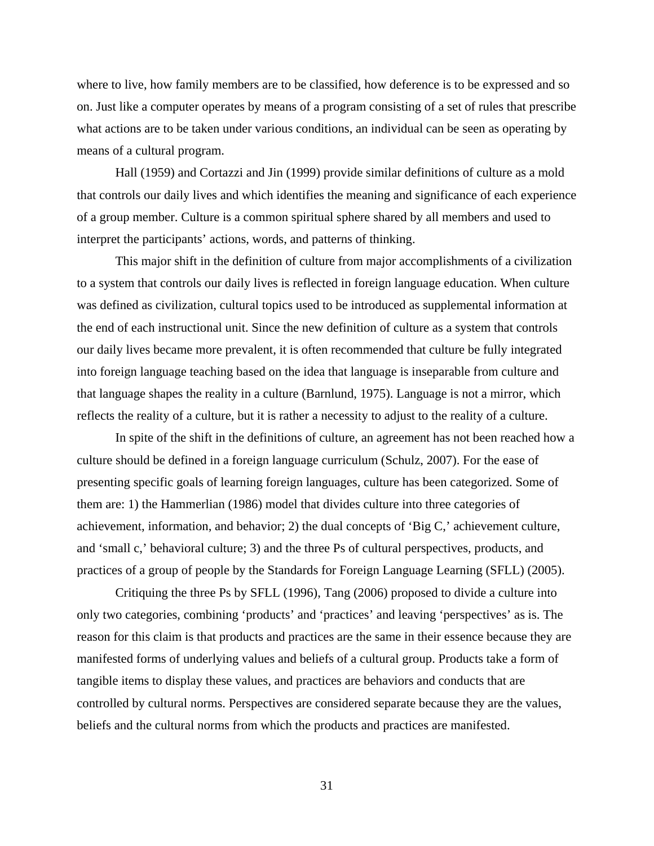where to live, how family members are to be classified, how deference is to be expressed and so on. Just like a computer operates by means of a program consisting of a set of rules that prescribe what actions are to be taken under various conditions, an individual can be seen as operating by means of a cultural program.

Hall (1959) and Cortazzi and Jin (1999) provide similar definitions of culture as a mold that controls our daily lives and which identifies the meaning and significance of each experience of a group member. Culture is a common spiritual sphere shared by all members and used to interpret the participants' actions, words, and patterns of thinking.

This major shift in the definition of culture from major accomplishments of a civilization to a system that controls our daily lives is reflected in foreign language education. When culture was defined as civilization, cultural topics used to be introduced as supplemental information at the end of each instructional unit. Since the new definition of culture as a system that controls our daily lives became more prevalent, it is often recommended that culture be fully integrated into foreign language teaching based on the idea that language is inseparable from culture and that language shapes the reality in a culture (Barnlund, 1975). Language is not a mirror, which reflects the reality of a culture, but it is rather a necessity to adjust to the reality of a culture.

In spite of the shift in the definitions of culture, an agreement has not been reached how a culture should be defined in a foreign language curriculum (Schulz, 2007). For the ease of presenting specific goals of learning foreign languages, culture has been categorized. Some of them are: 1) the Hammerlian (1986) model that divides culture into three categories of achievement, information, and behavior; 2) the dual concepts of 'Big C,' achievement culture, and 'small c,' behavioral culture; 3) and the three Ps of cultural perspectives, products, and practices of a group of people by the Standards for Foreign Language Learning (SFLL) (2005).

Critiquing the three Ps by SFLL (1996), Tang (2006) proposed to divide a culture into only two categories, combining 'products' and 'practices' and leaving 'perspectives' as is. The reason for this claim is that products and practices are the same in their essence because they are manifested forms of underlying values and beliefs of a cultural group. Products take a form of tangible items to display these values, and practices are behaviors and conducts that are controlled by cultural norms. Perspectives are considered separate because they are the values, beliefs and the cultural norms from which the products and practices are manifested.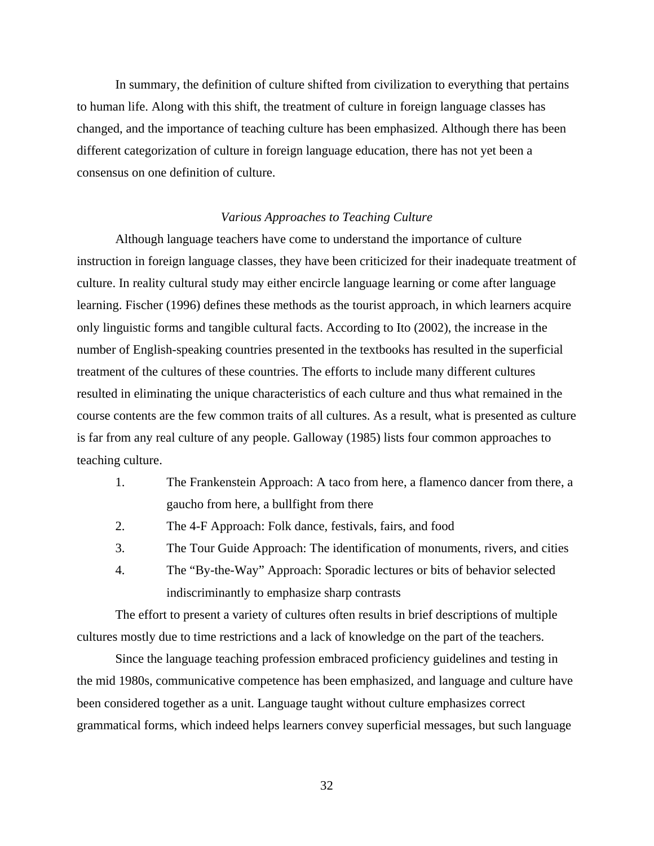In summary, the definition of culture shifted from civilization to everything that pertains to human life. Along with this shift, the treatment of culture in foreign language classes has changed, and the importance of teaching culture has been emphasized. Although there has been different categorization of culture in foreign language education, there has not yet been a consensus on one definition of culture.

### *Various Approaches to Teaching Culture*

Although language teachers have come to understand the importance of culture instruction in foreign language classes, they have been criticized for their inadequate treatment of culture. In reality cultural study may either encircle language learning or come after language learning. Fischer (1996) defines these methods as the tourist approach, in which learners acquire only linguistic forms and tangible cultural facts. According to Ito (2002), the increase in the number of English-speaking countries presented in the textbooks has resulted in the superficial treatment of the cultures of these countries. The efforts to include many different cultures resulted in eliminating the unique characteristics of each culture and thus what remained in the course contents are the few common traits of all cultures. As a result, what is presented as culture is far from any real culture of any people. Galloway (1985) lists four common approaches to teaching culture.

- 1. The Frankenstein Approach: A taco from here, a flamenco dancer from there, a gaucho from here, a bullfight from there
- 2. The 4-F Approach: Folk dance, festivals, fairs, and food
- 3. The Tour Guide Approach: The identification of monuments, rivers, and cities
- 4. The "By-the-Way" Approach: Sporadic lectures or bits of behavior selected indiscriminantly to emphasize sharp contrasts

The effort to present a variety of cultures often results in brief descriptions of multiple cultures mostly due to time restrictions and a lack of knowledge on the part of the teachers.

Since the language teaching profession embraced proficiency guidelines and testing in the mid 1980s, communicative competence has been emphasized, and language and culture have been considered together as a unit. Language taught without culture emphasizes correct grammatical forms, which indeed helps learners convey superficial messages, but such language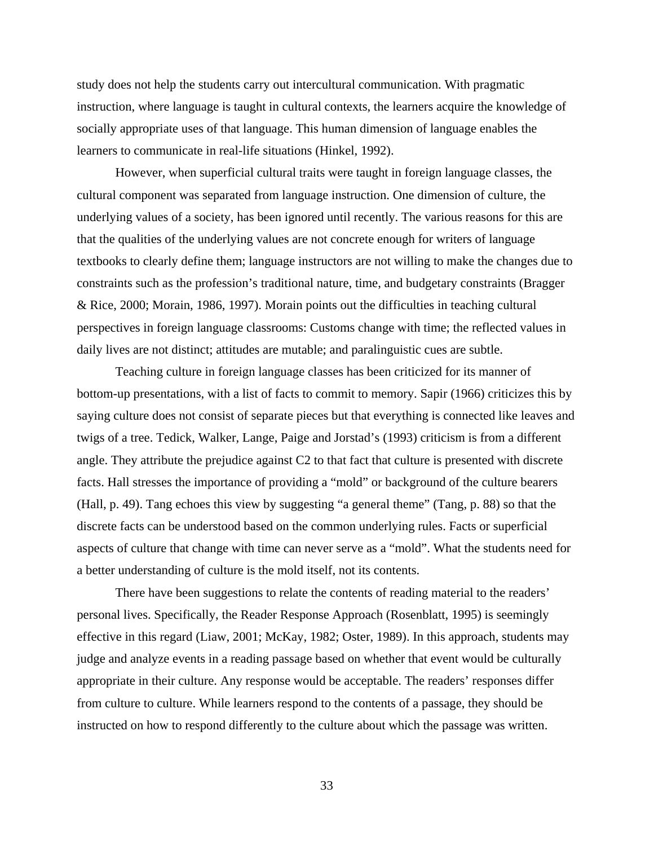study does not help the students carry out intercultural communication. With pragmatic instruction, where language is taught in cultural contexts, the learners acquire the knowledge of socially appropriate uses of that language. This human dimension of language enables the learners to communicate in real-life situations (Hinkel, 1992).

However, when superficial cultural traits were taught in foreign language classes, the cultural component was separated from language instruction. One dimension of culture, the underlying values of a society, has been ignored until recently. The various reasons for this are that the qualities of the underlying values are not concrete enough for writers of language textbooks to clearly define them; language instructors are not willing to make the changes due to constraints such as the profession's traditional nature, time, and budgetary constraints (Bragger & Rice, 2000; Morain, 1986, 1997). Morain points out the difficulties in teaching cultural perspectives in foreign language classrooms: Customs change with time; the reflected values in daily lives are not distinct; attitudes are mutable; and paralinguistic cues are subtle.

Teaching culture in foreign language classes has been criticized for its manner of bottom-up presentations, with a list of facts to commit to memory. Sapir (1966) criticizes this by saying culture does not consist of separate pieces but that everything is connected like leaves and twigs of a tree. Tedick, Walker, Lange, Paige and Jorstad's (1993) criticism is from a different angle. They attribute the prejudice against C2 to that fact that culture is presented with discrete facts. Hall stresses the importance of providing a "mold" or background of the culture bearers (Hall, p. 49). Tang echoes this view by suggesting "a general theme" (Tang, p. 88) so that the discrete facts can be understood based on the common underlying rules. Facts or superficial aspects of culture that change with time can never serve as a "mold". What the students need for a better understanding of culture is the mold itself, not its contents.

There have been suggestions to relate the contents of reading material to the readers' personal lives. Specifically, the Reader Response Approach (Rosenblatt, 1995) is seemingly effective in this regard (Liaw, 2001; McKay, 1982; Oster, 1989). In this approach, students may judge and analyze events in a reading passage based on whether that event would be culturally appropriate in their culture. Any response would be acceptable. The readers' responses differ from culture to culture. While learners respond to the contents of a passage, they should be instructed on how to respond differently to the culture about which the passage was written.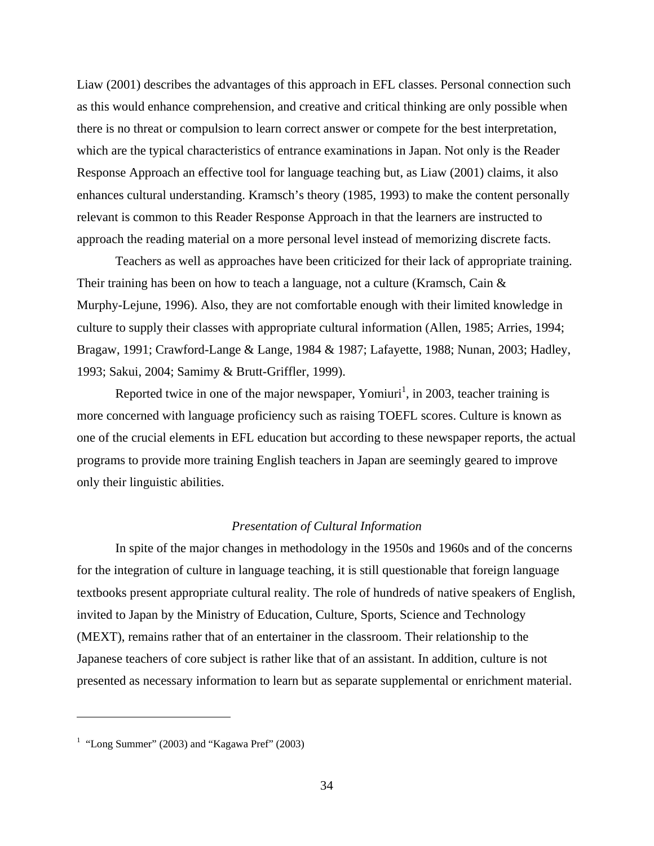Liaw (2001) describes the advantages of this approach in EFL classes. Personal connection such as this would enhance comprehension, and creative and critical thinking are only possible when there is no threat or compulsion to learn correct answer or compete for the best interpretation, which are the typical characteristics of entrance examinations in Japan. Not only is the Reader Response Approach an effective tool for language teaching but, as Liaw (2001) claims, it also enhances cultural understanding. Kramsch's theory (1985, 1993) to make the content personally relevant is common to this Reader Response Approach in that the learners are instructed to approach the reading material on a more personal level instead of memorizing discrete facts.

Teachers as well as approaches have been criticized for their lack of appropriate training. Their training has been on how to teach a language, not a culture (Kramsch, Cain  $\&$ Murphy-Lejune, 1996). Also, they are not comfortable enough with their limited knowledge in culture to supply their classes with appropriate cultural information (Allen, 1985; Arries, 1994; Bragaw, 1991; Crawford-Lange & Lange, 1984 & 1987; Lafayette, 1988; Nunan, 2003; Hadley, 1993; Sakui, 2004; Samimy & Brutt-Griffler, 1999).

Reported twice in one of the major newspaper, Yomiuri<sup>1</sup>, in 2003, teacher training is more concerned with language proficiency such as raising TOEFL scores. Culture is known as one of the crucial elements in EFL education but according to these newspaper reports, the actual programs to provide more training English teachers in Japan are seemingly geared to improve only their linguistic abilities.

## *Presentation of Cultural Information*

 In spite of the major changes in methodology in the 1950s and 1960s and of the concerns for the integration of culture in language teaching, it is still questionable that foreign language textbooks present appropriate cultural reality. The role of hundreds of native speakers of English, invited to Japan by the Ministry of Education, Culture, Sports, Science and Technology (MEXT), remains rather that of an entertainer in the classroom. Their relationship to the Japanese teachers of core subject is rather like that of an assistant. In addition, culture is not presented as necessary information to learn but as separate supplemental or enrichment material.

 $\overline{a}$ 

<sup>&</sup>lt;sup>1</sup> "Long Summer" (2003) and "Kagawa Pref" (2003)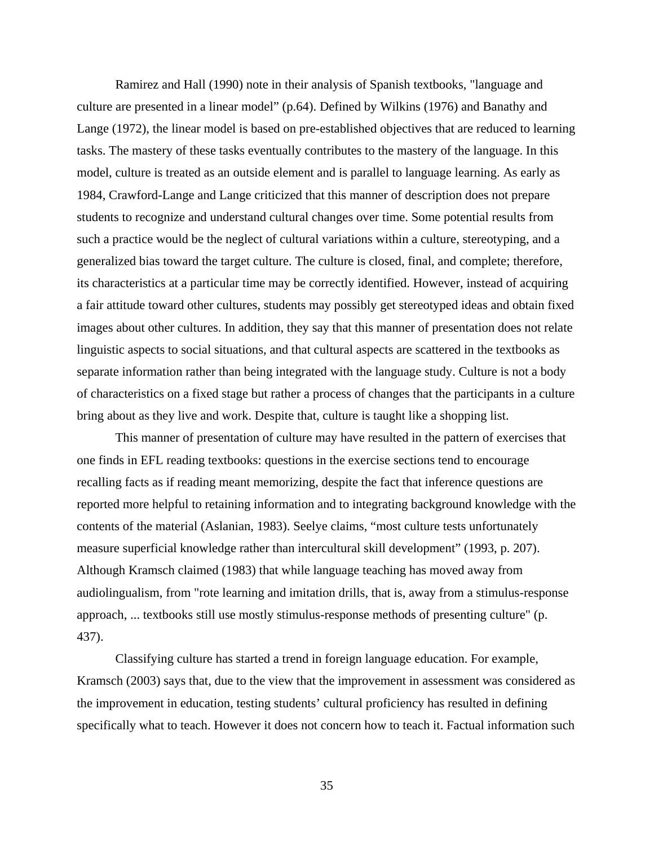Ramirez and Hall (1990) note in their analysis of Spanish textbooks, "language and culture are presented in a linear model" (p.64). Defined by Wilkins (1976) and Banathy and Lange (1972), the linear model is based on pre-established objectives that are reduced to learning tasks. The mastery of these tasks eventually contributes to the mastery of the language. In this model, culture is treated as an outside element and is parallel to language learning. As early as 1984, Crawford-Lange and Lange criticized that this manner of description does not prepare students to recognize and understand cultural changes over time. Some potential results from such a practice would be the neglect of cultural variations within a culture, stereotyping, and a generalized bias toward the target culture. The culture is closed, final, and complete; therefore, its characteristics at a particular time may be correctly identified. However, instead of acquiring a fair attitude toward other cultures, students may possibly get stereotyped ideas and obtain fixed images about other cultures. In addition, they say that this manner of presentation does not relate linguistic aspects to social situations, and that cultural aspects are scattered in the textbooks as separate information rather than being integrated with the language study. Culture is not a body of characteristics on a fixed stage but rather a process of changes that the participants in a culture bring about as they live and work. Despite that, culture is taught like a shopping list.

This manner of presentation of culture may have resulted in the pattern of exercises that one finds in EFL reading textbooks: questions in the exercise sections tend to encourage recalling facts as if reading meant memorizing, despite the fact that inference questions are reported more helpful to retaining information and to integrating background knowledge with the contents of the material (Aslanian, 1983). Seelye claims, "most culture tests unfortunately measure superficial knowledge rather than intercultural skill development" (1993, p. 207). Although Kramsch claimed (1983) that while language teaching has moved away from audiolingualism, from "rote learning and imitation drills, that is, away from a stimulus-response approach, ... textbooks still use mostly stimulus-response methods of presenting culture" (p. 437).

Classifying culture has started a trend in foreign language education. For example, Kramsch (2003) says that, due to the view that the improvement in assessment was considered as the improvement in education, testing students' cultural proficiency has resulted in defining specifically what to teach. However it does not concern how to teach it. Factual information such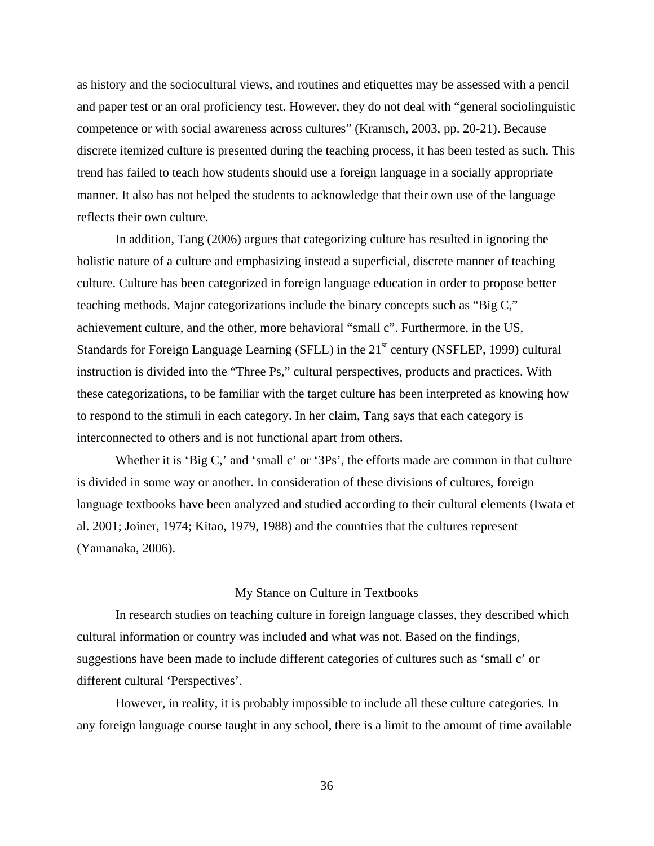as history and the sociocultural views, and routines and etiquettes may be assessed with a pencil and paper test or an oral proficiency test. However, they do not deal with "general sociolinguistic competence or with social awareness across cultures" (Kramsch, 2003, pp. 20-21). Because discrete itemized culture is presented during the teaching process, it has been tested as such. This trend has failed to teach how students should use a foreign language in a socially appropriate manner. It also has not helped the students to acknowledge that their own use of the language reflects their own culture.

In addition, Tang (2006) argues that categorizing culture has resulted in ignoring the holistic nature of a culture and emphasizing instead a superficial, discrete manner of teaching culture. Culture has been categorized in foreign language education in order to propose better teaching methods. Major categorizations include the binary concepts such as "Big C," achievement culture, and the other, more behavioral "small c". Furthermore, in the US, Standards for Foreign Language Learning (SFLL) in the  $21<sup>st</sup>$  century (NSFLEP, 1999) cultural instruction is divided into the "Three Ps," cultural perspectives, products and practices. With these categorizations, to be familiar with the target culture has been interpreted as knowing how to respond to the stimuli in each category. In her claim, Tang says that each category is interconnected to others and is not functional apart from others.

Whether it is 'Big C,' and 'small c' or '3Ps', the efforts made are common in that culture is divided in some way or another. In consideration of these divisions of cultures, foreign language textbooks have been analyzed and studied according to their cultural elements (Iwata et al. 2001; Joiner, 1974; Kitao, 1979, 1988) and the countries that the cultures represent (Yamanaka, 2006).

## My Stance on Culture in Textbooks

In research studies on teaching culture in foreign language classes, they described which cultural information or country was included and what was not. Based on the findings, suggestions have been made to include different categories of cultures such as 'small c' or different cultural 'Perspectives'.

However, in reality, it is probably impossible to include all these culture categories. In any foreign language course taught in any school, there is a limit to the amount of time available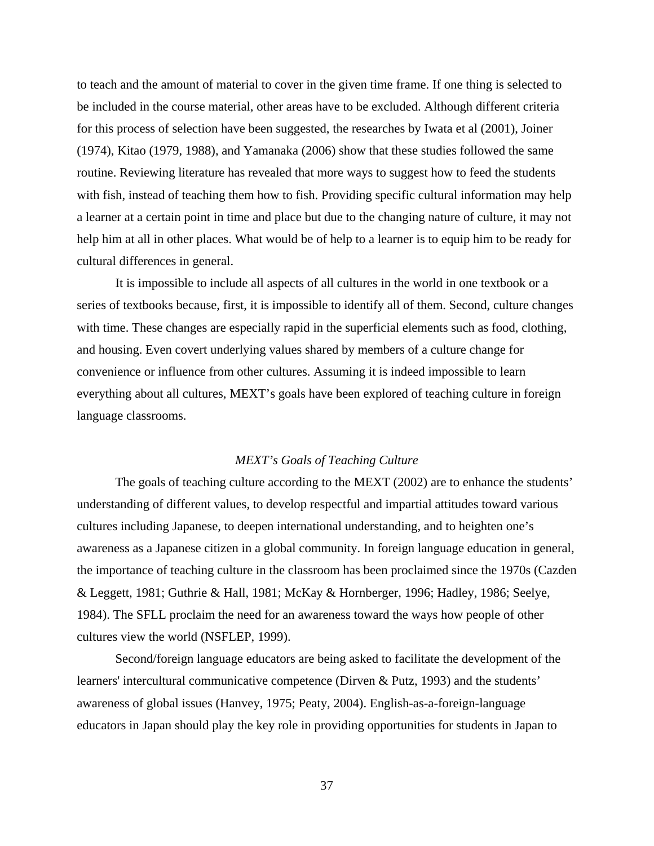to teach and the amount of material to cover in the given time frame. If one thing is selected to be included in the course material, other areas have to be excluded. Although different criteria for this process of selection have been suggested, the researches by Iwata et al (2001), Joiner (1974), Kitao (1979, 1988), and Yamanaka (2006) show that these studies followed the same routine. Reviewing literature has revealed that more ways to suggest how to feed the students with fish, instead of teaching them how to fish. Providing specific cultural information may help a learner at a certain point in time and place but due to the changing nature of culture, it may not help him at all in other places. What would be of help to a learner is to equip him to be ready for cultural differences in general.

It is impossible to include all aspects of all cultures in the world in one textbook or a series of textbooks because, first, it is impossible to identify all of them. Second, culture changes with time. These changes are especially rapid in the superficial elements such as food, clothing, and housing. Even covert underlying values shared by members of a culture change for convenience or influence from other cultures. Assuming it is indeed impossible to learn everything about all cultures, MEXT's goals have been explored of teaching culture in foreign language classrooms.

# *MEXT's Goals of Teaching Culture*

The goals of teaching culture according to the MEXT (2002) are to enhance the students' understanding of different values, to develop respectful and impartial attitudes toward various cultures including Japanese, to deepen international understanding, and to heighten one's awareness as a Japanese citizen in a global community. In foreign language education in general, the importance of teaching culture in the classroom has been proclaimed since the 1970s (Cazden & Leggett, 1981; Guthrie & Hall, 1981; McKay & Hornberger, 1996; Hadley, 1986; Seelye, 1984). The SFLL proclaim the need for an awareness toward the ways how people of other cultures view the world (NSFLEP, 1999).

Second/foreign language educators are being asked to facilitate the development of the learners' intercultural communicative competence (Dirven & Putz, 1993) and the students' awareness of global issues (Hanvey, 1975; Peaty, 2004). English-as-a-foreign-language educators in Japan should play the key role in providing opportunities for students in Japan to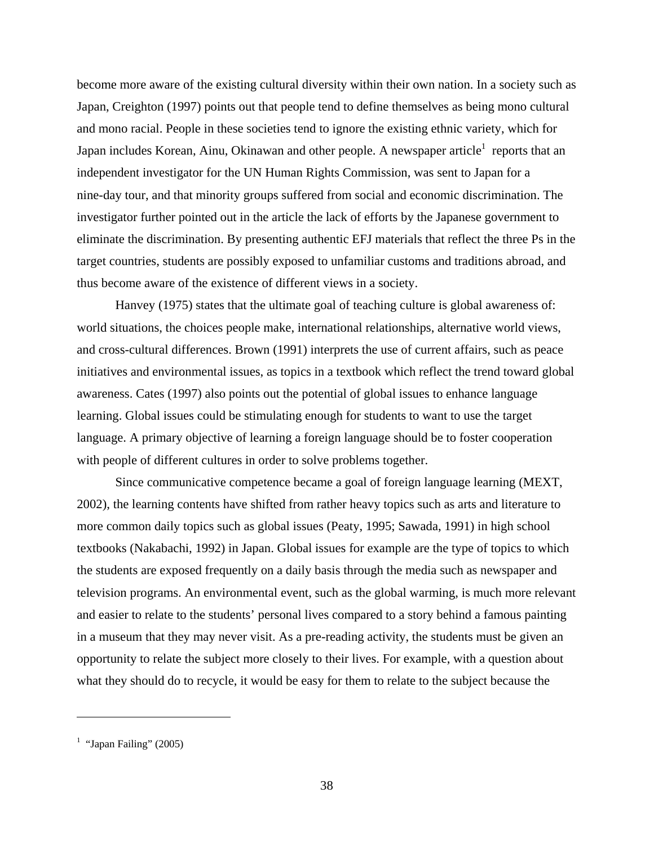become more aware of the existing cultural diversity within their own nation. In a society such as Japan, Creighton (1997) points out that people tend to define themselves as being mono cultural and mono racial. People in these societies tend to ignore the existing ethnic variety, which for Japan includes Korean, Ainu, Okinawan and other people. A newspaper article<sup>1</sup> reports that an independent investigator for the UN Human Rights Commission, was sent to Japan for a nine-day tour, and that minority groups suffered from social and economic discrimination. The investigator further pointed out in the article the lack of efforts by the Japanese government to eliminate the discrimination. By presenting authentic EFJ materials that reflect the three Ps in the target countries, students are possibly exposed to unfamiliar customs and traditions abroad, and thus become aware of the existence of different views in a society.

Hanvey (1975) states that the ultimate goal of teaching culture is global awareness of: world situations, the choices people make, international relationships, alternative world views, and cross-cultural differences. Brown (1991) interprets the use of current affairs, such as peace initiatives and environmental issues, as topics in a textbook which reflect the trend toward global awareness. Cates (1997) also points out the potential of global issues to enhance language learning. Global issues could be stimulating enough for students to want to use the target language. A primary objective of learning a foreign language should be to foster cooperation with people of different cultures in order to solve problems together.

Since communicative competence became a goal of foreign language learning (MEXT, 2002), the learning contents have shifted from rather heavy topics such as arts and literature to more common daily topics such as global issues (Peaty, 1995; Sawada, 1991) in high school textbooks (Nakabachi, 1992) in Japan. Global issues for example are the type of topics to which the students are exposed frequently on a daily basis through the media such as newspaper and television programs. An environmental event, such as the global warming, is much more relevant and easier to relate to the students' personal lives compared to a story behind a famous painting in a museum that they may never visit. As a pre-reading activity, the students must be given an opportunity to relate the subject more closely to their lives. For example, with a question about what they should do to recycle, it would be easy for them to relate to the subject because the

 $\overline{a}$ 

<sup>&</sup>lt;sup>1</sup> "Japan Failing" (2005)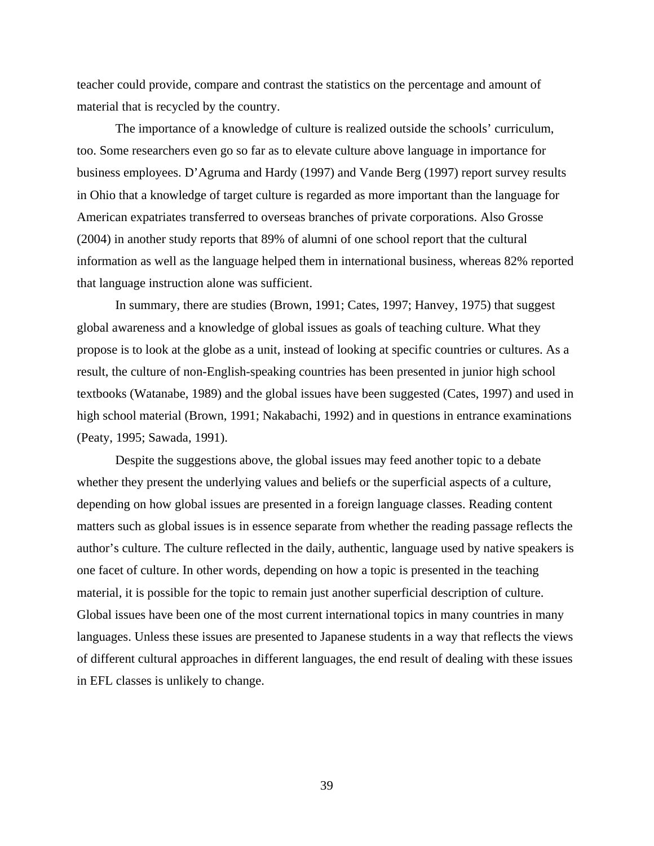teacher could provide, compare and contrast the statistics on the percentage and amount of material that is recycled by the country.

The importance of a knowledge of culture is realized outside the schools' curriculum, too. Some researchers even go so far as to elevate culture above language in importance for business employees. D'Agruma and Hardy (1997) and Vande Berg (1997) report survey results in Ohio that a knowledge of target culture is regarded as more important than the language for American expatriates transferred to overseas branches of private corporations. Also Grosse (2004) in another study reports that 89% of alumni of one school report that the cultural information as well as the language helped them in international business, whereas 82% reported that language instruction alone was sufficient.

In summary, there are studies (Brown, 1991; Cates, 1997; Hanvey, 1975) that suggest global awareness and a knowledge of global issues as goals of teaching culture. What they propose is to look at the globe as a unit, instead of looking at specific countries or cultures. As a result, the culture of non-English-speaking countries has been presented in junior high school textbooks (Watanabe, 1989) and the global issues have been suggested (Cates, 1997) and used in high school material (Brown, 1991; Nakabachi, 1992) and in questions in entrance examinations (Peaty, 1995; Sawada, 1991).

Despite the suggestions above, the global issues may feed another topic to a debate whether they present the underlying values and beliefs or the superficial aspects of a culture, depending on how global issues are presented in a foreign language classes. Reading content matters such as global issues is in essence separate from whether the reading passage reflects the author's culture. The culture reflected in the daily, authentic, language used by native speakers is one facet of culture. In other words, depending on how a topic is presented in the teaching material, it is possible for the topic to remain just another superficial description of culture. Global issues have been one of the most current international topics in many countries in many languages. Unless these issues are presented to Japanese students in a way that reflects the views of different cultural approaches in different languages, the end result of dealing with these issues in EFL classes is unlikely to change.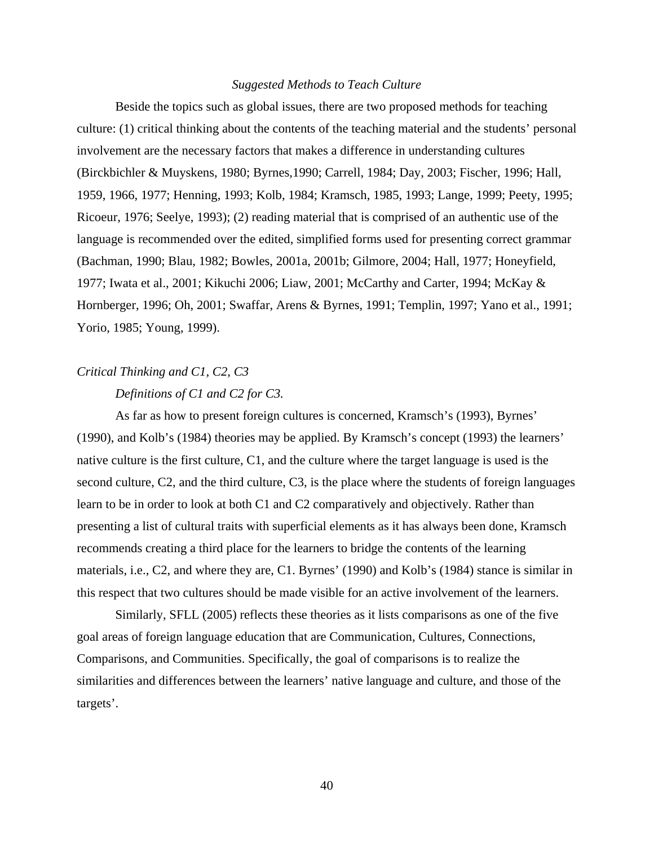# *Suggested Methods to Teach Culture*

Beside the topics such as global issues, there are two proposed methods for teaching culture: (1) critical thinking about the contents of the teaching material and the students' personal involvement are the necessary factors that makes a difference in understanding cultures (Birckbichler & Muyskens, 1980; Byrnes,1990; Carrell, 1984; Day, 2003; Fischer, 1996; Hall, 1959, 1966, 1977; Henning, 1993; Kolb, 1984; Kramsch, 1985, 1993; Lange, 1999; Peety, 1995; Ricoeur, 1976; Seelye, 1993); (2) reading material that is comprised of an authentic use of the language is recommended over the edited, simplified forms used for presenting correct grammar (Bachman, 1990; Blau, 1982; Bowles, 2001a, 2001b; Gilmore, 2004; Hall, 1977; Honeyfield, 1977; Iwata et al., 2001; Kikuchi 2006; Liaw, 2001; McCarthy and Carter, 1994; McKay & Hornberger, 1996; Oh, 2001; Swaffar, Arens & Byrnes, 1991; Templin, 1997; Yano et al., 1991; Yorio, 1985; Young, 1999).

# *Critical Thinking and C1, C2, C3*

# *Definitions of C1 and C2 for C3.*

As far as how to present foreign cultures is concerned, Kramsch's (1993), Byrnes' (1990), and Kolb's (1984) theories may be applied. By Kramsch's concept (1993) the learners' native culture is the first culture, C1, and the culture where the target language is used is the second culture, C2, and the third culture, C3, is the place where the students of foreign languages learn to be in order to look at both C1 and C2 comparatively and objectively. Rather than presenting a list of cultural traits with superficial elements as it has always been done, Kramsch recommends creating a third place for the learners to bridge the contents of the learning materials, i.e., C2, and where they are, C1. Byrnes' (1990) and Kolb's (1984) stance is similar in this respect that two cultures should be made visible for an active involvement of the learners.

Similarly, SFLL (2005) reflects these theories as it lists comparisons as one of the five goal areas of foreign language education that are Communication, Cultures, Connections, Comparisons, and Communities. Specifically, the goal of comparisons is to realize the similarities and differences between the learners' native language and culture, and those of the targets'.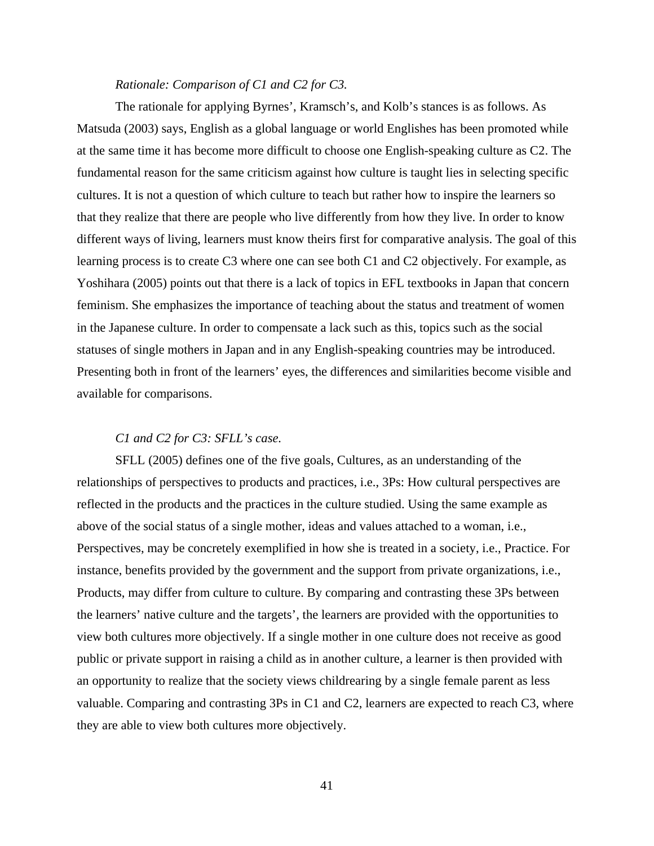# *Rationale: Comparison of C1 and C2 for C3.*

The rationale for applying Byrnes', Kramsch's, and Kolb's stances is as follows. As Matsuda (2003) says, English as a global language or world Englishes has been promoted while at the same time it has become more difficult to choose one English-speaking culture as C2. The fundamental reason for the same criticism against how culture is taught lies in selecting specific cultures. It is not a question of which culture to teach but rather how to inspire the learners so that they realize that there are people who live differently from how they live. In order to know different ways of living, learners must know theirs first for comparative analysis. The goal of this learning process is to create C3 where one can see both C1 and C2 objectively. For example, as Yoshihara (2005) points out that there is a lack of topics in EFL textbooks in Japan that concern feminism. She emphasizes the importance of teaching about the status and treatment of women in the Japanese culture. In order to compensate a lack such as this, topics such as the social statuses of single mothers in Japan and in any English-speaking countries may be introduced. Presenting both in front of the learners' eyes, the differences and similarities become visible and available for comparisons.

# *C1 and C2 for C3: SFLL's case.*

SFLL (2005) defines one of the five goals, Cultures, as an understanding of the relationships of perspectives to products and practices, i.e., 3Ps: How cultural perspectives are reflected in the products and the practices in the culture studied. Using the same example as above of the social status of a single mother, ideas and values attached to a woman, i.e., Perspectives, may be concretely exemplified in how she is treated in a society, i.e., Practice. For instance, benefits provided by the government and the support from private organizations, i.e., Products, may differ from culture to culture. By comparing and contrasting these 3Ps between the learners' native culture and the targets', the learners are provided with the opportunities to view both cultures more objectively. If a single mother in one culture does not receive as good public or private support in raising a child as in another culture, a learner is then provided with an opportunity to realize that the society views childrearing by a single female parent as less valuable. Comparing and contrasting 3Ps in C1 and C2, learners are expected to reach C3, where they are able to view both cultures more objectively.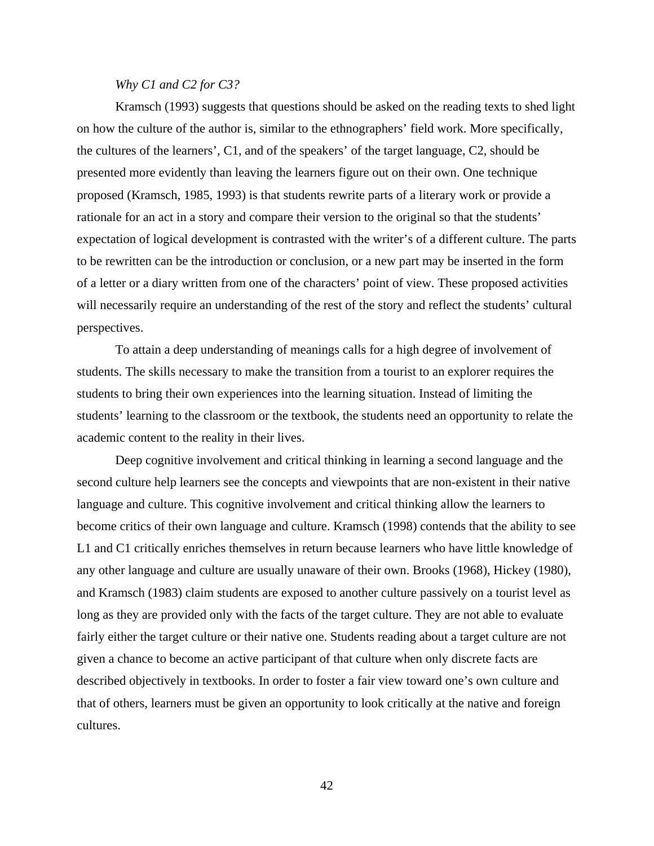# *Why C1 and C2 for C3?*

Kramsch (1993) suggests that questions should be asked on the reading texts to shed light on how the culture of the author is, similar to the ethnographers' field work. More specifically, the cultures of the learners', C1, and of the speakers' of the target language, C2, should be presented more evidently than leaving the learners figure out on their own. One technique proposed (Kramsch, 1985, 1993) is that students rewrite parts of a literary work or provide a rationale for an act in a story and compare their version to the original so that the students' expectation of logical development is contrasted with the writer's of a different culture. The parts to be rewritten can be the introduction or conclusion, or a new part may be inserted in the form of a letter or a diary written from one of the characters' point of view. These proposed activities will necessarily require an understanding of the rest of the story and reflect the students' cultural perspectives.

To attain a deep understanding of meanings calls for a high degree of involvement of students. The skills necessary to make the transition from a tourist to an explorer requires the students to bring their own experiences into the learning situation. Instead of limiting the students' learning to the classroom or the textbook, the students need an opportunity to relate the academic content to the reality in their lives.

Deep cognitive involvement and critical thinking in learning a second language and the second culture help learners see the concepts and viewpoints that are non-existent in their native language and culture. This cognitive involvement and critical thinking allow the learners to become critics of their own language and culture. Kramsch (1998) contends that the ability to see L1 and C1 critically enriches themselves in return because learners who have little knowledge of any other language and culture are usually unaware of their own. Brooks (1968), Hickey (1980), and Kramsch (1983) claim students are exposed to another culture passively on a tourist level as long as they are provided only with the facts of the target culture. They are not able to evaluate fairly either the target culture or their native one. Students reading about a target culture are not given a chance to become an active participant of that culture when only discrete facts are described objectively in textbooks. In order to foster a fair view toward one's own culture and that of others, learners must be given an opportunity to look critically at the native and foreign cultures.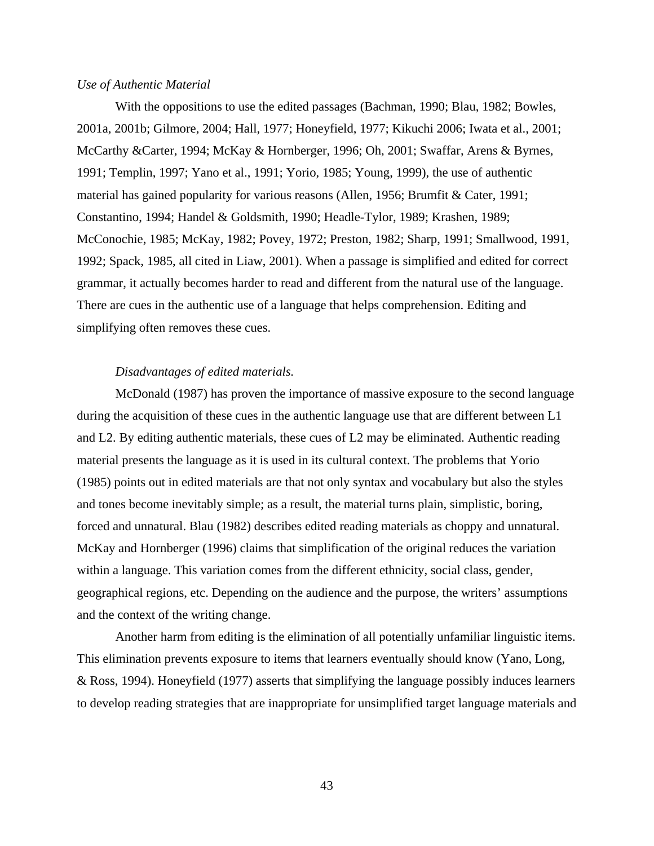# *Use of Authentic Material*

With the oppositions to use the edited passages (Bachman, 1990; Blau, 1982; Bowles, 2001a, 2001b; Gilmore, 2004; Hall, 1977; Honeyfield, 1977; Kikuchi 2006; Iwata et al., 2001; McCarthy &Carter, 1994; McKay & Hornberger, 1996; Oh, 2001; Swaffar, Arens & Byrnes, 1991; Templin, 1997; Yano et al., 1991; Yorio, 1985; Young, 1999), the use of authentic material has gained popularity for various reasons (Allen, 1956; Brumfit & Cater, 1991; Constantino, 1994; Handel & Goldsmith, 1990; Headle-Tylor, 1989; Krashen, 1989; McConochie, 1985; McKay, 1982; Povey, 1972; Preston, 1982; Sharp, 1991; Smallwood, 1991, 1992; Spack, 1985, all cited in Liaw, 2001). When a passage is simplified and edited for correct grammar, it actually becomes harder to read and different from the natural use of the language. There are cues in the authentic use of a language that helps comprehension. Editing and simplifying often removes these cues.

# *Disadvantages of edited materials.*

McDonald (1987) has proven the importance of massive exposure to the second language during the acquisition of these cues in the authentic language use that are different between L1 and L2. By editing authentic materials, these cues of L2 may be eliminated. Authentic reading material presents the language as it is used in its cultural context. The problems that Yorio (1985) points out in edited materials are that not only syntax and vocabulary but also the styles and tones become inevitably simple; as a result, the material turns plain, simplistic, boring, forced and unnatural. Blau (1982) describes edited reading materials as choppy and unnatural. McKay and Hornberger (1996) claims that simplification of the original reduces the variation within a language. This variation comes from the different ethnicity, social class, gender, geographical regions, etc. Depending on the audience and the purpose, the writers' assumptions and the context of the writing change.

Another harm from editing is the elimination of all potentially unfamiliar linguistic items. This elimination prevents exposure to items that learners eventually should know (Yano, Long, & Ross, 1994). Honeyfield (1977) asserts that simplifying the language possibly induces learners to develop reading strategies that are inappropriate for unsimplified target language materials and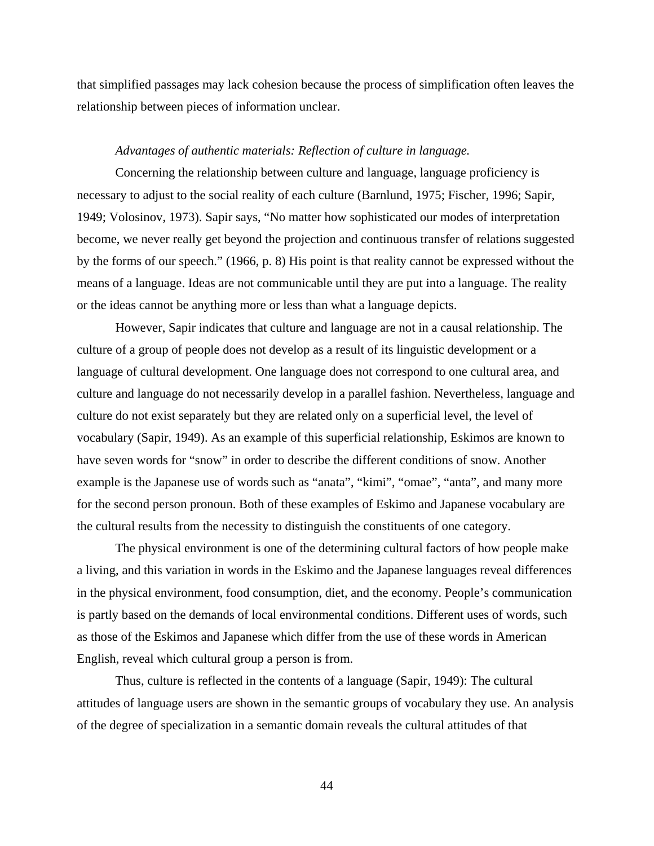that simplified passages may lack cohesion because the process of simplification often leaves the relationship between pieces of information unclear.

#### *Advantages of authentic materials: Reflection of culture in language.*

Concerning the relationship between culture and language, language proficiency is necessary to adjust to the social reality of each culture (Barnlund, 1975; Fischer, 1996; Sapir, 1949; Volosinov, 1973). Sapir says, "No matter how sophisticated our modes of interpretation become, we never really get beyond the projection and continuous transfer of relations suggested by the forms of our speech." (1966, p. 8) His point is that reality cannot be expressed without the means of a language. Ideas are not communicable until they are put into a language. The reality or the ideas cannot be anything more or less than what a language depicts.

However, Sapir indicates that culture and language are not in a causal relationship. The culture of a group of people does not develop as a result of its linguistic development or a language of cultural development. One language does not correspond to one cultural area, and culture and language do not necessarily develop in a parallel fashion. Nevertheless, language and culture do not exist separately but they are related only on a superficial level, the level of vocabulary (Sapir, 1949). As an example of this superficial relationship, Eskimos are known to have seven words for "snow" in order to describe the different conditions of snow. Another example is the Japanese use of words such as "anata", "kimi", "omae", "anta", and many more for the second person pronoun. Both of these examples of Eskimo and Japanese vocabulary are the cultural results from the necessity to distinguish the constituents of one category.

The physical environment is one of the determining cultural factors of how people make a living, and this variation in words in the Eskimo and the Japanese languages reveal differences in the physical environment, food consumption, diet, and the economy. People's communication is partly based on the demands of local environmental conditions. Different uses of words, such as those of the Eskimos and Japanese which differ from the use of these words in American English, reveal which cultural group a person is from.

Thus, culture is reflected in the contents of a language (Sapir, 1949): The cultural attitudes of language users are shown in the semantic groups of vocabulary they use. An analysis of the degree of specialization in a semantic domain reveals the cultural attitudes of that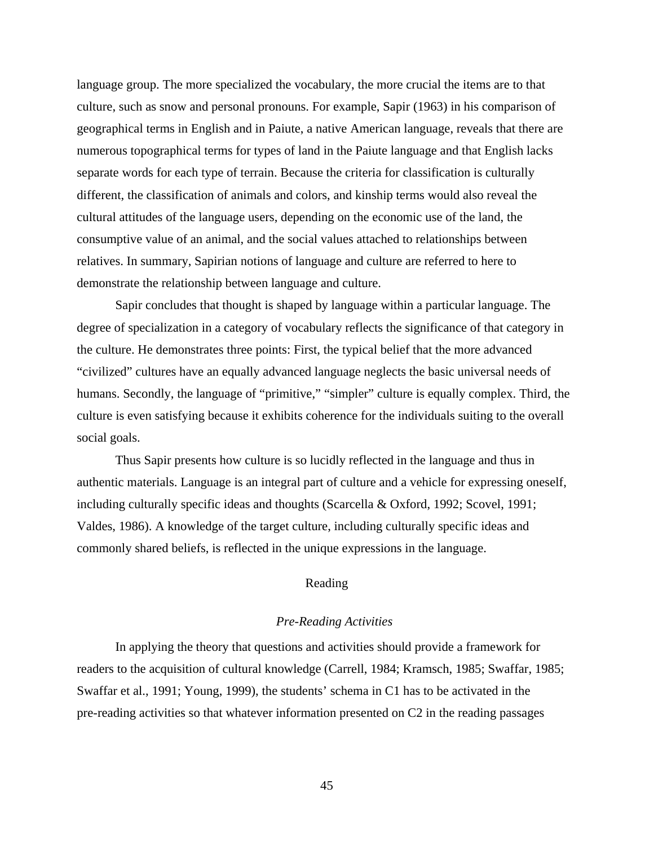language group. The more specialized the vocabulary, the more crucial the items are to that culture, such as snow and personal pronouns. For example, Sapir (1963) in his comparison of geographical terms in English and in Paiute, a native American language, reveals that there are numerous topographical terms for types of land in the Paiute language and that English lacks separate words for each type of terrain. Because the criteria for classification is culturally different, the classification of animals and colors, and kinship terms would also reveal the cultural attitudes of the language users, depending on the economic use of the land, the consumptive value of an animal, and the social values attached to relationships between relatives. In summary, Sapirian notions of language and culture are referred to here to demonstrate the relationship between language and culture.

Sapir concludes that thought is shaped by language within a particular language. The degree of specialization in a category of vocabulary reflects the significance of that category in the culture. He demonstrates three points: First, the typical belief that the more advanced "civilized" cultures have an equally advanced language neglects the basic universal needs of humans. Secondly, the language of "primitive," "simpler" culture is equally complex. Third, the culture is even satisfying because it exhibits coherence for the individuals suiting to the overall social goals.

Thus Sapir presents how culture is so lucidly reflected in the language and thus in authentic materials. Language is an integral part of culture and a vehicle for expressing oneself, including culturally specific ideas and thoughts (Scarcella & Oxford, 1992; Scovel, 1991; Valdes, 1986). A knowledge of the target culture, including culturally specific ideas and commonly shared beliefs, is reflected in the unique expressions in the language.

# Reading

# *Pre-Reading Activities*

In applying the theory that questions and activities should provide a framework for readers to the acquisition of cultural knowledge (Carrell, 1984; Kramsch, 1985; Swaffar, 1985; Swaffar et al., 1991; Young, 1999), the students' schema in C1 has to be activated in the pre-reading activities so that whatever information presented on C2 in the reading passages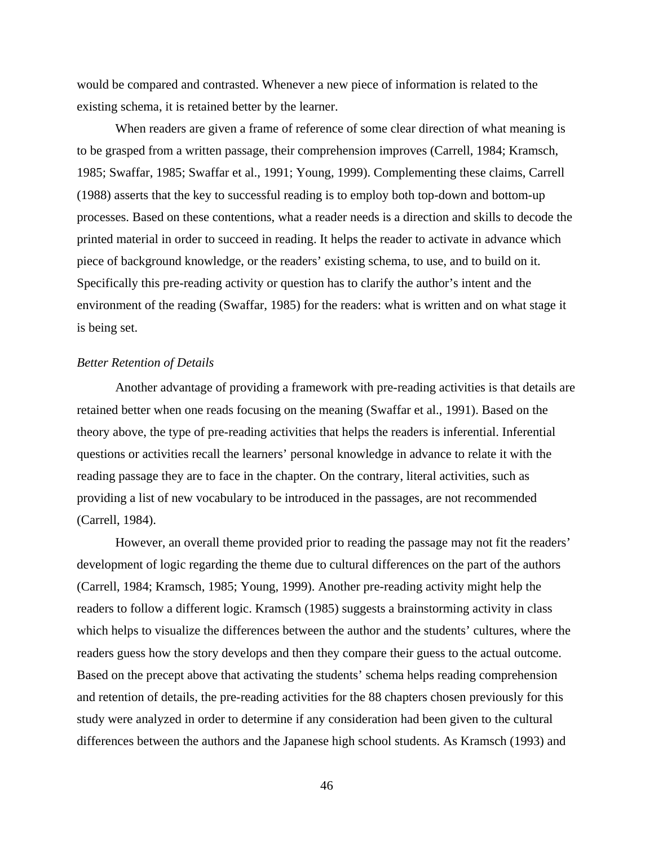would be compared and contrasted. Whenever a new piece of information is related to the existing schema, it is retained better by the learner.

When readers are given a frame of reference of some clear direction of what meaning is to be grasped from a written passage, their comprehension improves (Carrell, 1984; Kramsch, 1985; Swaffar, 1985; Swaffar et al., 1991; Young, 1999). Complementing these claims, Carrell (1988) asserts that the key to successful reading is to employ both top-down and bottom-up processes. Based on these contentions, what a reader needs is a direction and skills to decode the printed material in order to succeed in reading. It helps the reader to activate in advance which piece of background knowledge, or the readers' existing schema, to use, and to build on it. Specifically this pre-reading activity or question has to clarify the author's intent and the environment of the reading (Swaffar, 1985) for the readers: what is written and on what stage it is being set.

#### *Better Retention of Details*

Another advantage of providing a framework with pre-reading activities is that details are retained better when one reads focusing on the meaning (Swaffar et al., 1991). Based on the theory above, the type of pre-reading activities that helps the readers is inferential. Inferential questions or activities recall the learners' personal knowledge in advance to relate it with the reading passage they are to face in the chapter. On the contrary, literal activities, such as providing a list of new vocabulary to be introduced in the passages, are not recommended (Carrell, 1984).

However, an overall theme provided prior to reading the passage may not fit the readers' development of logic regarding the theme due to cultural differences on the part of the authors (Carrell, 1984; Kramsch, 1985; Young, 1999). Another pre-reading activity might help the readers to follow a different logic. Kramsch (1985) suggests a brainstorming activity in class which helps to visualize the differences between the author and the students' cultures, where the readers guess how the story develops and then they compare their guess to the actual outcome. Based on the precept above that activating the students' schema helps reading comprehension and retention of details, the pre-reading activities for the 88 chapters chosen previously for this study were analyzed in order to determine if any consideration had been given to the cultural differences between the authors and the Japanese high school students. As Kramsch (1993) and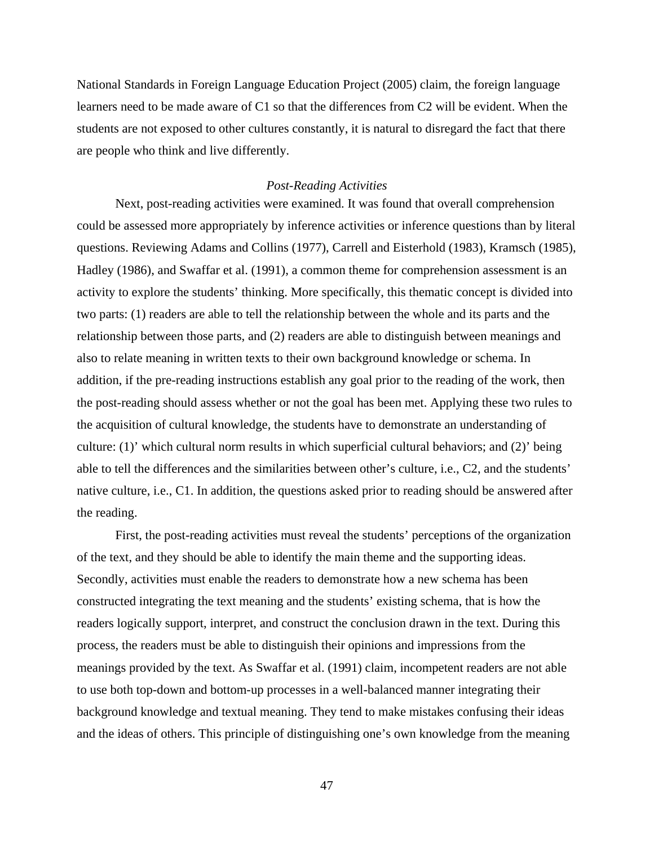National Standards in Foreign Language Education Project (2005) claim, the foreign language learners need to be made aware of C1 so that the differences from C2 will be evident. When the students are not exposed to other cultures constantly, it is natural to disregard the fact that there are people who think and live differently.

## *Post-Reading Activities*

Next, post-reading activities were examined. It was found that overall comprehension could be assessed more appropriately by inference activities or inference questions than by literal questions. Reviewing Adams and Collins (1977), Carrell and Eisterhold (1983), Kramsch (1985), Hadley (1986), and Swaffar et al. (1991), a common theme for comprehension assessment is an activity to explore the students' thinking. More specifically, this thematic concept is divided into two parts: (1) readers are able to tell the relationship between the whole and its parts and the relationship between those parts, and (2) readers are able to distinguish between meanings and also to relate meaning in written texts to their own background knowledge or schema. In addition, if the pre-reading instructions establish any goal prior to the reading of the work, then the post-reading should assess whether or not the goal has been met. Applying these two rules to the acquisition of cultural knowledge, the students have to demonstrate an understanding of culture: (1)' which cultural norm results in which superficial cultural behaviors; and (2)' being able to tell the differences and the similarities between other's culture, i.e., C2, and the students' native culture, i.e., C1. In addition, the questions asked prior to reading should be answered after the reading.

First, the post-reading activities must reveal the students' perceptions of the organization of the text, and they should be able to identify the main theme and the supporting ideas. Secondly, activities must enable the readers to demonstrate how a new schema has been constructed integrating the text meaning and the students' existing schema, that is how the readers logically support, interpret, and construct the conclusion drawn in the text. During this process, the readers must be able to distinguish their opinions and impressions from the meanings provided by the text. As Swaffar et al. (1991) claim, incompetent readers are not able to use both top-down and bottom-up processes in a well-balanced manner integrating their background knowledge and textual meaning. They tend to make mistakes confusing their ideas and the ideas of others. This principle of distinguishing one's own knowledge from the meaning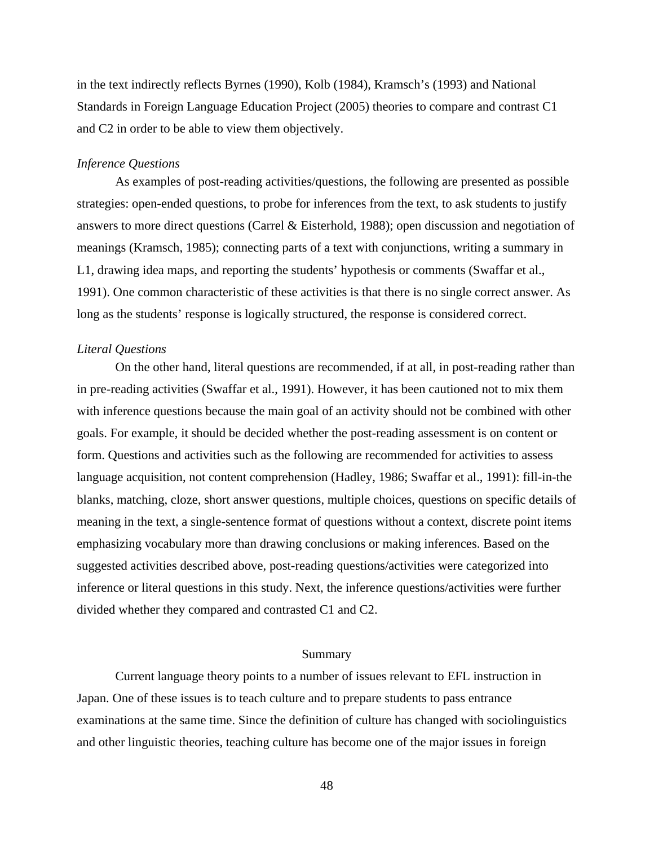in the text indirectly reflects Byrnes (1990), Kolb (1984), Kramsch's (1993) and National Standards in Foreign Language Education Project (2005) theories to compare and contrast C1 and C2 in order to be able to view them objectively.

# *Inference Questions*

As examples of post-reading activities/questions, the following are presented as possible strategies: open-ended questions, to probe for inferences from the text, to ask students to justify answers to more direct questions (Carrel & Eisterhold, 1988); open discussion and negotiation of meanings (Kramsch, 1985); connecting parts of a text with conjunctions, writing a summary in L1, drawing idea maps, and reporting the students' hypothesis or comments (Swaffar et al., 1991). One common characteristic of these activities is that there is no single correct answer. As long as the students' response is logically structured, the response is considered correct.

## *Literal Questions*

On the other hand, literal questions are recommended, if at all, in post-reading rather than in pre-reading activities (Swaffar et al., 1991). However, it has been cautioned not to mix them with inference questions because the main goal of an activity should not be combined with other goals. For example, it should be decided whether the post-reading assessment is on content or form. Questions and activities such as the following are recommended for activities to assess language acquisition, not content comprehension (Hadley, 1986; Swaffar et al., 1991): fill-in-the blanks, matching, cloze, short answer questions, multiple choices, questions on specific details of meaning in the text, a single-sentence format of questions without a context, discrete point items emphasizing vocabulary more than drawing conclusions or making inferences. Based on the suggested activities described above, post-reading questions/activities were categorized into inference or literal questions in this study. Next, the inference questions/activities were further divided whether they compared and contrasted C1 and C2.

#### Summary

Current language theory points to a number of issues relevant to EFL instruction in Japan. One of these issues is to teach culture and to prepare students to pass entrance examinations at the same time. Since the definition of culture has changed with sociolinguistics and other linguistic theories, teaching culture has become one of the major issues in foreign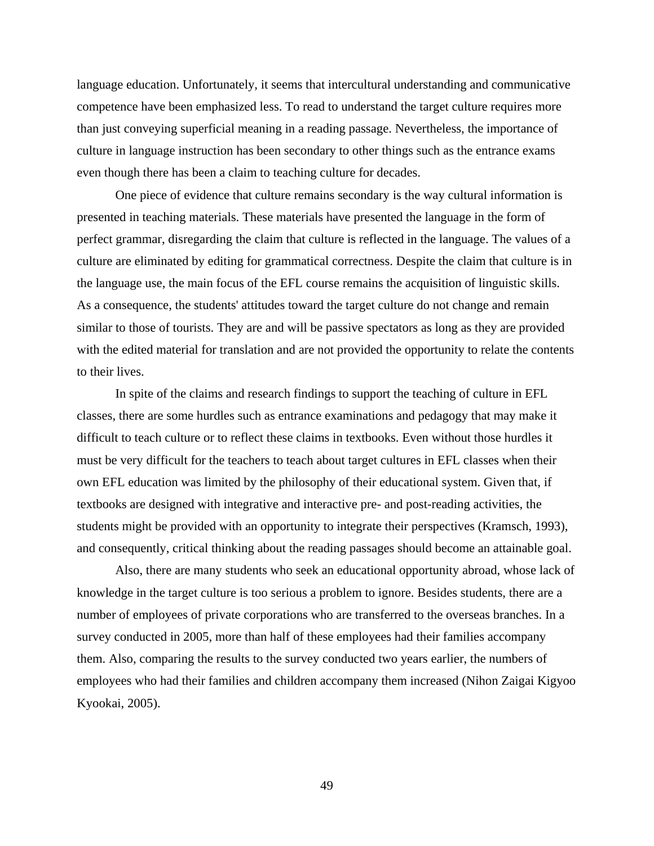language education. Unfortunately, it seems that intercultural understanding and communicative competence have been emphasized less. To read to understand the target culture requires more than just conveying superficial meaning in a reading passage. Nevertheless, the importance of culture in language instruction has been secondary to other things such as the entrance exams even though there has been a claim to teaching culture for decades.

One piece of evidence that culture remains secondary is the way cultural information is presented in teaching materials. These materials have presented the language in the form of perfect grammar, disregarding the claim that culture is reflected in the language. The values of a culture are eliminated by editing for grammatical correctness. Despite the claim that culture is in the language use, the main focus of the EFL course remains the acquisition of linguistic skills. As a consequence, the students' attitudes toward the target culture do not change and remain similar to those of tourists. They are and will be passive spectators as long as they are provided with the edited material for translation and are not provided the opportunity to relate the contents to their lives.

In spite of the claims and research findings to support the teaching of culture in EFL classes, there are some hurdles such as entrance examinations and pedagogy that may make it difficult to teach culture or to reflect these claims in textbooks. Even without those hurdles it must be very difficult for the teachers to teach about target cultures in EFL classes when their own EFL education was limited by the philosophy of their educational system. Given that, if textbooks are designed with integrative and interactive pre- and post-reading activities, the students might be provided with an opportunity to integrate their perspectives (Kramsch, 1993), and consequently, critical thinking about the reading passages should become an attainable goal.

Also, there are many students who seek an educational opportunity abroad, whose lack of knowledge in the target culture is too serious a problem to ignore. Besides students, there are a number of employees of private corporations who are transferred to the overseas branches. In a survey conducted in 2005, more than half of these employees had their families accompany them. Also, comparing the results to the survey conducted two years earlier, the numbers of employees who had their families and children accompany them increased (Nihon Zaigai Kigyoo Kyookai, 2005).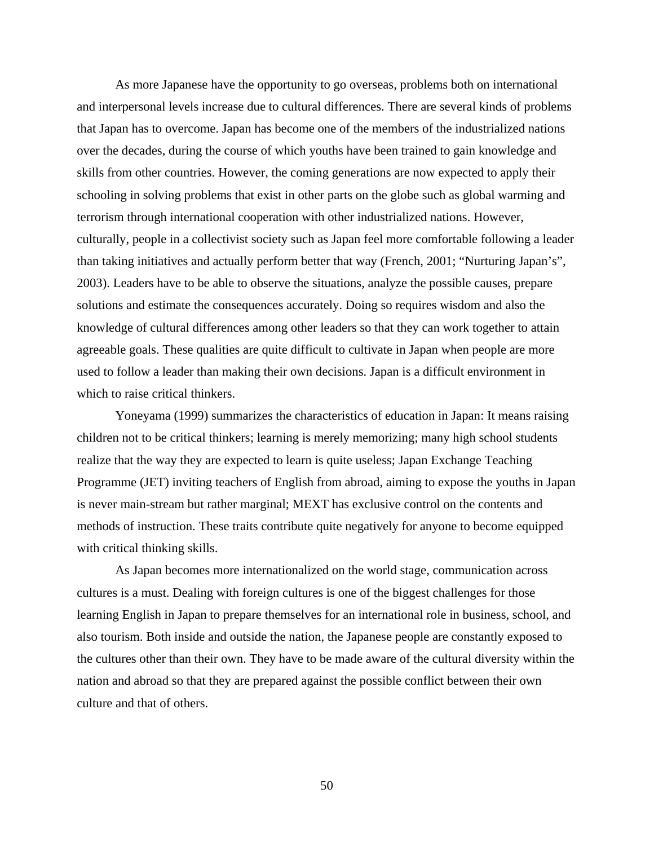As more Japanese have the opportunity to go overseas, problems both on international and interpersonal levels increase due to cultural differences. There are several kinds of problems that Japan has to overcome. Japan has become one of the members of the industrialized nations over the decades, during the course of which youths have been trained to gain knowledge and skills from other countries. However, the coming generations are now expected to apply their schooling in solving problems that exist in other parts on the globe such as global warming and terrorism through international cooperation with other industrialized nations. However, culturally, people in a collectivist society such as Japan feel more comfortable following a leader than taking initiatives and actually perform better that way (French, 2001; "Nurturing Japan's", 2003). Leaders have to be able to observe the situations, analyze the possible causes, prepare solutions and estimate the consequences accurately. Doing so requires wisdom and also the knowledge of cultural differences among other leaders so that they can work together to attain agreeable goals. These qualities are quite difficult to cultivate in Japan when people are more used to follow a leader than making their own decisions. Japan is a difficult environment in which to raise critical thinkers.

Yoneyama (1999) summarizes the characteristics of education in Japan: It means raising children not to be critical thinkers; learning is merely memorizing; many high school students realize that the way they are expected to learn is quite useless; Japan Exchange Teaching Programme (JET) inviting teachers of English from abroad, aiming to expose the youths in Japan is never main-stream but rather marginal; MEXT has exclusive control on the contents and methods of instruction. These traits contribute quite negatively for anyone to become equipped with critical thinking skills.

As Japan becomes more internationalized on the world stage, communication across cultures is a must. Dealing with foreign cultures is one of the biggest challenges for those learning English in Japan to prepare themselves for an international role in business, school, and also tourism. Both inside and outside the nation, the Japanese people are constantly exposed to the cultures other than their own. They have to be made aware of the cultural diversity within the nation and abroad so that they are prepared against the possible conflict between their own culture and that of others.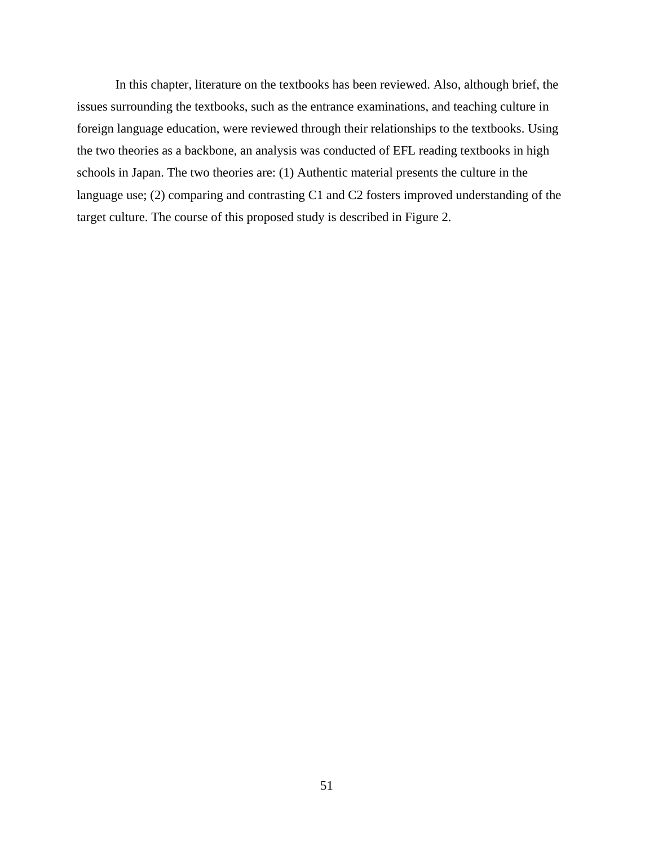In this chapter, literature on the textbooks has been reviewed. Also, although brief, the issues surrounding the textbooks, such as the entrance examinations, and teaching culture in foreign language education, were reviewed through their relationships to the textbooks. Using the two theories as a backbone, an analysis was conducted of EFL reading textbooks in high schools in Japan. The two theories are: (1) Authentic material presents the culture in the language use; (2) comparing and contrasting C1 and C2 fosters improved understanding of the target culture. The course of this proposed study is described in Figure 2.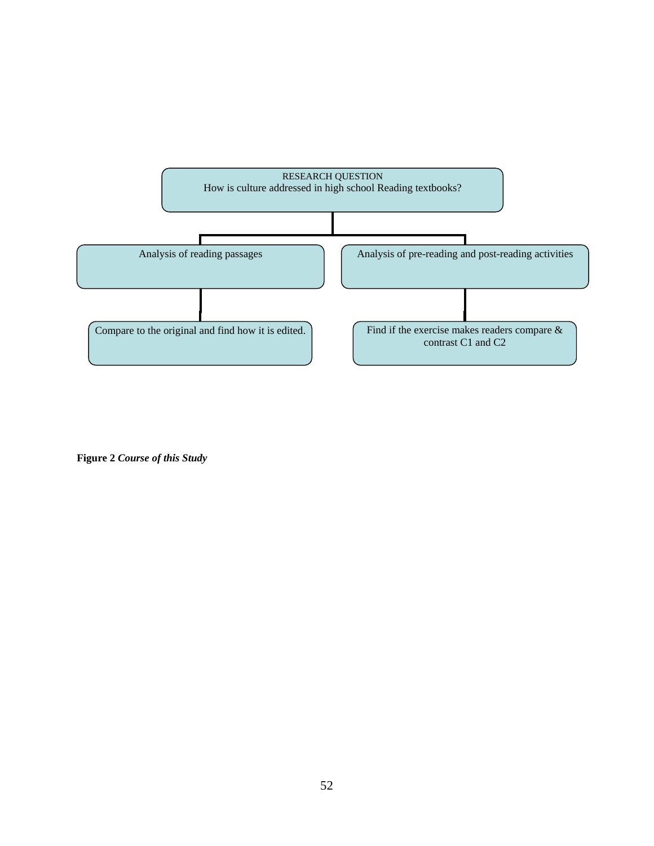

**Figure 2** *Course of this Study*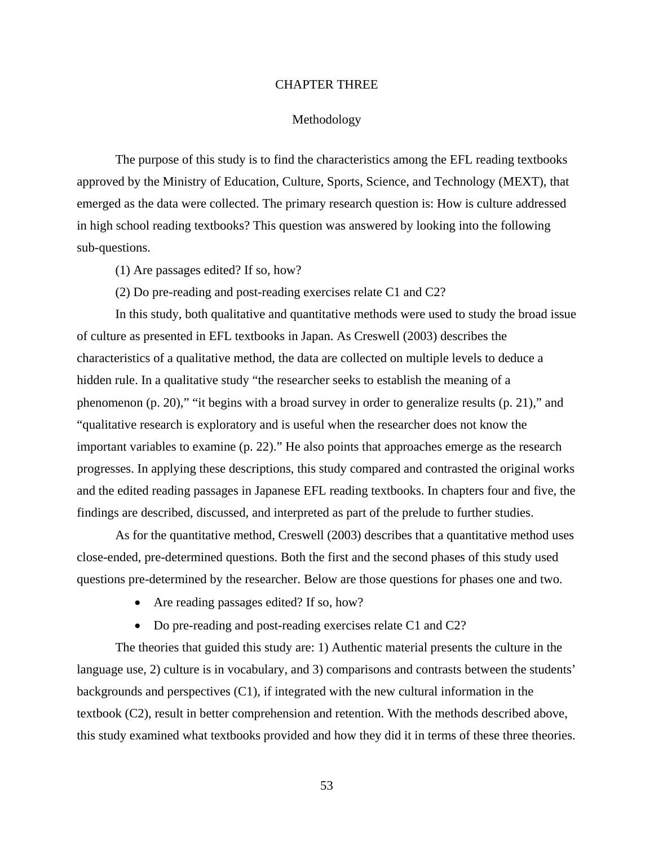## CHAPTER THREE

#### Methodology

The purpose of this study is to find the characteristics among the EFL reading textbooks approved by the Ministry of Education, Culture, Sports, Science, and Technology (MEXT), that emerged as the data were collected. The primary research question is: How is culture addressed in high school reading textbooks? This question was answered by looking into the following sub-questions.

(1) Are passages edited? If so, how?

(2) Do pre-reading and post-reading exercises relate C1 and C2?

In this study, both qualitative and quantitative methods were used to study the broad issue of culture as presented in EFL textbooks in Japan. As Creswell (2003) describes the characteristics of a qualitative method, the data are collected on multiple levels to deduce a hidden rule. In a qualitative study "the researcher seeks to establish the meaning of a phenomenon (p. 20)," "it begins with a broad survey in order to generalize results (p. 21)," and "qualitative research is exploratory and is useful when the researcher does not know the important variables to examine (p. 22)." He also points that approaches emerge as the research progresses. In applying these descriptions, this study compared and contrasted the original works and the edited reading passages in Japanese EFL reading textbooks. In chapters four and five, the findings are described, discussed, and interpreted as part of the prelude to further studies.

As for the quantitative method, Creswell (2003) describes that a quantitative method uses close-ended, pre-determined questions. Both the first and the second phases of this study used questions pre-determined by the researcher. Below are those questions for phases one and two.

- Are reading passages edited? If so, how?
- Do pre-reading and post-reading exercises relate C1 and C2?

The theories that guided this study are: 1) Authentic material presents the culture in the language use, 2) culture is in vocabulary, and 3) comparisons and contrasts between the students' backgrounds and perspectives (C1), if integrated with the new cultural information in the textbook (C2), result in better comprehension and retention. With the methods described above, this study examined what textbooks provided and how they did it in terms of these three theories.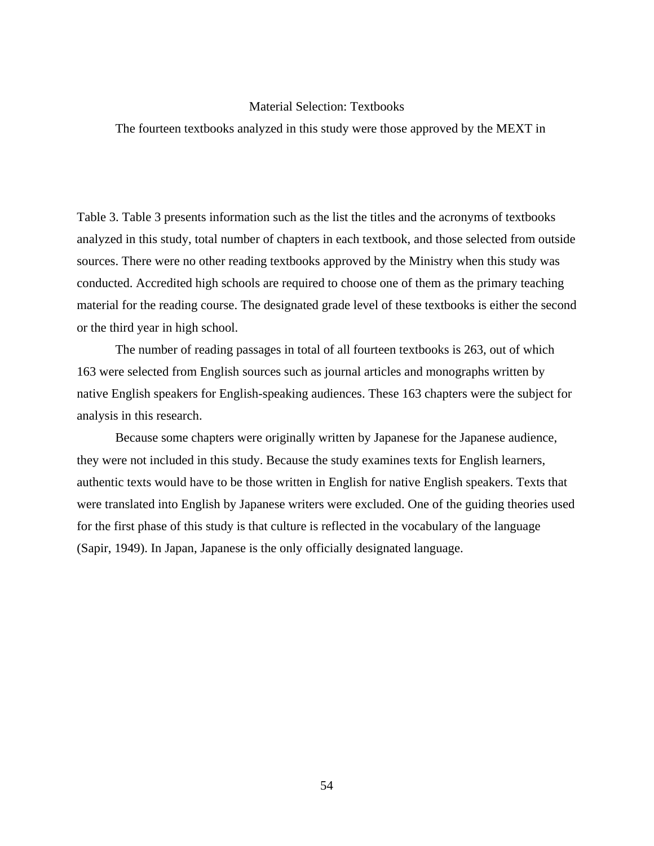# Material Selection: Textbooks

The fourteen textbooks analyzed in this study were those approved by the MEXT in

Table 3. Table 3 presents information such as the list the titles and the acronyms of textbooks analyzed in this study, total number of chapters in each textbook, and those selected from outside sources. There were no other reading textbooks approved by the Ministry when this study was conducted. Accredited high schools are required to choose one of them as the primary teaching material for the reading course. The designated grade level of these textbooks is either the second or the third year in high school.

The number of reading passages in total of all fourteen textbooks is 263, out of which 163 were selected from English sources such as journal articles and monographs written by native English speakers for English-speaking audiences. These 163 chapters were the subject for analysis in this research.

Because some chapters were originally written by Japanese for the Japanese audience, they were not included in this study. Because the study examines texts for English learners, authentic texts would have to be those written in English for native English speakers. Texts that were translated into English by Japanese writers were excluded. One of the guiding theories used for the first phase of this study is that culture is reflected in the vocabulary of the language (Sapir, 1949). In Japan, Japanese is the only officially designated language.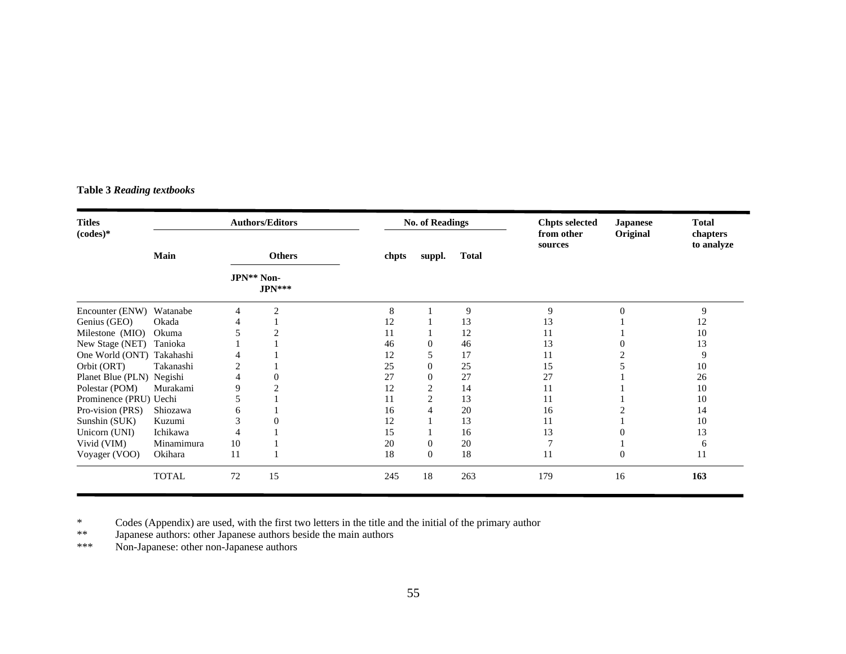# **Table 3** *Reading textbooks*

| <b>Titles</b><br>$(codes)*$ | <b>Authors/Editors</b> |               |                | <b>No. of Readings</b> |          |              | <b>Japanese</b><br>Original | <b>Total</b><br>chapters<br>to analyze |     |
|-----------------------------|------------------------|---------------|----------------|------------------------|----------|--------------|-----------------------------|----------------------------------------|-----|
|                             | Main                   | <b>Others</b> |                | chpts                  | suppl.   | <b>Total</b> | sources                     |                                        |     |
|                             |                        | JPN** Non-    | $JPN***$       |                        |          |              |                             |                                        |     |
| Encounter (ENW)             | Watanabe               | 4             | $\overline{2}$ | 8                      |          | 9            | 9                           | $\theta$                               | 9   |
| Genius (GEO)                | Okada                  |               |                | 12                     |          | 13           | 13                          |                                        | 12  |
| Milestone (MIO)             | Okuma                  |               |                | 11                     |          | 12           | 11                          |                                        | 10  |
| New Stage (NET)             | Tanioka                |               |                | 46                     |          | 46           | 13                          |                                        | 13  |
| One World (ONT) Takahashi   |                        |               |                | 12                     |          | 17           | 11                          |                                        | 9   |
| Orbit (ORT)                 | Takanashi              |               |                | 25                     |          | 25           | 15                          |                                        | 10  |
| Planet Blue (PLN) Negishi   |                        |               |                | 27                     |          | 27           | 27                          |                                        | 26  |
| Polestar (POM)              | Murakami               | 9             |                | 12                     |          | 14           | 11                          |                                        | 10  |
| Prominence (PRU) Uechi      |                        |               |                | 11                     |          | 13           | 11                          |                                        | 10  |
| Pro-vision (PRS)            | Shiozawa               | 6             |                | 16                     |          | 20           | 16                          |                                        | 14  |
| Sunshin (SUK)               | Kuzumi                 |               |                | 12                     |          | 13           | 11                          |                                        | 10  |
| Unicorn (UNI)               | Ichikawa               |               |                | 15                     |          | 16           | 13                          |                                        | 13  |
| Vivid (VIM)                 | Minamimura             | 10            |                | 20                     | 0        | 20           | 7                           |                                        | 6   |
| Voyager (VOO)               | Okihara                | 11            |                | 18                     | $\Omega$ | 18           | 11                          | $\theta$                               | 11  |
|                             | <b>TOTAL</b>           | 72            | 15             | 245                    | 18       | 263          | 179                         | 16                                     | 163 |

\* Codes (Appendix) are used, with the first two letters in the title and the initial of the primary author

\*\* Japanese authors: other Japanese authors beside the main authors

\*\*\* Non-Japanese: other non-Japanese authors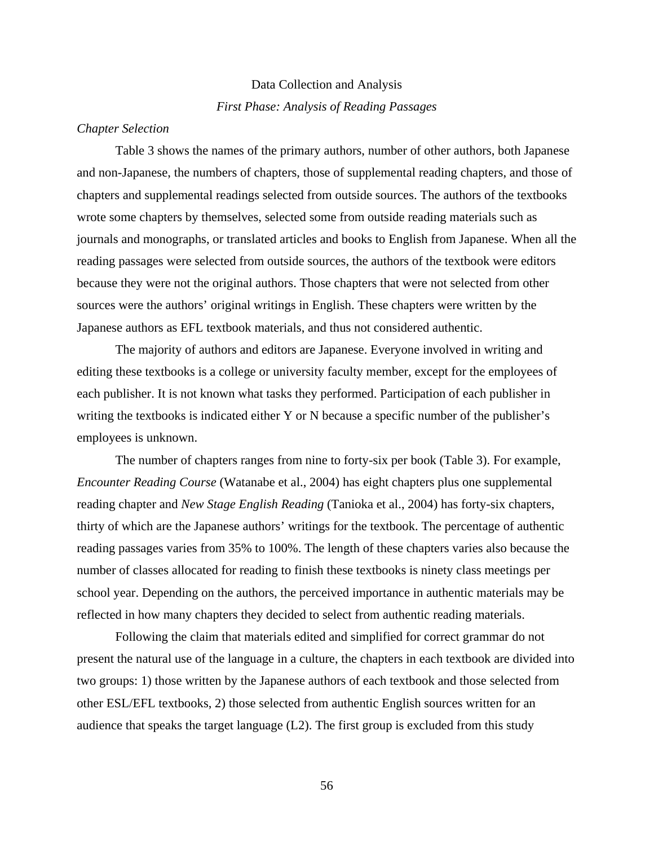# Data Collection and Analysis *First Phase: Analysis of Reading Passages*

# *Chapter Selection*

Table 3 shows the names of the primary authors, number of other authors, both Japanese and non-Japanese, the numbers of chapters, those of supplemental reading chapters, and those of chapters and supplemental readings selected from outside sources. The authors of the textbooks wrote some chapters by themselves, selected some from outside reading materials such as journals and monographs, or translated articles and books to English from Japanese. When all the reading passages were selected from outside sources, the authors of the textbook were editors because they were not the original authors. Those chapters that were not selected from other sources were the authors' original writings in English. These chapters were written by the Japanese authors as EFL textbook materials, and thus not considered authentic.

The majority of authors and editors are Japanese. Everyone involved in writing and editing these textbooks is a college or university faculty member, except for the employees of each publisher. It is not known what tasks they performed. Participation of each publisher in writing the textbooks is indicated either Y or N because a specific number of the publisher's employees is unknown.

The number of chapters ranges from nine to forty-six per book (Table 3). For example, *Encounter Reading Course* (Watanabe et al., 2004) has eight chapters plus one supplemental reading chapter and *New Stage English Reading* (Tanioka et al., 2004) has forty-six chapters, thirty of which are the Japanese authors' writings for the textbook. The percentage of authentic reading passages varies from 35% to 100%. The length of these chapters varies also because the number of classes allocated for reading to finish these textbooks is ninety class meetings per school year. Depending on the authors, the perceived importance in authentic materials may be reflected in how many chapters they decided to select from authentic reading materials.

Following the claim that materials edited and simplified for correct grammar do not present the natural use of the language in a culture, the chapters in each textbook are divided into two groups: 1) those written by the Japanese authors of each textbook and those selected from other ESL/EFL textbooks, 2) those selected from authentic English sources written for an audience that speaks the target language (L2). The first group is excluded from this study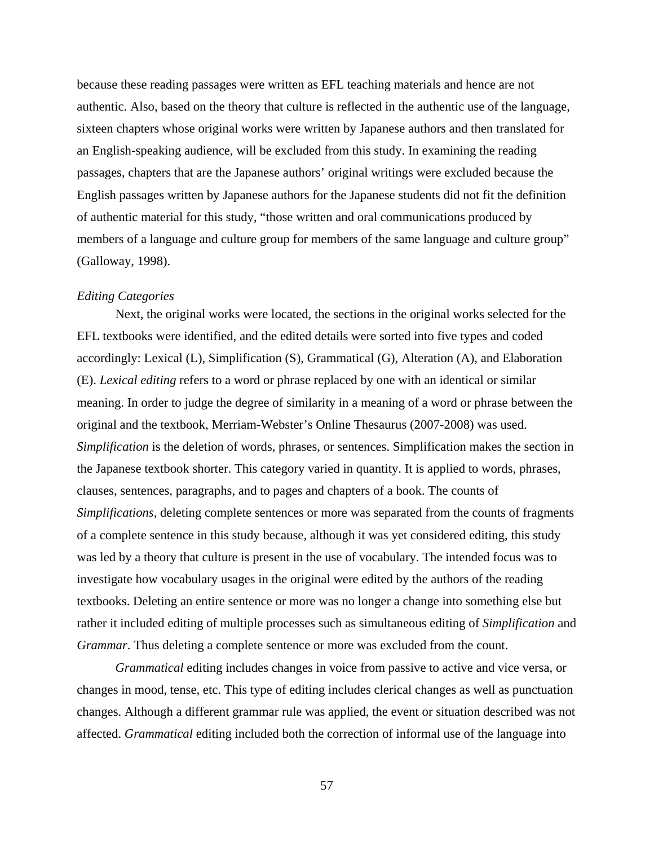because these reading passages were written as EFL teaching materials and hence are not authentic. Also, based on the theory that culture is reflected in the authentic use of the language, sixteen chapters whose original works were written by Japanese authors and then translated for an English-speaking audience, will be excluded from this study. In examining the reading passages, chapters that are the Japanese authors' original writings were excluded because the English passages written by Japanese authors for the Japanese students did not fit the definition of authentic material for this study, "those written and oral communications produced by members of a language and culture group for members of the same language and culture group" (Galloway, 1998).

#### *Editing Categories*

Next, the original works were located, the sections in the original works selected for the EFL textbooks were identified, and the edited details were sorted into five types and coded accordingly: Lexical (L), Simplification (S), Grammatical (G), Alteration (A), and Elaboration (E). *Lexical editing* refers to a word or phrase replaced by one with an identical or similar meaning. In order to judge the degree of similarity in a meaning of a word or phrase between the original and the textbook, Merriam-Webster's Online Thesaurus (2007-2008) was used. *Simplification* is the deletion of words, phrases, or sentences. Simplification makes the section in the Japanese textbook shorter. This category varied in quantity. It is applied to words, phrases, clauses, sentences, paragraphs, and to pages and chapters of a book. The counts of *Simplifications,* deleting complete sentences or more was separated from the counts of fragments of a complete sentence in this study because, although it was yet considered editing, this study was led by a theory that culture is present in the use of vocabulary. The intended focus was to investigate how vocabulary usages in the original were edited by the authors of the reading textbooks. Deleting an entire sentence or more was no longer a change into something else but rather it included editing of multiple processes such as simultaneous editing of *Simplification* and *Grammar*. Thus deleting a complete sentence or more was excluded from the count.

*Grammatical* editing includes changes in voice from passive to active and vice versa, or changes in mood, tense, etc. This type of editing includes clerical changes as well as punctuation changes. Although a different grammar rule was applied, the event or situation described was not affected. *Grammatical* editing included both the correction of informal use of the language into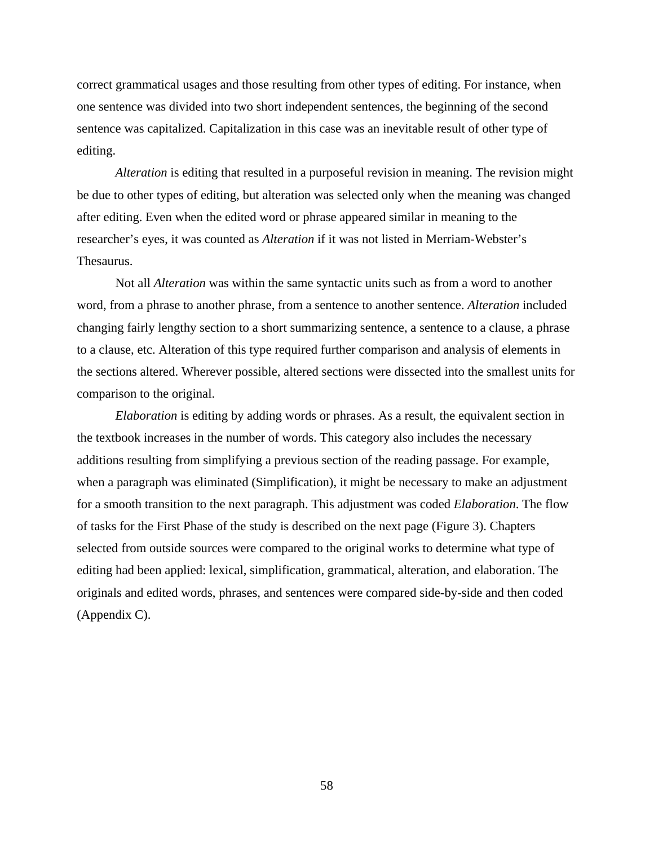correct grammatical usages and those resulting from other types of editing. For instance, when one sentence was divided into two short independent sentences, the beginning of the second sentence was capitalized. Capitalization in this case was an inevitable result of other type of editing.

*Alteration* is editing that resulted in a purposeful revision in meaning. The revision might be due to other types of editing, but alteration was selected only when the meaning was changed after editing. Even when the edited word or phrase appeared similar in meaning to the researcher's eyes, it was counted as *Alteration* if it was not listed in Merriam-Webster's Thesaurus.

Not all *Alteration* was within the same syntactic units such as from a word to another word, from a phrase to another phrase, from a sentence to another sentence. *Alteration* included changing fairly lengthy section to a short summarizing sentence, a sentence to a clause, a phrase to a clause, etc. Alteration of this type required further comparison and analysis of elements in the sections altered. Wherever possible, altered sections were dissected into the smallest units for comparison to the original.

*Elaboration* is editing by adding words or phrases. As a result, the equivalent section in the textbook increases in the number of words. This category also includes the necessary additions resulting from simplifying a previous section of the reading passage. For example, when a paragraph was eliminated (Simplification), it might be necessary to make an adjustment for a smooth transition to the next paragraph. This adjustment was coded *Elaboration*. The flow of tasks for the First Phase of the study is described on the next page (Figure 3). Chapters selected from outside sources were compared to the original works to determine what type of editing had been applied: lexical, simplification, grammatical, alteration, and elaboration. The originals and edited words, phrases, and sentences were compared side-by-side and then coded (Appendix C).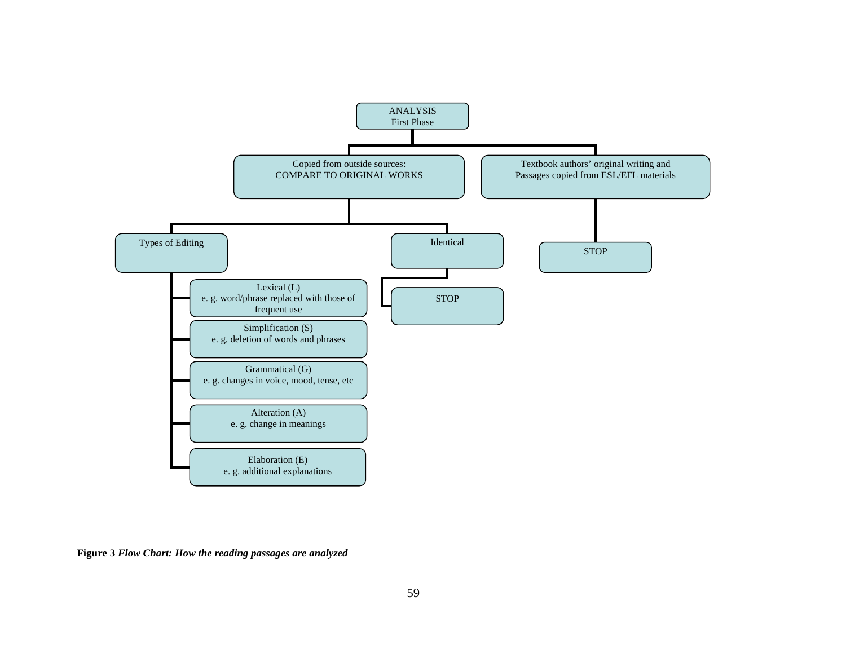

**Figure 3** *Flow Chart: How the reading passages are analyzed*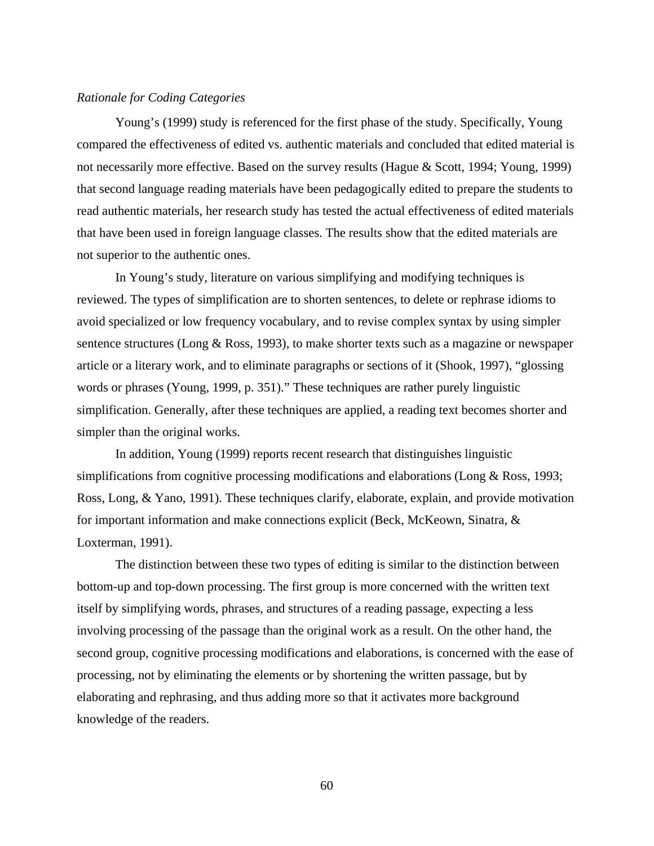#### *Rationale for Coding Categories*

Young's (1999) study is referenced for the first phase of the study. Specifically, Young compared the effectiveness of edited vs. authentic materials and concluded that edited material is not necessarily more effective. Based on the survey results (Hague & Scott, 1994; Young, 1999) that second language reading materials have been pedagogically edited to prepare the students to read authentic materials, her research study has tested the actual effectiveness of edited materials that have been used in foreign language classes. The results show that the edited materials are not superior to the authentic ones.

In Young's study, literature on various simplifying and modifying techniques is reviewed. The types of simplification are to shorten sentences, to delete or rephrase idioms to avoid specialized or low frequency vocabulary, and to revise complex syntax by using simpler sentence structures (Long & Ross, 1993), to make shorter texts such as a magazine or newspaper article or a literary work, and to eliminate paragraphs or sections of it (Shook, 1997), "glossing words or phrases (Young, 1999, p. 351)." These techniques are rather purely linguistic simplification. Generally, after these techniques are applied, a reading text becomes shorter and simpler than the original works.

In addition, Young (1999) reports recent research that distinguishes linguistic simplifications from cognitive processing modifications and elaborations (Long & Ross, 1993; Ross, Long, & Yano, 1991). These techniques clarify, elaborate, explain, and provide motivation for important information and make connections explicit (Beck, McKeown, Sinatra, & Loxterman, 1991).

The distinction between these two types of editing is similar to the distinction between bottom-up and top-down processing. The first group is more concerned with the written text itself by simplifying words, phrases, and structures of a reading passage, expecting a less involving processing of the passage than the original work as a result. On the other hand, the second group, cognitive processing modifications and elaborations, is concerned with the ease of processing, not by eliminating the elements or by shortening the written passage, but by elaborating and rephrasing, and thus adding more so that it activates more background knowledge of the readers.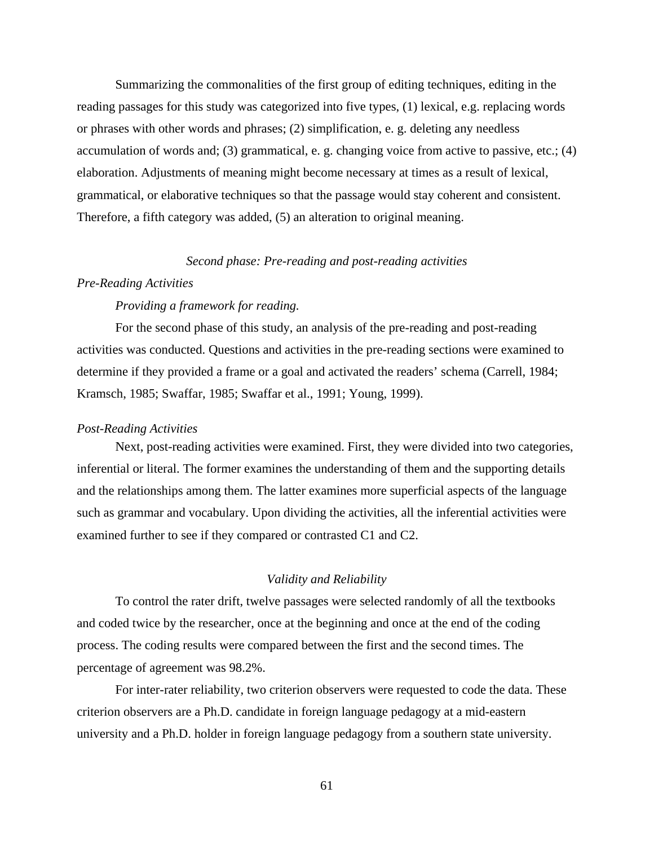Summarizing the commonalities of the first group of editing techniques, editing in the reading passages for this study was categorized into five types, (1) lexical, e.g. replacing words or phrases with other words and phrases; (2) simplification, e. g. deleting any needless accumulation of words and; (3) grammatical, e. g. changing voice from active to passive, etc.; (4) elaboration. Adjustments of meaning might become necessary at times as a result of lexical, grammatical, or elaborative techniques so that the passage would stay coherent and consistent. Therefore, a fifth category was added, (5) an alteration to original meaning.

# *Second phase: Pre-reading and post-reading activities*

# *Pre-Reading Activities*

# *Providing a framework for reading.*

For the second phase of this study, an analysis of the pre-reading and post-reading activities was conducted. Questions and activities in the pre-reading sections were examined to determine if they provided a frame or a goal and activated the readers' schema (Carrell, 1984; Kramsch, 1985; Swaffar, 1985; Swaffar et al., 1991; Young, 1999).

#### *Post-Reading Activities*

Next, post-reading activities were examined. First, they were divided into two categories, inferential or literal. The former examines the understanding of them and the supporting details and the relationships among them. The latter examines more superficial aspects of the language such as grammar and vocabulary. Upon dividing the activities, all the inferential activities were examined further to see if they compared or contrasted C1 and C2.

## *Validity and Reliability*

To control the rater drift, twelve passages were selected randomly of all the textbooks and coded twice by the researcher, once at the beginning and once at the end of the coding process. The coding results were compared between the first and the second times. The percentage of agreement was 98.2%.

For inter-rater reliability, two criterion observers were requested to code the data. These criterion observers are a Ph.D. candidate in foreign language pedagogy at a mid-eastern university and a Ph.D. holder in foreign language pedagogy from a southern state university.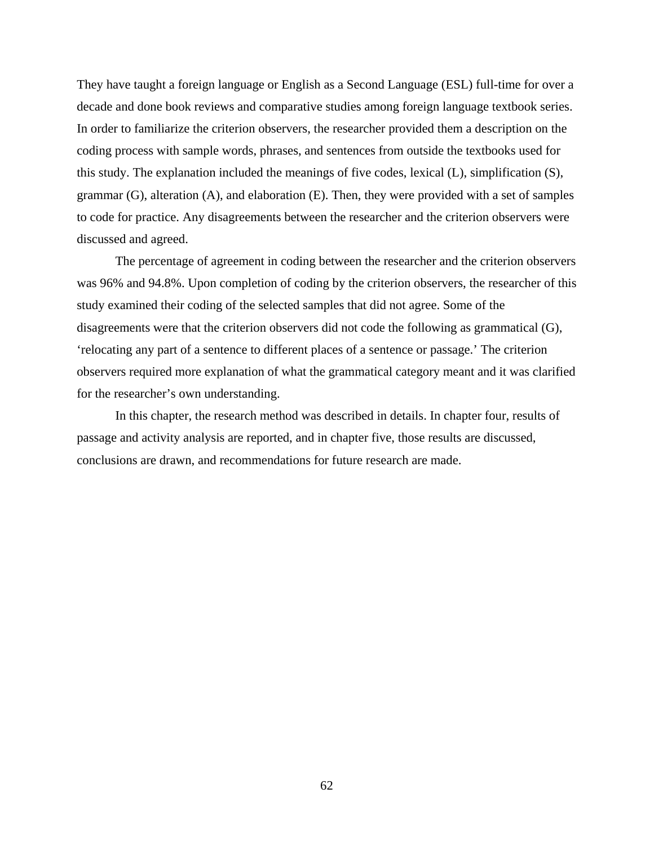They have taught a foreign language or English as a Second Language (ESL) full-time for over a decade and done book reviews and comparative studies among foreign language textbook series. In order to familiarize the criterion observers, the researcher provided them a description on the coding process with sample words, phrases, and sentences from outside the textbooks used for this study. The explanation included the meanings of five codes, lexical (L), simplification (S), grammar (G), alteration (A), and elaboration (E). Then, they were provided with a set of samples to code for practice. Any disagreements between the researcher and the criterion observers were discussed and agreed.

The percentage of agreement in coding between the researcher and the criterion observers was 96% and 94.8%. Upon completion of coding by the criterion observers, the researcher of this study examined their coding of the selected samples that did not agree. Some of the disagreements were that the criterion observers did not code the following as grammatical (G), 'relocating any part of a sentence to different places of a sentence or passage.' The criterion observers required more explanation of what the grammatical category meant and it was clarified for the researcher's own understanding.

In this chapter, the research method was described in details. In chapter four, results of passage and activity analysis are reported, and in chapter five, those results are discussed, conclusions are drawn, and recommendations for future research are made.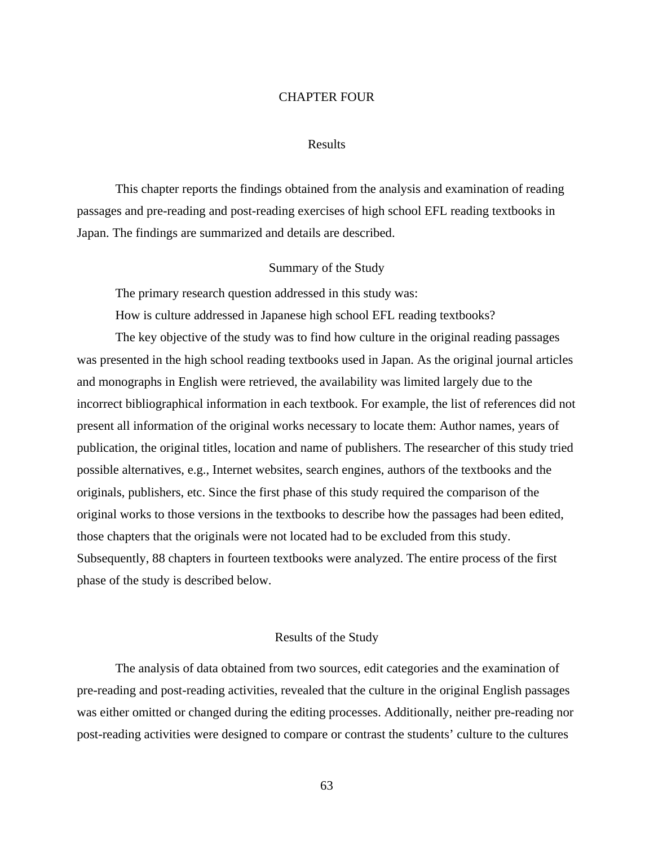## CHAPTER FOUR

#### Results

This chapter reports the findings obtained from the analysis and examination of reading passages and pre-reading and post-reading exercises of high school EFL reading textbooks in Japan. The findings are summarized and details are described.

#### Summary of the Study

The primary research question addressed in this study was:

How is culture addressed in Japanese high school EFL reading textbooks?

The key objective of the study was to find how culture in the original reading passages was presented in the high school reading textbooks used in Japan. As the original journal articles and monographs in English were retrieved, the availability was limited largely due to the incorrect bibliographical information in each textbook. For example, the list of references did not present all information of the original works necessary to locate them: Author names, years of publication, the original titles, location and name of publishers. The researcher of this study tried possible alternatives, e.g., Internet websites, search engines, authors of the textbooks and the originals, publishers, etc. Since the first phase of this study required the comparison of the original works to those versions in the textbooks to describe how the passages had been edited, those chapters that the originals were not located had to be excluded from this study. Subsequently, 88 chapters in fourteen textbooks were analyzed. The entire process of the first phase of the study is described below.

# Results of the Study

The analysis of data obtained from two sources, edit categories and the examination of pre-reading and post-reading activities, revealed that the culture in the original English passages was either omitted or changed during the editing processes. Additionally, neither pre-reading nor post-reading activities were designed to compare or contrast the students' culture to the cultures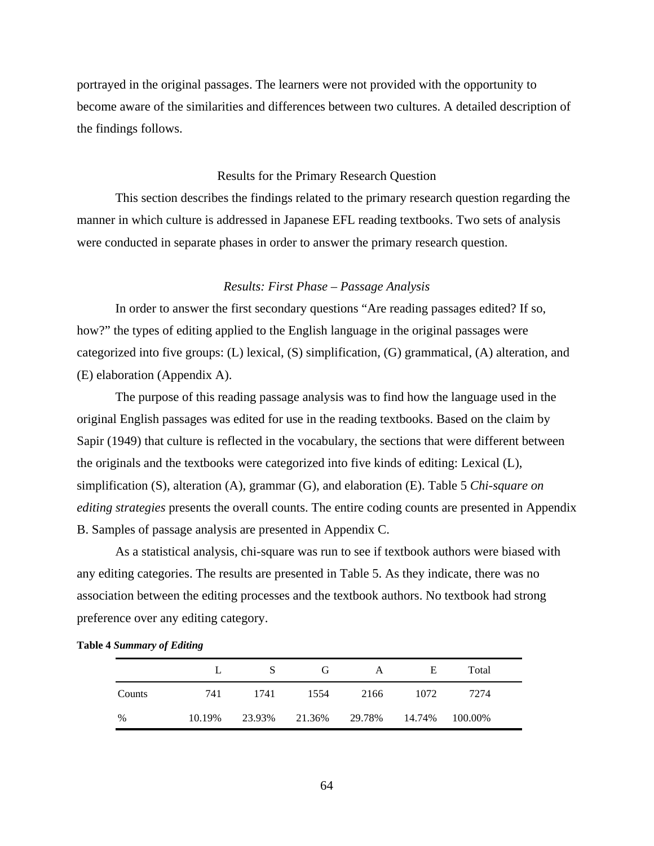portrayed in the original passages. The learners were not provided with the opportunity to become aware of the similarities and differences between two cultures. A detailed description of the findings follows.

# Results for the Primary Research Question

This section describes the findings related to the primary research question regarding the manner in which culture is addressed in Japanese EFL reading textbooks. Two sets of analysis were conducted in separate phases in order to answer the primary research question.

## *Results: First Phase – Passage Analysis*

In order to answer the first secondary questions "Are reading passages edited? If so, how?" the types of editing applied to the English language in the original passages were categorized into five groups: (L) lexical, (S) simplification, (G) grammatical, (A) alteration, and (E) elaboration (Appendix A).

The purpose of this reading passage analysis was to find how the language used in the original English passages was edited for use in the reading textbooks. Based on the claim by Sapir (1949) that culture is reflected in the vocabulary, the sections that were different between the originals and the textbooks were categorized into five kinds of editing: Lexical (L), simplification (S), alteration (A), grammar (G), and elaboration (E). Table 5 *Chi-square on editing strategies* presents the overall counts. The entire coding counts are presented in Appendix B. Samples of passage analysis are presented in Appendix C.

As a statistical analysis, chi-square was run to see if textbook authors were biased with any editing categories. The results are presented in Table 5. As they indicate, there was no association between the editing processes and the textbook authors. No textbook had strong preference over any editing category.

|        |        | S      | G      | A      | E      | Total   |  |
|--------|--------|--------|--------|--------|--------|---------|--|
| Counts | 741    | 1741   | 1554   | 2166   | 1072   | 7274    |  |
| %      | 10.19% | 23.93% | 21.36% | 29.78% | 14.74% | 100.00% |  |

**Table 4** *Summary of Editing*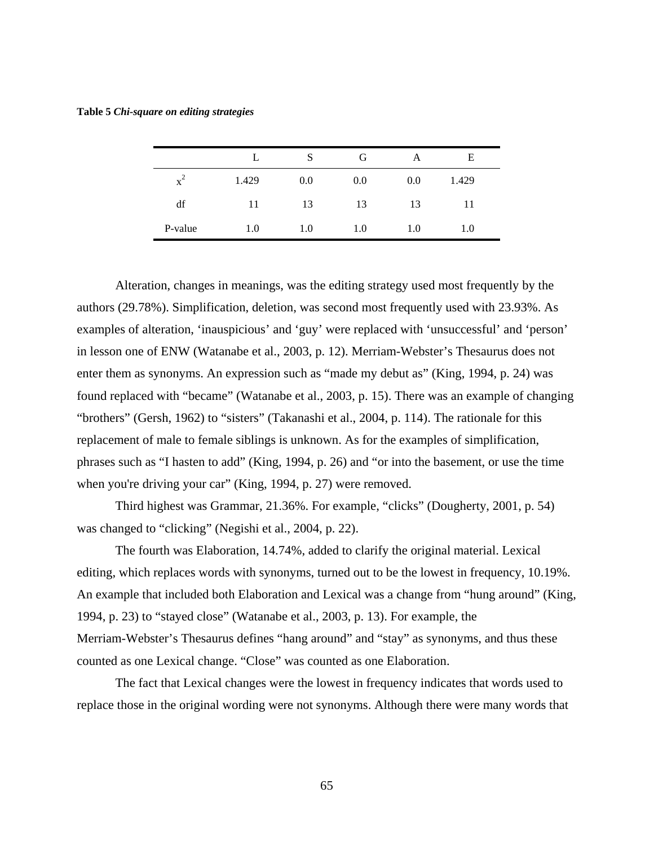|                |       | S   | G   | А   | Е     |
|----------------|-------|-----|-----|-----|-------|
| $\mathbf{x}^2$ | 1.429 | 0.0 | 0.0 | 0.0 | 1.429 |
| df             | 11    | 13  | 13  | 13  | 11    |
| P-value        | 1.0   | 1.0 | 1.0 | 1.0 | 1.0   |

Alteration, changes in meanings, was the editing strategy used most frequently by the authors (29.78%). Simplification, deletion, was second most frequently used with 23.93%. As examples of alteration, 'inauspicious' and 'guy' were replaced with 'unsuccessful' and 'person' in lesson one of ENW (Watanabe et al., 2003, p. 12). Merriam-Webster's Thesaurus does not enter them as synonyms. An expression such as "made my debut as" (King, 1994, p. 24) was found replaced with "became" (Watanabe et al., 2003, p. 15). There was an example of changing "brothers" (Gersh, 1962) to "sisters" (Takanashi et al., 2004, p. 114). The rationale for this replacement of male to female siblings is unknown. As for the examples of simplification, phrases such as "I hasten to add" (King, 1994, p. 26) and "or into the basement, or use the time when you're driving your car" (King, 1994, p. 27) were removed.

Third highest was Grammar, 21.36%. For example, "clicks" (Dougherty, 2001, p. 54) was changed to "clicking" (Negishi et al., 2004, p. 22).

The fourth was Elaboration, 14.74%, added to clarify the original material. Lexical editing, which replaces words with synonyms, turned out to be the lowest in frequency, 10.19%. An example that included both Elaboration and Lexical was a change from "hung around" (King, 1994, p. 23) to "stayed close" (Watanabe et al., 2003, p. 13). For example, the Merriam-Webster's Thesaurus defines "hang around" and "stay" as synonyms, and thus these counted as one Lexical change. "Close" was counted as one Elaboration.

The fact that Lexical changes were the lowest in frequency indicates that words used to replace those in the original wording were not synonyms. Although there were many words that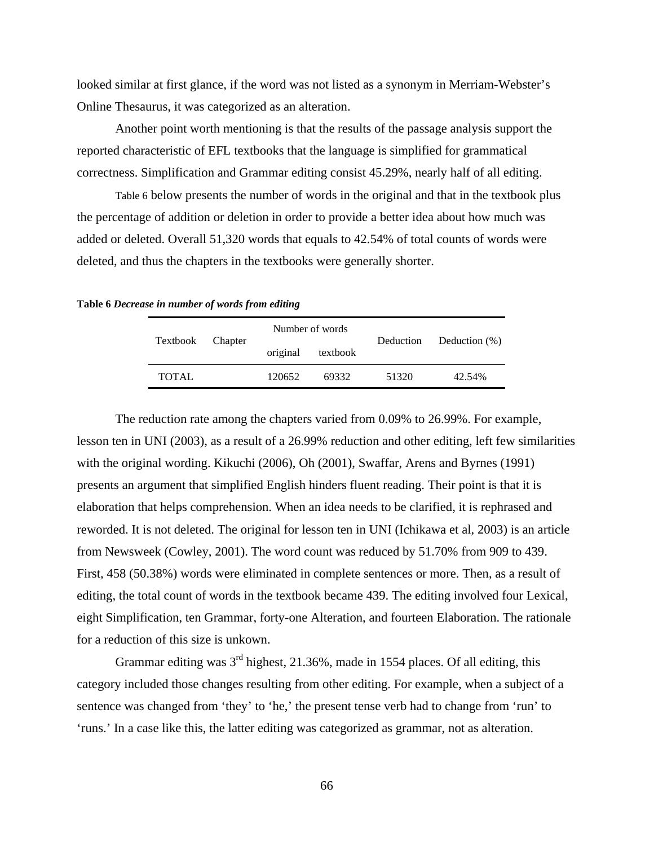looked similar at first glance, if the word was not listed as a synonym in Merriam-Webster's Online Thesaurus, it was categorized as an alteration.

Another point worth mentioning is that the results of the passage analysis support the reported characteristic of EFL textbooks that the language is simplified for grammatical correctness. Simplification and Grammar editing consist 45.29%, nearly half of all editing.

Table 6 below presents the number of words in the original and that in the textbook plus the percentage of addition or deletion in order to provide a better idea about how much was added or deleted. Overall 51,320 words that equals to 42.54% of total counts of words were deleted, and thus the chapters in the textbooks were generally shorter.

**Table 6** *Decrease in number of words from editing*

| Textbook Chapter |  |          | Number of words | Deduction |                  |  |
|------------------|--|----------|-----------------|-----------|------------------|--|
|                  |  | original | textbook        |           | Deduction $(\%)$ |  |
| <b>TOTAL</b>     |  | 120652   | 69332           | 51320     | 42.54%           |  |

The reduction rate among the chapters varied from 0.09% to 26.99%. For example, lesson ten in UNI (2003), as a result of a 26.99% reduction and other editing, left few similarities with the original wording. Kikuchi (2006), Oh (2001), Swaffar, Arens and Byrnes (1991) presents an argument that simplified English hinders fluent reading. Their point is that it is elaboration that helps comprehension. When an idea needs to be clarified, it is rephrased and reworded. It is not deleted. The original for lesson ten in UNI (Ichikawa et al, 2003) is an article from Newsweek (Cowley, 2001). The word count was reduced by 51.70% from 909 to 439. First, 458 (50.38%) words were eliminated in complete sentences or more. Then, as a result of editing, the total count of words in the textbook became 439. The editing involved four Lexical, eight Simplification, ten Grammar, forty-one Alteration, and fourteen Elaboration. The rationale for a reduction of this size is unkown.

Grammar editing was  $3<sup>rd</sup>$  highest, 21.36%, made in 1554 places. Of all editing, this category included those changes resulting from other editing. For example, when a subject of a sentence was changed from 'they' to 'he,' the present tense verb had to change from 'run' to 'runs.' In a case like this, the latter editing was categorized as grammar, not as alteration.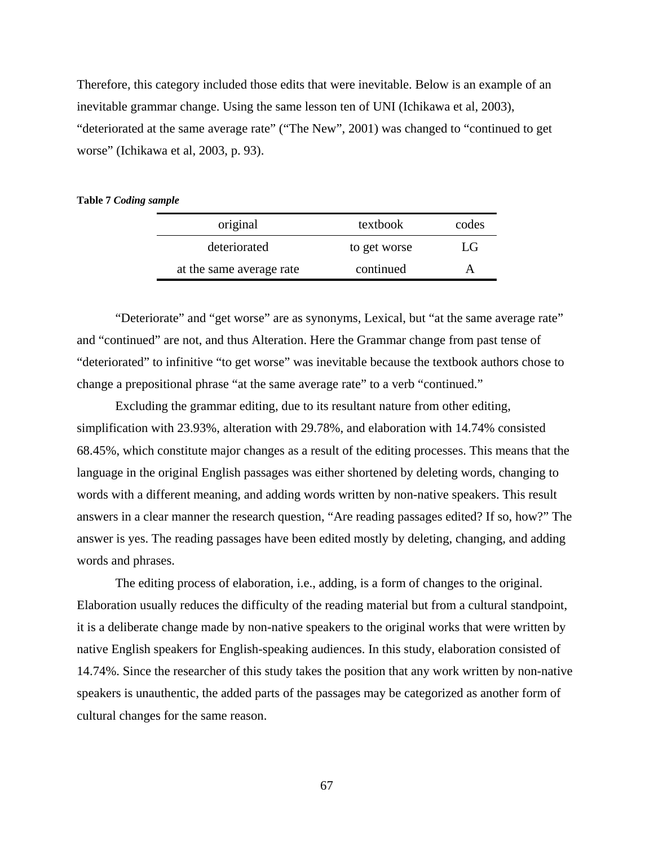Therefore, this category included those edits that were inevitable. Below is an example of an inevitable grammar change. Using the same lesson ten of UNI (Ichikawa et al, 2003), "deteriorated at the same average rate" ("The New", 2001) was changed to "continued to get worse" (Ichikawa et al, 2003, p. 93).

#### **Table 7** *Coding sample*

| original                 | textbook     | codes |
|--------------------------|--------------|-------|
| deteriorated             | to get worse | LG    |
| at the same average rate | continued    |       |

"Deteriorate" and "get worse" are as synonyms, Lexical, but "at the same average rate" and "continued" are not, and thus Alteration. Here the Grammar change from past tense of "deteriorated" to infinitive "to get worse" was inevitable because the textbook authors chose to change a prepositional phrase "at the same average rate" to a verb "continued."

Excluding the grammar editing, due to its resultant nature from other editing, simplification with 23.93%, alteration with 29.78%, and elaboration with 14.74% consisted 68.45%, which constitute major changes as a result of the editing processes. This means that the language in the original English passages was either shortened by deleting words, changing to words with a different meaning, and adding words written by non-native speakers. This result answers in a clear manner the research question, "Are reading passages edited? If so, how?" The answer is yes. The reading passages have been edited mostly by deleting, changing, and adding words and phrases.

The editing process of elaboration, i.e., adding, is a form of changes to the original. Elaboration usually reduces the difficulty of the reading material but from a cultural standpoint, it is a deliberate change made by non-native speakers to the original works that were written by native English speakers for English-speaking audiences. In this study, elaboration consisted of 14.74%. Since the researcher of this study takes the position that any work written by non-native speakers is unauthentic, the added parts of the passages may be categorized as another form of cultural changes for the same reason.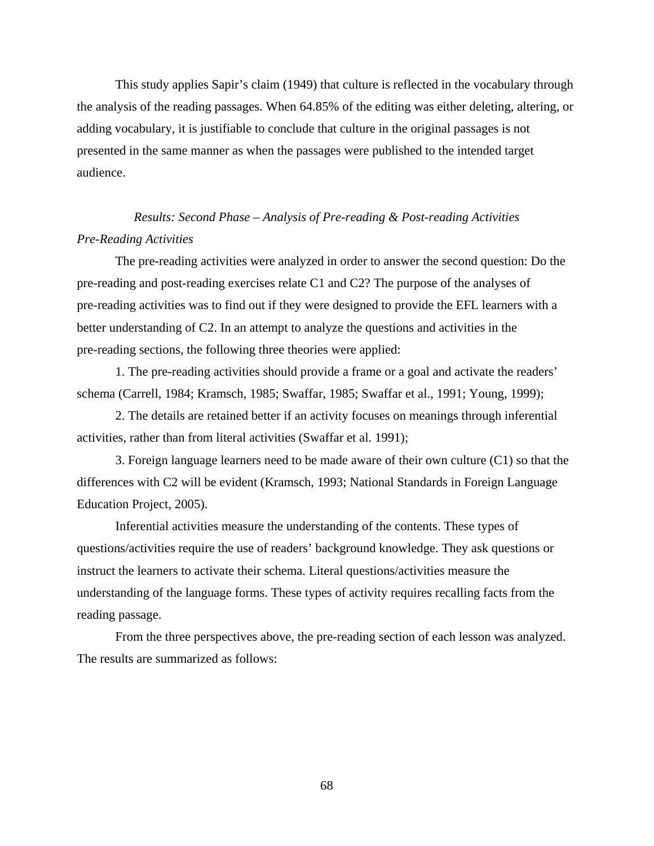This study applies Sapir's claim (1949) that culture is reflected in the vocabulary through the analysis of the reading passages. When 64.85% of the editing was either deleting, altering, or adding vocabulary, it is justifiable to conclude that culture in the original passages is not presented in the same manner as when the passages were published to the intended target audience.

# *Results: Second Phase – Analysis of Pre-reading & Post-reading Activities Pre-Reading Activities*

The pre-reading activities were analyzed in order to answer the second question: Do the pre-reading and post-reading exercises relate C1 and C2? The purpose of the analyses of pre-reading activities was to find out if they were designed to provide the EFL learners with a better understanding of C2. In an attempt to analyze the questions and activities in the pre-reading sections, the following three theories were applied:

1. The pre-reading activities should provide a frame or a goal and activate the readers' schema (Carrell, 1984; Kramsch, 1985; Swaffar, 1985; Swaffar et al., 1991; Young, 1999);

2. The details are retained better if an activity focuses on meanings through inferential activities, rather than from literal activities (Swaffar et al. 1991);

3. Foreign language learners need to be made aware of their own culture (C1) so that the differences with C2 will be evident (Kramsch, 1993; National Standards in Foreign Language Education Project, 2005).

Inferential activities measure the understanding of the contents. These types of questions/activities require the use of readers' background knowledge. They ask questions or instruct the learners to activate their schema. Literal questions/activities measure the understanding of the language forms. These types of activity requires recalling facts from the reading passage.

From the three perspectives above, the pre-reading section of each lesson was analyzed. The results are summarized as follows: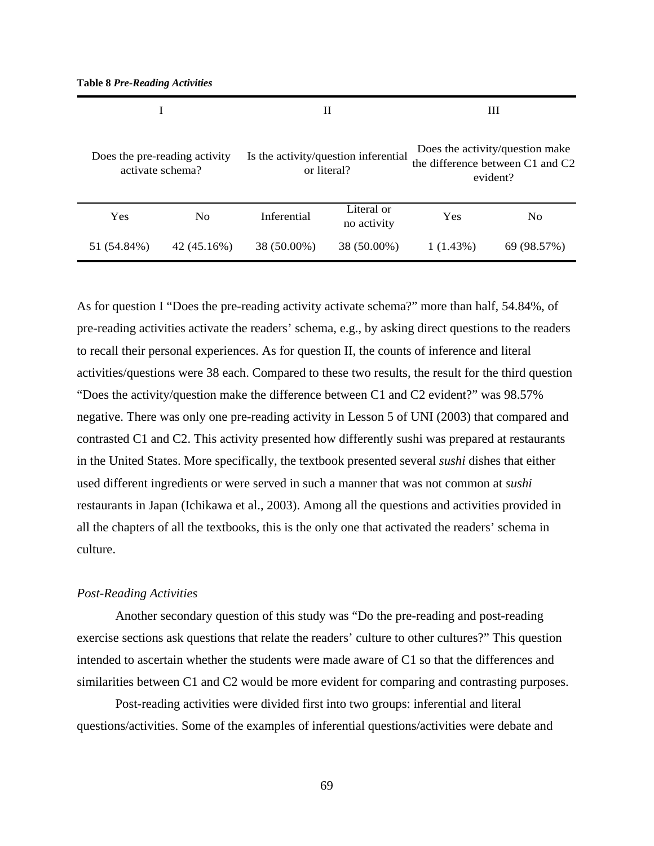**Table 8** *Pre-Reading Activities* 

|                                                   |                | Н                                                   |                           | Ш                                                                               |                |
|---------------------------------------------------|----------------|-----------------------------------------------------|---------------------------|---------------------------------------------------------------------------------|----------------|
| Does the pre-reading activity<br>activate schema? |                | Is the activity/question inferential<br>or literal? |                           | Does the activity/question make<br>the difference between C1 and C2<br>evident? |                |
| Yes                                               | N <sub>0</sub> | Inferential                                         | Literal or<br>no activity | Yes                                                                             | N <sub>o</sub> |
| 51 (54.84%)                                       | 42 (45.16%)    | 38 (50.00%)                                         | 38 (50.00%)               | 1(1.43%)                                                                        | 69 (98.57%)    |

As for question I "Does the pre-reading activity activate schema?" more than half, 54.84%, of pre-reading activities activate the readers' schema, e.g., by asking direct questions to the readers to recall their personal experiences. As for question II, the counts of inference and literal activities/questions were 38 each. Compared to these two results, the result for the third question "Does the activity/question make the difference between C1 and C2 evident?" was 98.57% negative. There was only one pre-reading activity in Lesson 5 of UNI (2003) that compared and contrasted C1 and C2. This activity presented how differently sushi was prepared at restaurants in the United States. More specifically, the textbook presented several *sushi* dishes that either used different ingredients or were served in such a manner that was not common at *sushi* restaurants in Japan (Ichikawa et al., 2003). Among all the questions and activities provided in all the chapters of all the textbooks, this is the only one that activated the readers' schema in culture.

#### *Post-Reading Activities*

Another secondary question of this study was "Do the pre-reading and post-reading exercise sections ask questions that relate the readers' culture to other cultures?" This question intended to ascertain whether the students were made aware of C1 so that the differences and similarities between C1 and C2 would be more evident for comparing and contrasting purposes.

Post-reading activities were divided first into two groups: inferential and literal questions/activities. Some of the examples of inferential questions/activities were debate and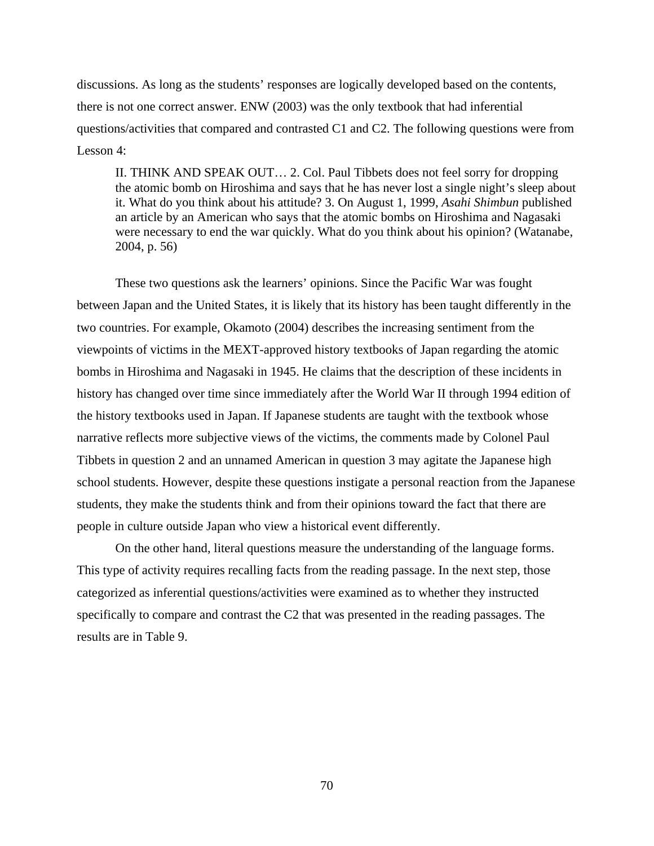discussions. As long as the students' responses are logically developed based on the contents, there is not one correct answer. ENW (2003) was the only textbook that had inferential questions/activities that compared and contrasted C1 and C2. The following questions were from Lesson 4:

II. THINK AND SPEAK OUT… 2. Col. Paul Tibbets does not feel sorry for dropping the atomic bomb on Hiroshima and says that he has never lost a single night's sleep about it. What do you think about his attitude? 3. On August 1, 1999, *Asahi Shimbun* published an article by an American who says that the atomic bombs on Hiroshima and Nagasaki were necessary to end the war quickly. What do you think about his opinion? (Watanabe, 2004, p. 56)

These two questions ask the learners' opinions. Since the Pacific War was fought between Japan and the United States, it is likely that its history has been taught differently in the two countries. For example, Okamoto (2004) describes the increasing sentiment from the viewpoints of victims in the MEXT-approved history textbooks of Japan regarding the atomic bombs in Hiroshima and Nagasaki in 1945. He claims that the description of these incidents in history has changed over time since immediately after the World War II through 1994 edition of the history textbooks used in Japan. If Japanese students are taught with the textbook whose narrative reflects more subjective views of the victims, the comments made by Colonel Paul Tibbets in question 2 and an unnamed American in question 3 may agitate the Japanese high school students. However, despite these questions instigate a personal reaction from the Japanese students, they make the students think and from their opinions toward the fact that there are people in culture outside Japan who view a historical event differently.

On the other hand, literal questions measure the understanding of the language forms. This type of activity requires recalling facts from the reading passage. In the next step, those categorized as inferential questions/activities were examined as to whether they instructed specifically to compare and contrast the C2 that was presented in the reading passages. The results are in Table 9.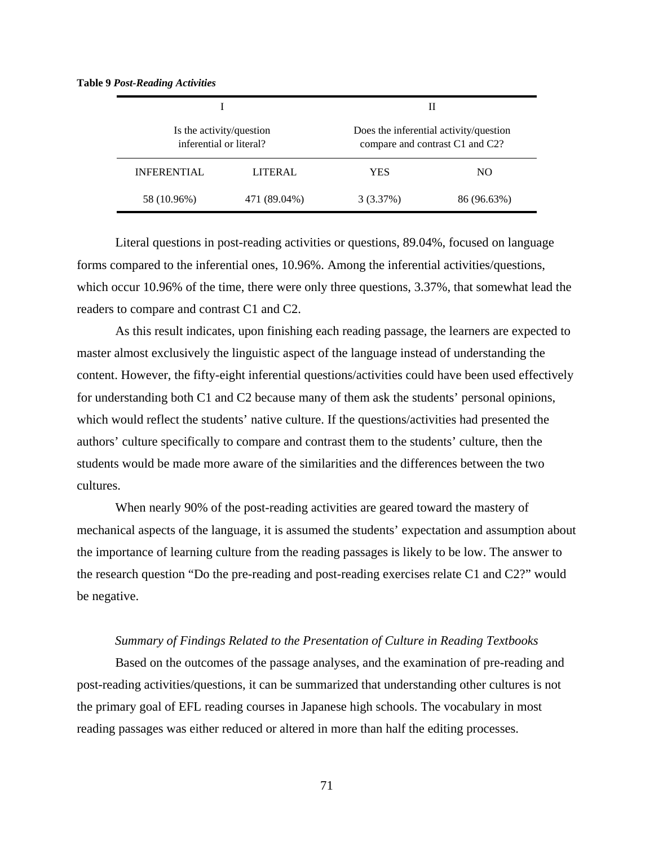**Table 9** *Post-Reading Activities*

|                                                     |              | Н                                                                         |             |  |
|-----------------------------------------------------|--------------|---------------------------------------------------------------------------|-------------|--|
| Is the activity/question<br>inferential or literal? |              | Does the inferential activity/question<br>compare and contrast C1 and C2? |             |  |
| <b>INFERENTIAL</b>                                  | LITERAL      | YES                                                                       | NO.         |  |
| 58 (10.96%)                                         | 471 (89.04%) | 3(3.37%)                                                                  | 86 (96.63%) |  |

Literal questions in post-reading activities or questions, 89.04%, focused on language forms compared to the inferential ones, 10.96%. Among the inferential activities/questions, which occur 10.96% of the time, there were only three questions, 3.37%, that somewhat lead the readers to compare and contrast C1 and C2.

As this result indicates, upon finishing each reading passage, the learners are expected to master almost exclusively the linguistic aspect of the language instead of understanding the content. However, the fifty-eight inferential questions/activities could have been used effectively for understanding both C1 and C2 because many of them ask the students' personal opinions, which would reflect the students' native culture. If the questions/activities had presented the authors' culture specifically to compare and contrast them to the students' culture, then the students would be made more aware of the similarities and the differences between the two cultures.

When nearly 90% of the post-reading activities are geared toward the mastery of mechanical aspects of the language, it is assumed the students' expectation and assumption about the importance of learning culture from the reading passages is likely to be low. The answer to the research question "Do the pre-reading and post-reading exercises relate C1 and C2?" would be negative.

#### *Summary of Findings Related to the Presentation of Culture in Reading Textbooks*

Based on the outcomes of the passage analyses, and the examination of pre-reading and post-reading activities/questions, it can be summarized that understanding other cultures is not the primary goal of EFL reading courses in Japanese high schools. The vocabulary in most reading passages was either reduced or altered in more than half the editing processes.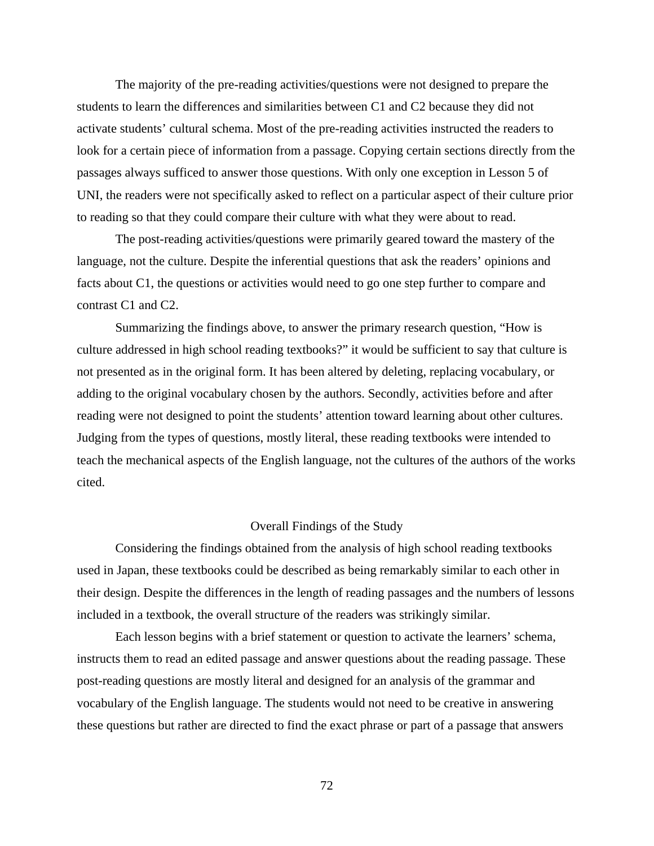The majority of the pre-reading activities/questions were not designed to prepare the students to learn the differences and similarities between C1 and C2 because they did not activate students' cultural schema. Most of the pre-reading activities instructed the readers to look for a certain piece of information from a passage. Copying certain sections directly from the passages always sufficed to answer those questions. With only one exception in Lesson 5 of UNI, the readers were not specifically asked to reflect on a particular aspect of their culture prior to reading so that they could compare their culture with what they were about to read.

The post-reading activities/questions were primarily geared toward the mastery of the language, not the culture. Despite the inferential questions that ask the readers' opinions and facts about C1, the questions or activities would need to go one step further to compare and contrast C1 and C2.

Summarizing the findings above, to answer the primary research question, "How is culture addressed in high school reading textbooks?" it would be sufficient to say that culture is not presented as in the original form. It has been altered by deleting, replacing vocabulary, or adding to the original vocabulary chosen by the authors. Secondly, activities before and after reading were not designed to point the students' attention toward learning about other cultures. Judging from the types of questions, mostly literal, these reading textbooks were intended to teach the mechanical aspects of the English language, not the cultures of the authors of the works cited.

#### Overall Findings of the Study

Considering the findings obtained from the analysis of high school reading textbooks used in Japan, these textbooks could be described as being remarkably similar to each other in their design. Despite the differences in the length of reading passages and the numbers of lessons included in a textbook, the overall structure of the readers was strikingly similar.

Each lesson begins with a brief statement or question to activate the learners' schema, instructs them to read an edited passage and answer questions about the reading passage. These post-reading questions are mostly literal and designed for an analysis of the grammar and vocabulary of the English language. The students would not need to be creative in answering these questions but rather are directed to find the exact phrase or part of a passage that answers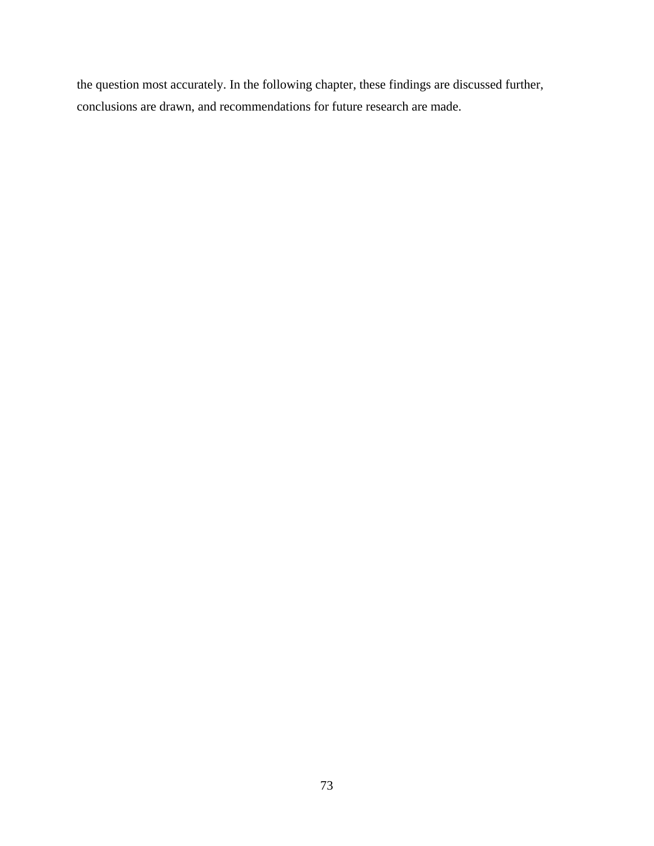the question most accurately. In the following chapter, these findings are discussed further, conclusions are drawn, and recommendations for future research are made.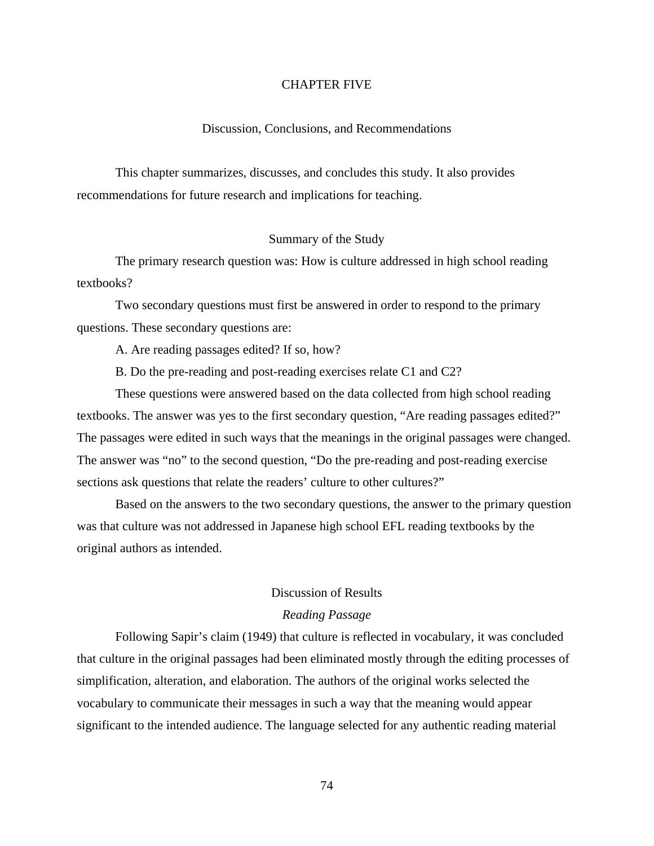## CHAPTER FIVE

#### Discussion, Conclusions, and Recommendations

This chapter summarizes, discusses, and concludes this study. It also provides recommendations for future research and implications for teaching.

#### Summary of the Study

The primary research question was: How is culture addressed in high school reading textbooks?

Two secondary questions must first be answered in order to respond to the primary questions. These secondary questions are:

A. Are reading passages edited? If so, how?

B. Do the pre-reading and post-reading exercises relate C1 and C2?

These questions were answered based on the data collected from high school reading textbooks. The answer was yes to the first secondary question, "Are reading passages edited?" The passages were edited in such ways that the meanings in the original passages were changed. The answer was "no" to the second question, "Do the pre-reading and post-reading exercise sections ask questions that relate the readers' culture to other cultures?"

Based on the answers to the two secondary questions, the answer to the primary question was that culture was not addressed in Japanese high school EFL reading textbooks by the original authors as intended.

# Discussion of Results

# *Reading Passage*

Following Sapir's claim (1949) that culture is reflected in vocabulary, it was concluded that culture in the original passages had been eliminated mostly through the editing processes of simplification, alteration, and elaboration. The authors of the original works selected the vocabulary to communicate their messages in such a way that the meaning would appear significant to the intended audience. The language selected for any authentic reading material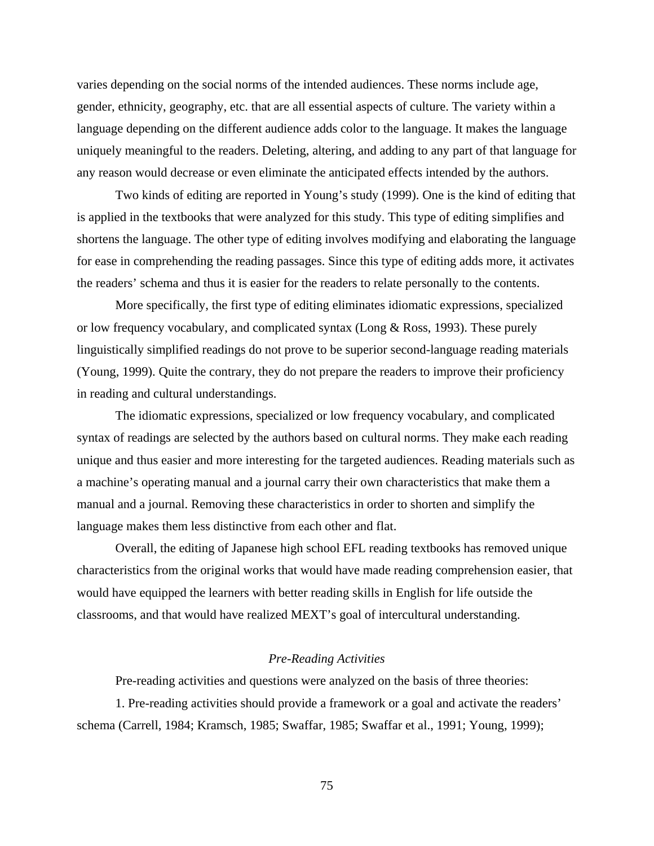varies depending on the social norms of the intended audiences. These norms include age, gender, ethnicity, geography, etc. that are all essential aspects of culture. The variety within a language depending on the different audience adds color to the language. It makes the language uniquely meaningful to the readers. Deleting, altering, and adding to any part of that language for any reason would decrease or even eliminate the anticipated effects intended by the authors.

Two kinds of editing are reported in Young's study (1999). One is the kind of editing that is applied in the textbooks that were analyzed for this study. This type of editing simplifies and shortens the language. The other type of editing involves modifying and elaborating the language for ease in comprehending the reading passages. Since this type of editing adds more, it activates the readers' schema and thus it is easier for the readers to relate personally to the contents.

More specifically, the first type of editing eliminates idiomatic expressions, specialized or low frequency vocabulary, and complicated syntax (Long & Ross, 1993). These purely linguistically simplified readings do not prove to be superior second-language reading materials (Young, 1999). Quite the contrary, they do not prepare the readers to improve their proficiency in reading and cultural understandings.

The idiomatic expressions, specialized or low frequency vocabulary, and complicated syntax of readings are selected by the authors based on cultural norms. They make each reading unique and thus easier and more interesting for the targeted audiences. Reading materials such as a machine's operating manual and a journal carry their own characteristics that make them a manual and a journal. Removing these characteristics in order to shorten and simplify the language makes them less distinctive from each other and flat.

Overall, the editing of Japanese high school EFL reading textbooks has removed unique characteristics from the original works that would have made reading comprehension easier, that would have equipped the learners with better reading skills in English for life outside the classrooms, and that would have realized MEXT's goal of intercultural understanding.

# *Pre-Reading Activities*

Pre-reading activities and questions were analyzed on the basis of three theories:

1. Pre-reading activities should provide a framework or a goal and activate the readers' schema (Carrell, 1984; Kramsch, 1985; Swaffar, 1985; Swaffar et al., 1991; Young, 1999);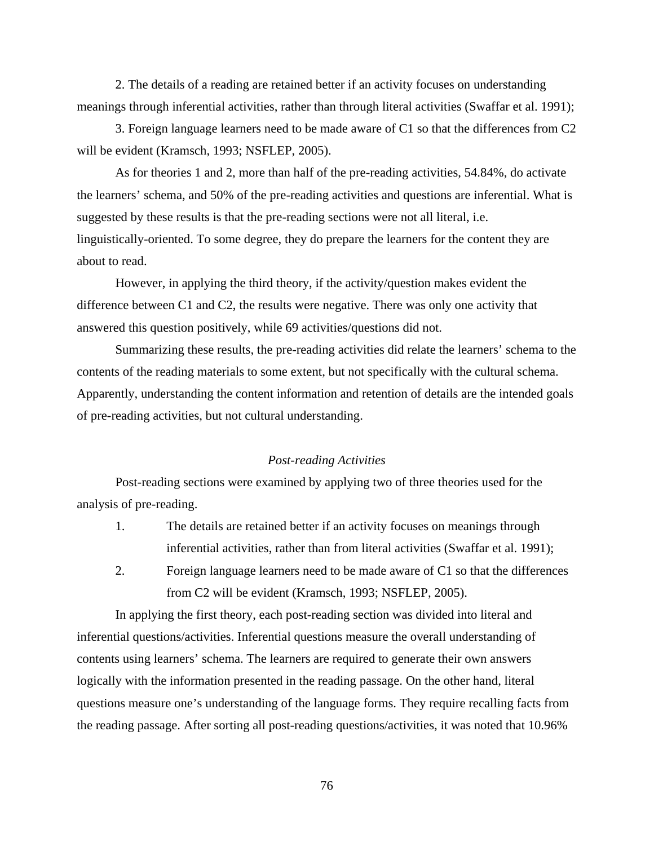2. The details of a reading are retained better if an activity focuses on understanding meanings through inferential activities, rather than through literal activities (Swaffar et al. 1991);

3. Foreign language learners need to be made aware of C1 so that the differences from C2 will be evident (Kramsch, 1993; NSFLEP, 2005).

As for theories 1 and 2, more than half of the pre-reading activities, 54.84%, do activate the learners' schema, and 50% of the pre-reading activities and questions are inferential. What is suggested by these results is that the pre-reading sections were not all literal, i.e. linguistically-oriented. To some degree, they do prepare the learners for the content they are about to read.

However, in applying the third theory, if the activity/question makes evident the difference between C1 and C2, the results were negative. There was only one activity that answered this question positively, while 69 activities/questions did not.

Summarizing these results, the pre-reading activities did relate the learners' schema to the contents of the reading materials to some extent, but not specifically with the cultural schema. Apparently, understanding the content information and retention of details are the intended goals of pre-reading activities, but not cultural understanding.

# *Post-reading Activities*

Post-reading sections were examined by applying two of three theories used for the analysis of pre-reading.

- 1. The details are retained better if an activity focuses on meanings through inferential activities, rather than from literal activities (Swaffar et al. 1991);
- 2. Foreign language learners need to be made aware of C1 so that the differences from C2 will be evident (Kramsch, 1993; NSFLEP, 2005).

In applying the first theory, each post-reading section was divided into literal and inferential questions/activities. Inferential questions measure the overall understanding of contents using learners' schema. The learners are required to generate their own answers logically with the information presented in the reading passage. On the other hand, literal questions measure one's understanding of the language forms. They require recalling facts from the reading passage. After sorting all post-reading questions/activities, it was noted that 10.96%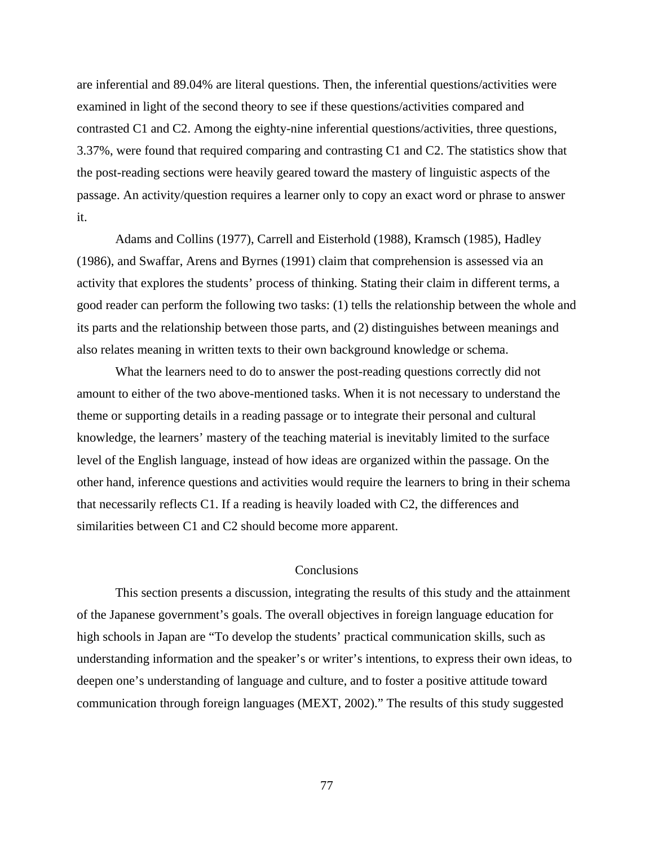are inferential and 89.04% are literal questions. Then, the inferential questions/activities were examined in light of the second theory to see if these questions/activities compared and contrasted C1 and C2. Among the eighty-nine inferential questions/activities, three questions, 3.37%, were found that required comparing and contrasting C1 and C2. The statistics show that the post-reading sections were heavily geared toward the mastery of linguistic aspects of the passage. An activity/question requires a learner only to copy an exact word or phrase to answer it.

Adams and Collins (1977), Carrell and Eisterhold (1988), Kramsch (1985), Hadley (1986), and Swaffar, Arens and Byrnes (1991) claim that comprehension is assessed via an activity that explores the students' process of thinking. Stating their claim in different terms, a good reader can perform the following two tasks: (1) tells the relationship between the whole and its parts and the relationship between those parts, and (2) distinguishes between meanings and also relates meaning in written texts to their own background knowledge or schema.

What the learners need to do to answer the post-reading questions correctly did not amount to either of the two above-mentioned tasks. When it is not necessary to understand the theme or supporting details in a reading passage or to integrate their personal and cultural knowledge, the learners' mastery of the teaching material is inevitably limited to the surface level of the English language, instead of how ideas are organized within the passage. On the other hand, inference questions and activities would require the learners to bring in their schema that necessarily reflects C1. If a reading is heavily loaded with C2, the differences and similarities between C1 and C2 should become more apparent.

# **Conclusions**

This section presents a discussion, integrating the results of this study and the attainment of the Japanese government's goals. The overall objectives in foreign language education for high schools in Japan are "To develop the students' practical communication skills, such as understanding information and the speaker's or writer's intentions, to express their own ideas, to deepen one's understanding of language and culture, and to foster a positive attitude toward communication through foreign languages (MEXT, 2002)." The results of this study suggested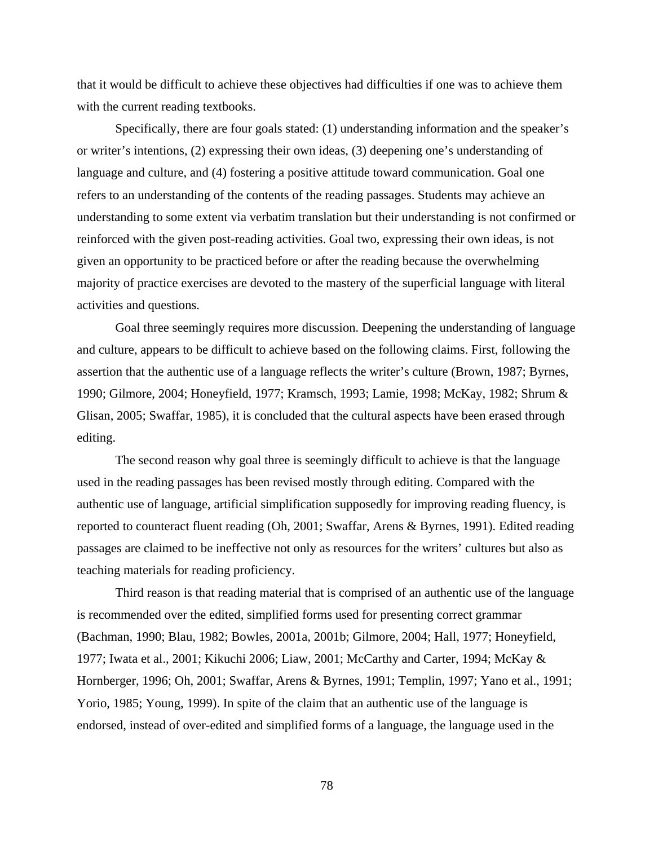that it would be difficult to achieve these objectives had difficulties if one was to achieve them with the current reading textbooks.

Specifically, there are four goals stated: (1) understanding information and the speaker's or writer's intentions, (2) expressing their own ideas, (3) deepening one's understanding of language and culture, and (4) fostering a positive attitude toward communication. Goal one refers to an understanding of the contents of the reading passages. Students may achieve an understanding to some extent via verbatim translation but their understanding is not confirmed or reinforced with the given post-reading activities. Goal two, expressing their own ideas, is not given an opportunity to be practiced before or after the reading because the overwhelming majority of practice exercises are devoted to the mastery of the superficial language with literal activities and questions.

Goal three seemingly requires more discussion. Deepening the understanding of language and culture, appears to be difficult to achieve based on the following claims. First, following the assertion that the authentic use of a language reflects the writer's culture (Brown, 1987; Byrnes, 1990; Gilmore, 2004; Honeyfield, 1977; Kramsch, 1993; Lamie, 1998; McKay, 1982; Shrum & Glisan, 2005; Swaffar, 1985), it is concluded that the cultural aspects have been erased through editing.

The second reason why goal three is seemingly difficult to achieve is that the language used in the reading passages has been revised mostly through editing. Compared with the authentic use of language, artificial simplification supposedly for improving reading fluency, is reported to counteract fluent reading (Oh, 2001; Swaffar, Arens & Byrnes, 1991). Edited reading passages are claimed to be ineffective not only as resources for the writers' cultures but also as teaching materials for reading proficiency.

Third reason is that reading material that is comprised of an authentic use of the language is recommended over the edited, simplified forms used for presenting correct grammar (Bachman, 1990; Blau, 1982; Bowles, 2001a, 2001b; Gilmore, 2004; Hall, 1977; Honeyfield, 1977; Iwata et al., 2001; Kikuchi 2006; Liaw, 2001; McCarthy and Carter, 1994; McKay & Hornberger, 1996; Oh, 2001; Swaffar, Arens & Byrnes, 1991; Templin, 1997; Yano et al., 1991; Yorio, 1985; Young, 1999). In spite of the claim that an authentic use of the language is endorsed, instead of over-edited and simplified forms of a language, the language used in the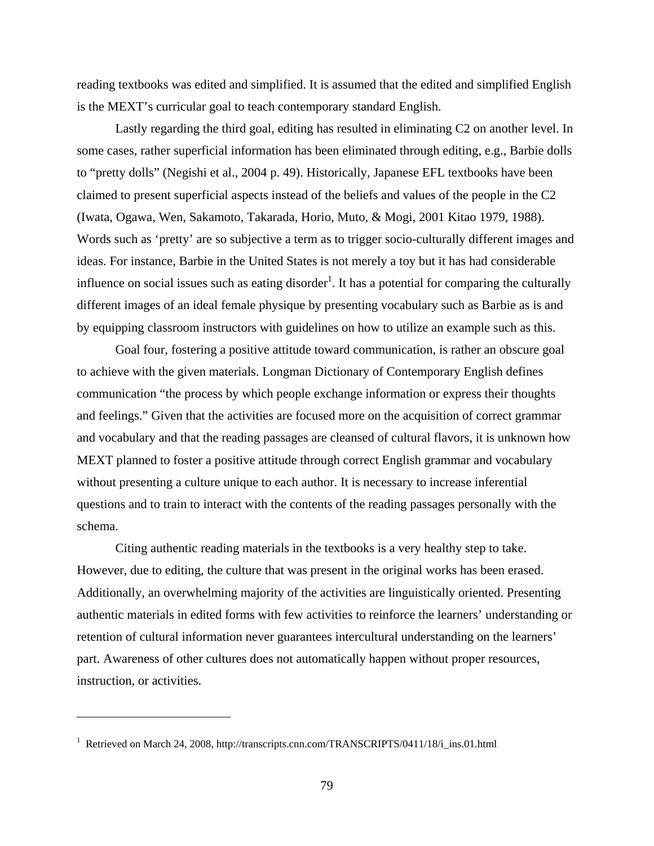reading textbooks was edited and simplified. It is assumed that the edited and simplified English is the MEXT's curricular goal to teach contemporary standard English.

Lastly regarding the third goal, editing has resulted in eliminating C2 on another level. In some cases, rather superficial information has been eliminated through editing, e.g., Barbie dolls to "pretty dolls" (Negishi et al., 2004 p. 49). Historically, Japanese EFL textbooks have been claimed to present superficial aspects instead of the beliefs and values of the people in the C2 (Iwata, Ogawa, Wen, Sakamoto, Takarada, Horio, Muto, & Mogi, 2001 Kitao 1979, 1988). Words such as 'pretty' are so subjective a term as to trigger socio-culturally different images and ideas. For instance, Barbie in the United States is not merely a toy but it has had considerable influence on social issues such as eating disorder<sup>1</sup>. It has a potential for comparing the culturally different images of an ideal female physique by presenting vocabulary such as Barbie as is and by equipping classroom instructors with guidelines on how to utilize an example such as this.

Goal four, fostering a positive attitude toward communication, is rather an obscure goal to achieve with the given materials. Longman Dictionary of Contemporary English defines communication "the process by which people exchange information or express their thoughts and feelings." Given that the activities are focused more on the acquisition of correct grammar and vocabulary and that the reading passages are cleansed of cultural flavors, it is unknown how MEXT planned to foster a positive attitude through correct English grammar and vocabulary without presenting a culture unique to each author. It is necessary to increase inferential questions and to train to interact with the contents of the reading passages personally with the schema.

Citing authentic reading materials in the textbooks is a very healthy step to take. However, due to editing, the culture that was present in the original works has been erased. Additionally, an overwhelming majority of the activities are linguistically oriented. Presenting authentic materials in edited forms with few activities to reinforce the learners' understanding or retention of cultural information never guarantees intercultural understanding on the learners' part. Awareness of other cultures does not automatically happen without proper resources, instruction, or activities.

 $\overline{a}$ 

<sup>&</sup>lt;sup>1</sup> Retrieved on March 24, 2008, http://transcripts.cnn.com/TRANSCRIPTS/0411/18/i\_ins.01.html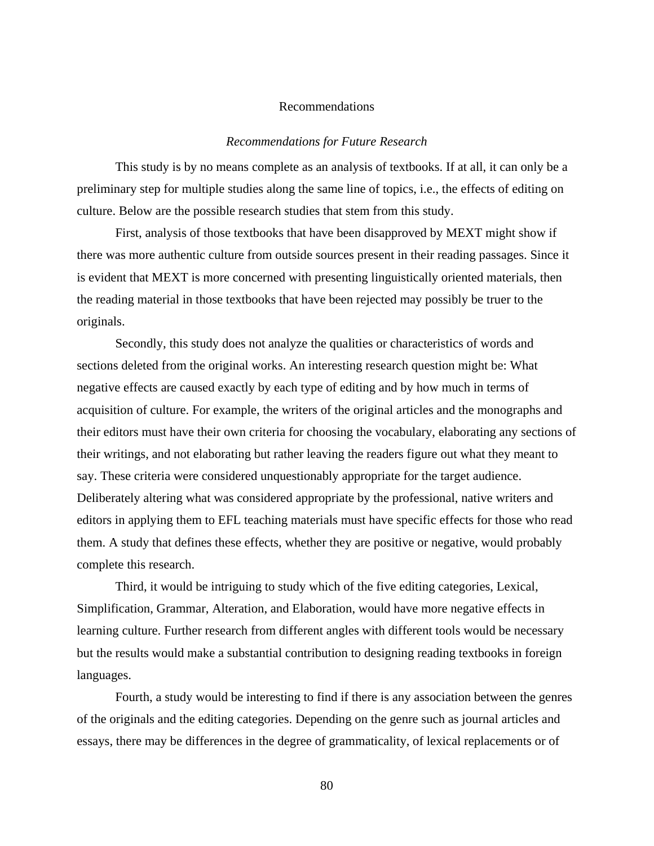#### Recommendations

#### *Recommendations for Future Research*

This study is by no means complete as an analysis of textbooks. If at all, it can only be a preliminary step for multiple studies along the same line of topics, i.e., the effects of editing on culture. Below are the possible research studies that stem from this study.

First, analysis of those textbooks that have been disapproved by MEXT might show if there was more authentic culture from outside sources present in their reading passages. Since it is evident that MEXT is more concerned with presenting linguistically oriented materials, then the reading material in those textbooks that have been rejected may possibly be truer to the originals.

Secondly, this study does not analyze the qualities or characteristics of words and sections deleted from the original works. An interesting research question might be: What negative effects are caused exactly by each type of editing and by how much in terms of acquisition of culture. For example, the writers of the original articles and the monographs and their editors must have their own criteria for choosing the vocabulary, elaborating any sections of their writings, and not elaborating but rather leaving the readers figure out what they meant to say. These criteria were considered unquestionably appropriate for the target audience. Deliberately altering what was considered appropriate by the professional, native writers and editors in applying them to EFL teaching materials must have specific effects for those who read them. A study that defines these effects, whether they are positive or negative, would probably complete this research.

Third, it would be intriguing to study which of the five editing categories, Lexical, Simplification, Grammar, Alteration, and Elaboration, would have more negative effects in learning culture. Further research from different angles with different tools would be necessary but the results would make a substantial contribution to designing reading textbooks in foreign languages.

Fourth, a study would be interesting to find if there is any association between the genres of the originals and the editing categories. Depending on the genre such as journal articles and essays, there may be differences in the degree of grammaticality, of lexical replacements or of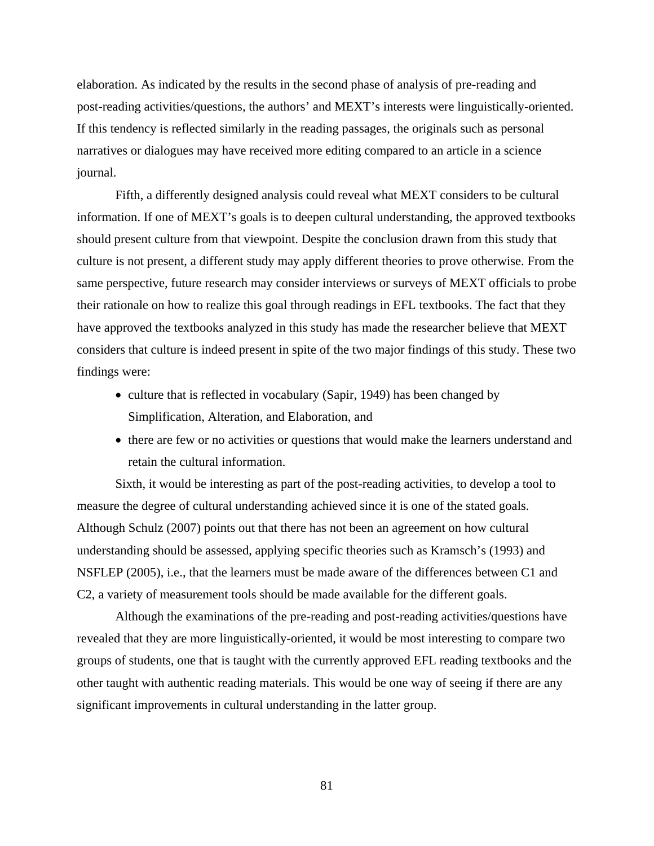elaboration. As indicated by the results in the second phase of analysis of pre-reading and post-reading activities/questions, the authors' and MEXT's interests were linguistically-oriented. If this tendency is reflected similarly in the reading passages, the originals such as personal narratives or dialogues may have received more editing compared to an article in a science journal.

Fifth, a differently designed analysis could reveal what MEXT considers to be cultural information. If one of MEXT's goals is to deepen cultural understanding, the approved textbooks should present culture from that viewpoint. Despite the conclusion drawn from this study that culture is not present, a different study may apply different theories to prove otherwise. From the same perspective, future research may consider interviews or surveys of MEXT officials to probe their rationale on how to realize this goal through readings in EFL textbooks. The fact that they have approved the textbooks analyzed in this study has made the researcher believe that MEXT considers that culture is indeed present in spite of the two major findings of this study. These two findings were:

- culture that is reflected in vocabulary (Sapir, 1949) has been changed by Simplification, Alteration, and Elaboration, and
- there are few or no activities or questions that would make the learners understand and retain the cultural information.

Sixth, it would be interesting as part of the post-reading activities, to develop a tool to measure the degree of cultural understanding achieved since it is one of the stated goals. Although Schulz (2007) points out that there has not been an agreement on how cultural understanding should be assessed, applying specific theories such as Kramsch's (1993) and NSFLEP (2005), i.e., that the learners must be made aware of the differences between C1 and C2, a variety of measurement tools should be made available for the different goals.

Although the examinations of the pre-reading and post-reading activities/questions have revealed that they are more linguistically-oriented, it would be most interesting to compare two groups of students, one that is taught with the currently approved EFL reading textbooks and the other taught with authentic reading materials. This would be one way of seeing if there are any significant improvements in cultural understanding in the latter group.